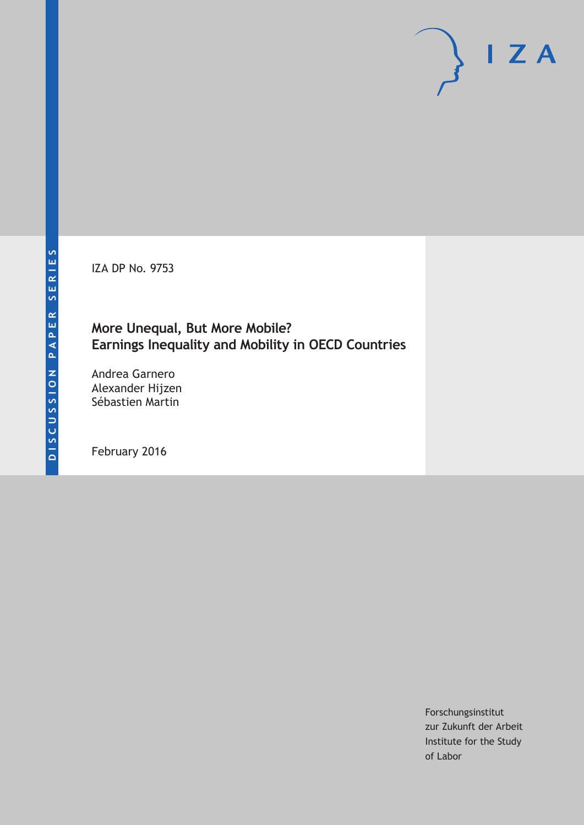IZA DP No. 9753

## **More Unequal, But More Mobile? Earnings Inequality and Mobility in OECD Countries**

Andrea Garnero Alexander Hijzen Sébastien Martin

February 2016

Forschungsinstitut zur Zukunft der Arbeit Institute for the Study of Labor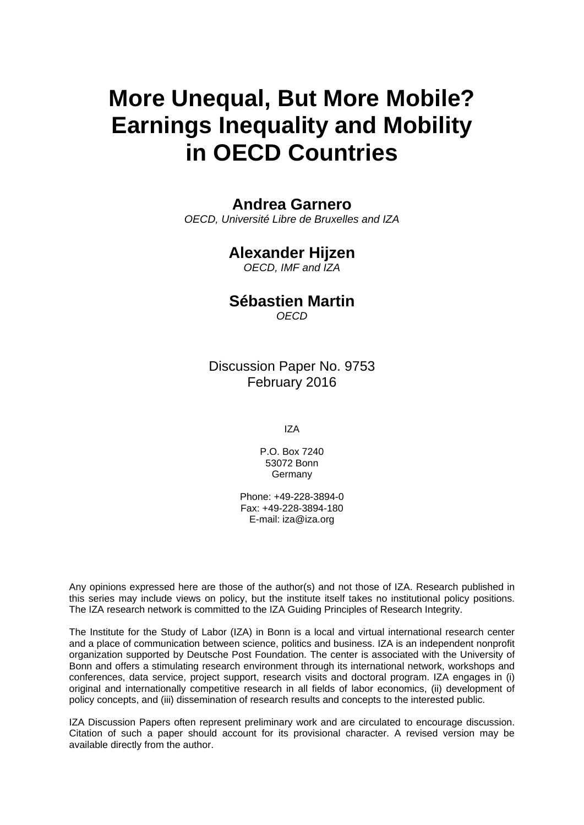# **More Unequal, But More Mobile? Earnings Inequality and Mobility in OECD Countries**

## **Andrea Garnero**

*OECD, Université Libre de Bruxelles and IZA* 

## **Alexander Hijzen**

*OECD, IMF and IZA* 

## **Sébastien Martin**

*OECD*

Discussion Paper No. 9753 February 2016

IZA

P.O. Box 7240 53072 Bonn Germany

Phone: +49-228-3894-0 Fax: +49-228-3894-180 E-mail: iza@iza.org

Any opinions expressed here are those of the author(s) and not those of IZA. Research published in this series may include views on policy, but the institute itself takes no institutional policy positions. The IZA research network is committed to the IZA Guiding Principles of Research Integrity.

The Institute for the Study of Labor (IZA) in Bonn is a local and virtual international research center and a place of communication between science, politics and business. IZA is an independent nonprofit organization supported by Deutsche Post Foundation. The center is associated with the University of Bonn and offers a stimulating research environment through its international network, workshops and conferences, data service, project support, research visits and doctoral program. IZA engages in (i) original and internationally competitive research in all fields of labor economics, (ii) development of policy concepts, and (iii) dissemination of research results and concepts to the interested public.

IZA Discussion Papers often represent preliminary work and are circulated to encourage discussion. Citation of such a paper should account for its provisional character. A revised version may be available directly from the author.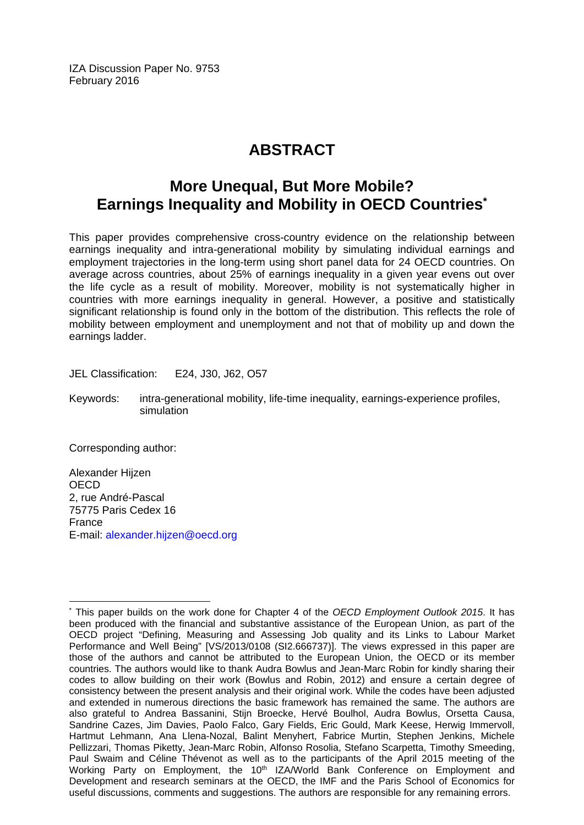IZA Discussion Paper No. 9753 February 2016

## **ABSTRACT**

## **More Unequal, But More Mobile? Earnings Inequality and Mobility in OECD Countries\***

This paper provides comprehensive cross-country evidence on the relationship between earnings inequality and intra-generational mobility by simulating individual earnings and employment trajectories in the long-term using short panel data for 24 OECD countries. On average across countries, about 25% of earnings inequality in a given year evens out over the life cycle as a result of mobility. Moreover, mobility is not systematically higher in countries with more earnings inequality in general. However, a positive and statistically significant relationship is found only in the bottom of the distribution. This reflects the role of mobility between employment and unemployment and not that of mobility up and down the earnings ladder.

JEL Classification: E24, J30, J62, O57

Keywords: intra-generational mobility, life-time inequality, earnings-experience profiles, simulation

Corresponding author:

Alexander Hijzen **OECD** 2, rue André-Pascal 75775 Paris Cedex 16 France E-mail: alexander.hijzen@oecd.org

 $\overline{a}$ \* This paper builds on the work done for Chapter 4 of the *OECD Employment Outlook 2015*. It has been produced with the financial and substantive assistance of the European Union, as part of the OECD project "Defining, Measuring and Assessing Job quality and its Links to Labour Market Performance and Well Being" [VS/2013/0108 (SI2.666737)]. The views expressed in this paper are those of the authors and cannot be attributed to the European Union, the OECD or its member countries. The authors would like to thank Audra Bowlus and Jean-Marc Robin for kindly sharing their codes to allow building on their work (Bowlus and Robin, 2012) and ensure a certain degree of consistency between the present analysis and their original work. While the codes have been adjusted and extended in numerous directions the basic framework has remained the same. The authors are also grateful to Andrea Bassanini, Stijn Broecke, Hervé Boulhol, Audra Bowlus, Orsetta Causa, Sandrine Cazes, Jim Davies, Paolo Falco, Gary Fields, Eric Gould, Mark Keese, Herwig Immervoll, Hartmut Lehmann, Ana Llena-Nozal, Balint Menyhert, Fabrice Murtin, Stephen Jenkins, Michele Pellizzari, Thomas Piketty, Jean-Marc Robin, Alfonso Rosolia, Stefano Scarpetta, Timothy Smeeding, Paul Swaim and Céline Thévenot as well as to the participants of the April 2015 meeting of the Working Party on Employment, the 10<sup>th</sup> IZA/World Bank Conference on Employment and Development and research seminars at the OECD, the IMF and the Paris School of Economics for useful discussions, comments and suggestions. The authors are responsible for any remaining errors.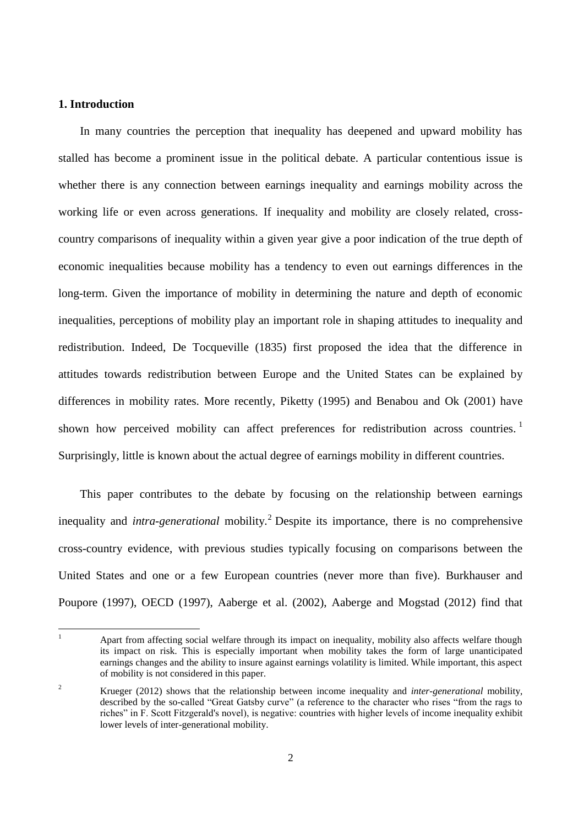#### **1. Introduction**

In many countries the perception that inequality has deepened and upward mobility has stalled has become a prominent issue in the political debate. A particular contentious issue is whether there is any connection between earnings inequality and earnings mobility across the working life or even across generations. If inequality and mobility are closely related, crosscountry comparisons of inequality within a given year give a poor indication of the true depth of economic inequalities because mobility has a tendency to even out earnings differences in the long-term. Given the importance of mobility in determining the nature and depth of economic inequalities, perceptions of mobility play an important role in shaping attitudes to inequality and redistribution. Indeed, De Tocqueville (1835) first proposed the idea that the difference in attitudes towards redistribution between Europe and the United States can be explained by differences in mobility rates. More recently, Piketty (1995) and Benabou and Ok (2001) have shown how perceived mobility can affect preferences for redistribution across countries.<sup>1</sup> Surprisingly, little is known about the actual degree of earnings mobility in different countries.

This paper contributes to the debate by focusing on the relationship between earnings inequality and *intra-generational* mobility. <sup>2</sup> Despite its importance, there is no comprehensive cross-country evidence, with previous studies typically focusing on comparisons between the United States and one or a few European countries (never more than five). Burkhauser and Poupore (1997), OECD (1997), Aaberge et al. (2002), Aaberge and Mogstad (2012) find that

 $\mathbf{1}$ <sup>1</sup> Apart from affecting social welfare through its impact on inequality, mobility also affects welfare though its impact on risk. This is especially important when mobility takes the form of large unanticipated earnings changes and the ability to insure against earnings volatility is limited. While important, this aspect of mobility is not considered in this paper.

<sup>2</sup> Krueger (2012) shows that the relationship between income inequality and *inter-generational* mobility, described by the so-called "Great Gatsby curve" (a reference to the character who rises "from the rags to riches" in F. Scott Fitzgerald's novel), is negative: countries with higher levels of income inequality exhibit lower levels of inter-generational mobility.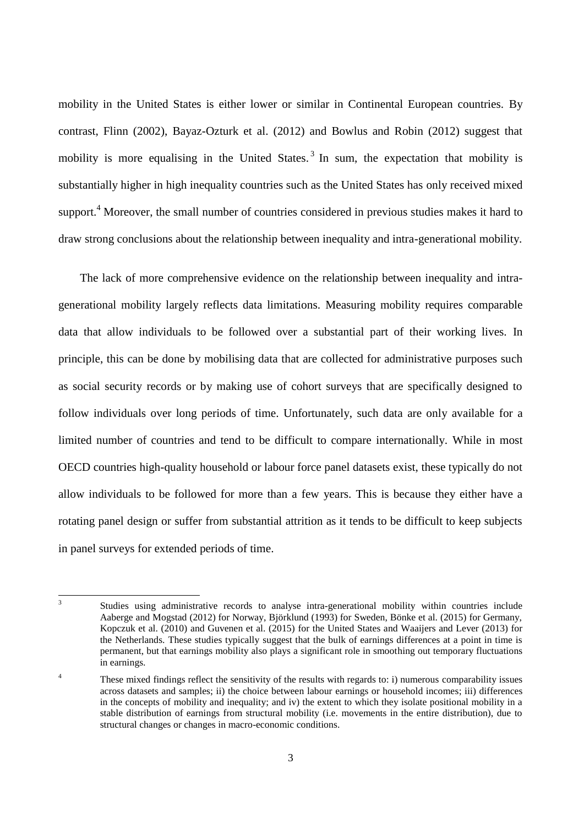mobility in the United States is either lower or similar in Continental European countries. By contrast, Flinn (2002), Bayaz-Ozturk et al. (2012) and Bowlus and Robin (2012) suggest that mobility is more equalising in the United States.<sup>3</sup> In sum, the expectation that mobility is substantially higher in high inequality countries such as the United States has only received mixed support.<sup>4</sup> Moreover, the small number of countries considered in previous studies makes it hard to draw strong conclusions about the relationship between inequality and intra-generational mobility.

The lack of more comprehensive evidence on the relationship between inequality and intragenerational mobility largely reflects data limitations. Measuring mobility requires comparable data that allow individuals to be followed over a substantial part of their working lives. In principle, this can be done by mobilising data that are collected for administrative purposes such as social security records or by making use of cohort surveys that are specifically designed to follow individuals over long periods of time. Unfortunately, such data are only available for a limited number of countries and tend to be difficult to compare internationally. While in most OECD countries high-quality household or labour force panel datasets exist, these typically do not allow individuals to be followed for more than a few years. This is because they either have a rotating panel design or suffer from substantial attrition as it tends to be difficult to keep subjects in panel surveys for extended periods of time.

 3 Studies using administrative records to analyse intra-generational mobility within countries include Aaberge and Mogstad (2012) for Norway, Björklund (1993) for Sweden, Bönke et al. (2015) for Germany, Kopczuk et al. (2010) and Guvenen et al. (2015) for the United States and Waaijers and Lever (2013) for the Netherlands. These studies typically suggest that the bulk of earnings differences at a point in time is permanent, but that earnings mobility also plays a significant role in smoothing out temporary fluctuations in earnings.

<sup>&</sup>lt;sup>4</sup> These mixed findings reflect the sensitivity of the results with regards to: i) numerous comparability issues across datasets and samples; ii) the choice between labour earnings or household incomes; iii) differences in the concepts of mobility and inequality; and iv) the extent to which they isolate positional mobility in a stable distribution of earnings from structural mobility (i.e. movements in the entire distribution), due to structural changes or changes in macro-economic conditions.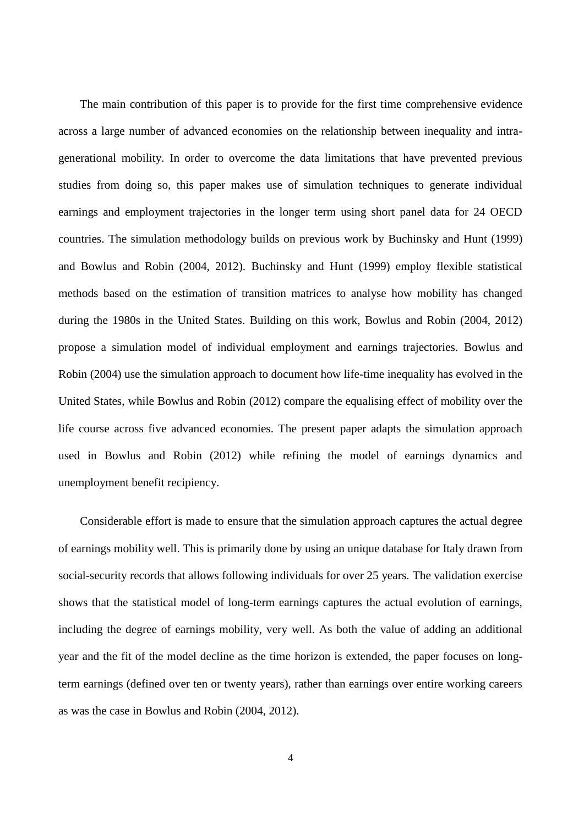The main contribution of this paper is to provide for the first time comprehensive evidence across a large number of advanced economies on the relationship between inequality and intragenerational mobility. In order to overcome the data limitations that have prevented previous studies from doing so, this paper makes use of simulation techniques to generate individual earnings and employment trajectories in the longer term using short panel data for 24 OECD countries. The simulation methodology builds on previous work by Buchinsky and Hunt (1999) and Bowlus and Robin (2004, 2012). Buchinsky and Hunt (1999) employ flexible statistical methods based on the estimation of transition matrices to analyse how mobility has changed during the 1980s in the United States. Building on this work, Bowlus and Robin (2004, 2012) propose a simulation model of individual employment and earnings trajectories. Bowlus and Robin (2004) use the simulation approach to document how life-time inequality has evolved in the United States, while Bowlus and Robin (2012) compare the equalising effect of mobility over the life course across five advanced economies. The present paper adapts the simulation approach used in Bowlus and Robin (2012) while refining the model of earnings dynamics and unemployment benefit recipiency.

Considerable effort is made to ensure that the simulation approach captures the actual degree of earnings mobility well. This is primarily done by using an unique database for Italy drawn from social-security records that allows following individuals for over 25 years. The validation exercise shows that the statistical model of long-term earnings captures the actual evolution of earnings, including the degree of earnings mobility, very well. As both the value of adding an additional year and the fit of the model decline as the time horizon is extended, the paper focuses on longterm earnings (defined over ten or twenty years), rather than earnings over entire working careers as was the case in Bowlus and Robin (2004, 2012).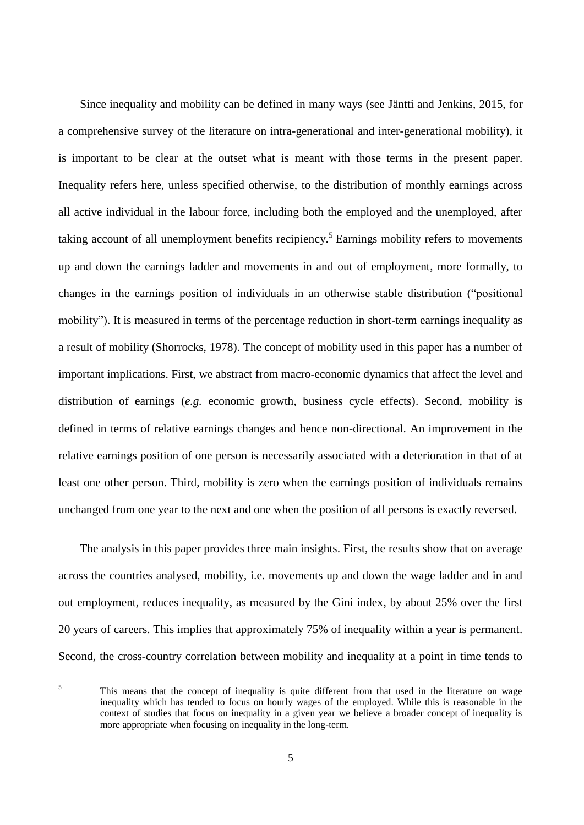Since inequality and mobility can be defined in many ways (see Jäntti and Jenkins, 2015, for a comprehensive survey of the literature on intra-generational and inter-generational mobility), it is important to be clear at the outset what is meant with those terms in the present paper. Inequality refers here, unless specified otherwise, to the distribution of monthly earnings across all active individual in the labour force, including both the employed and the unemployed, after taking account of all unemployment benefits recipiency.<sup>5</sup> Earnings mobility refers to movements up and down the earnings ladder and movements in and out of employment, more formally, to changes in the earnings position of individuals in an otherwise stable distribution ("positional mobility"). It is measured in terms of the percentage reduction in short-term earnings inequality as a result of mobility (Shorrocks, 1978). The concept of mobility used in this paper has a number of important implications. First, we abstract from macro-economic dynamics that affect the level and distribution of earnings (*e.g.* economic growth, business cycle effects). Second, mobility is defined in terms of relative earnings changes and hence non-directional. An improvement in the relative earnings position of one person is necessarily associated with a deterioration in that of at least one other person. Third, mobility is zero when the earnings position of individuals remains unchanged from one year to the next and one when the position of all persons is exactly reversed.

The analysis in this paper provides three main insights. First, the results show that on average across the countries analysed, mobility, i.e. movements up and down the wage ladder and in and out employment, reduces inequality, as measured by the Gini index, by about 25% over the first 20 years of careers. This implies that approximately 75% of inequality within a year is permanent. Second, the cross-country correlation between mobility and inequality at a point in time tends to

 $\overline{5}$ This means that the concept of inequality is quite different from that used in the literature on wage inequality which has tended to focus on hourly wages of the employed. While this is reasonable in the context of studies that focus on inequality in a given year we believe a broader concept of inequality is more appropriate when focusing on inequality in the long-term.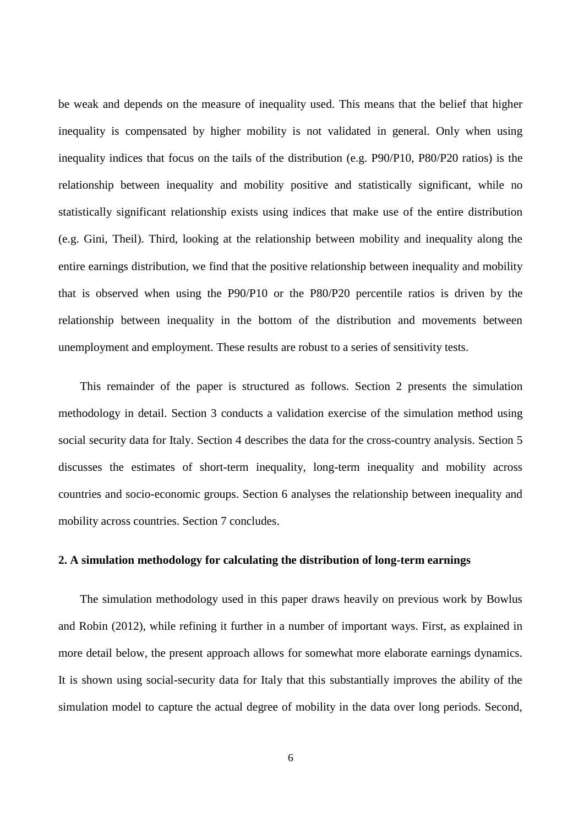be weak and depends on the measure of inequality used. This means that the belief that higher inequality is compensated by higher mobility is not validated in general. Only when using inequality indices that focus on the tails of the distribution (e.g. P90/P10, P80/P20 ratios) is the relationship between inequality and mobility positive and statistically significant, while no statistically significant relationship exists using indices that make use of the entire distribution (e.g. Gini, Theil). Third, looking at the relationship between mobility and inequality along the entire earnings distribution, we find that the positive relationship between inequality and mobility that is observed when using the P90/P10 or the P80/P20 percentile ratios is driven by the relationship between inequality in the bottom of the distribution and movements between unemployment and employment. These results are robust to a series of sensitivity tests.

This remainder of the paper is structured as follows. Section 2 presents the simulation methodology in detail. Section 3 conducts a validation exercise of the simulation method using social security data for Italy. Section 4 describes the data for the cross-country analysis. Section 5 discusses the estimates of short-term inequality, long-term inequality and mobility across countries and socio-economic groups. Section 6 analyses the relationship between inequality and mobility across countries. Section 7 concludes.

#### **2. A simulation methodology for calculating the distribution of long-term earnings**

The simulation methodology used in this paper draws heavily on previous work by Bowlus and Robin (2012), while refining it further in a number of important ways. First, as explained in more detail below, the present approach allows for somewhat more elaborate earnings dynamics. It is shown using social-security data for Italy that this substantially improves the ability of the simulation model to capture the actual degree of mobility in the data over long periods. Second,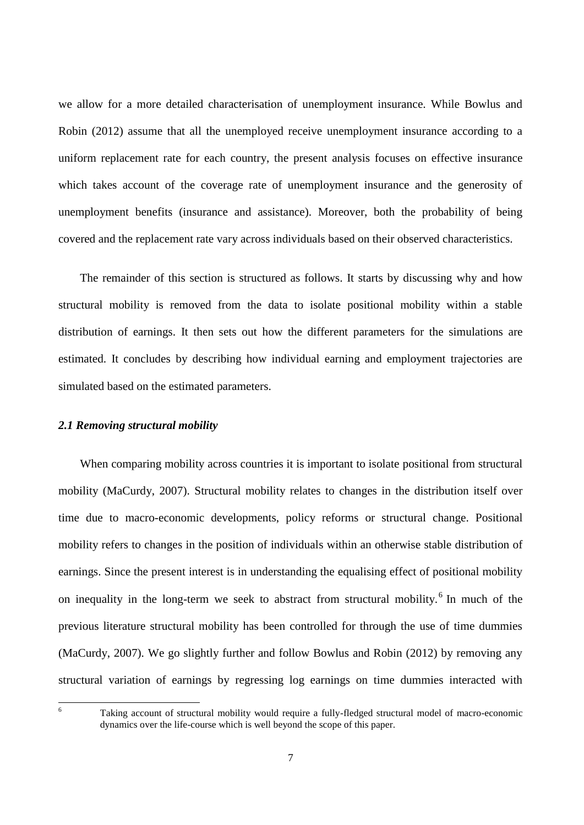we allow for a more detailed characterisation of unemployment insurance. While Bowlus and Robin (2012) assume that all the unemployed receive unemployment insurance according to a uniform replacement rate for each country, the present analysis focuses on effective insurance which takes account of the coverage rate of unemployment insurance and the generosity of unemployment benefits (insurance and assistance). Moreover, both the probability of being covered and the replacement rate vary across individuals based on their observed characteristics.

The remainder of this section is structured as follows. It starts by discussing why and how structural mobility is removed from the data to isolate positional mobility within a stable distribution of earnings. It then sets out how the different parameters for the simulations are estimated. It concludes by describing how individual earning and employment trajectories are simulated based on the estimated parameters.

#### *2.1 Removing structural mobility*

When comparing mobility across countries it is important to isolate positional from structural mobility (MaCurdy, 2007). Structural mobility relates to changes in the distribution itself over time due to macro-economic developments, policy reforms or structural change. Positional mobility refers to changes in the position of individuals within an otherwise stable distribution of earnings. Since the present interest is in understanding the equalising effect of positional mobility on inequality in the long-term we seek to abstract from structural mobility.<sup>6</sup> In much of the previous literature structural mobility has been controlled for through the use of time dummies (MaCurdy, 2007). We go slightly further and follow Bowlus and Robin (2012) by removing any structural variation of earnings by regressing log earnings on time dummies interacted with

 $\overline{6}$ 

Taking account of structural mobility would require a fully-fledged structural model of macro-economic dynamics over the life-course which is well beyond the scope of this paper.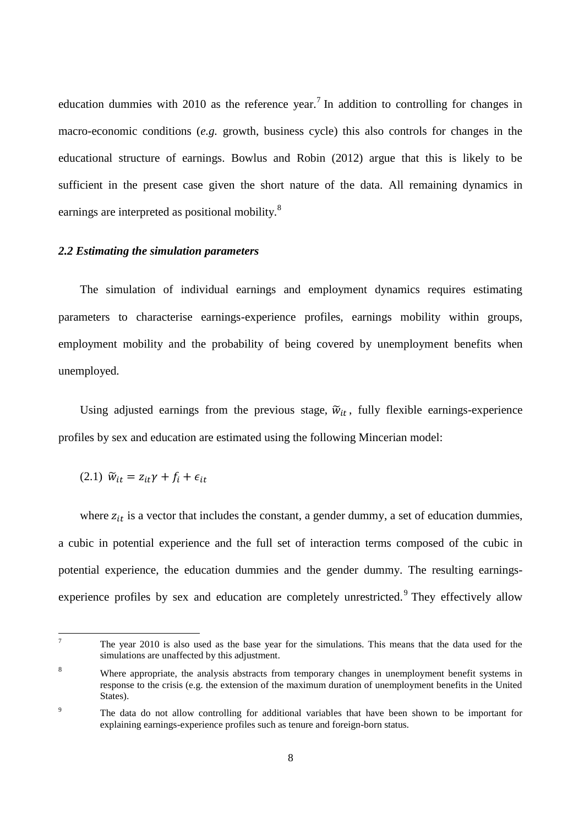education dummies with 2010 as the reference year.<sup>7</sup> In addition to controlling for changes in macro-economic conditions (*e.g.* growth, business cycle) this also controls for changes in the educational structure of earnings. Bowlus and Robin (2012) argue that this is likely to be sufficient in the present case given the short nature of the data. All remaining dynamics in earnings are interpreted as positional mobility.<sup>8</sup>

#### *2.2 Estimating the simulation parameters*

The simulation of individual earnings and employment dynamics requires estimating parameters to characterise earnings-experience profiles, earnings mobility within groups, employment mobility and the probability of being covered by unemployment benefits when unemployed.

Using adjusted earnings from the previous stage,  $\tilde{w}_{it}$ , fully flexible earnings-experience profiles by sex and education are estimated using the following Mincerian model:

(2.1)  $\widetilde{w}_{it} = z_{it}\gamma + f_i + \epsilon_{it}$ 

where  $z_{it}$  is a vector that includes the constant, a gender dummy, a set of education dummies, a cubic in potential experience and the full set of interaction terms composed of the cubic in potential experience, the education dummies and the gender dummy. The resulting earningsexperience profiles by sex and education are completely unrestricted.<sup>9</sup> They effectively allow

 $\overline{7}$ <sup>7</sup> The year 2010 is also used as the base year for the simulations. This means that the data used for the simulations are unaffected by this adjustment.

<sup>&</sup>lt;sup>8</sup> Where appropriate, the analysis abstracts from temporary changes in unemployment benefit systems in response to the crisis (e.g. the extension of the maximum duration of unemployment benefits in the United States).

<sup>&</sup>lt;sup>9</sup> The data do not allow controlling for additional variables that have been shown to be important for explaining earnings-experience profiles such as tenure and foreign-born status.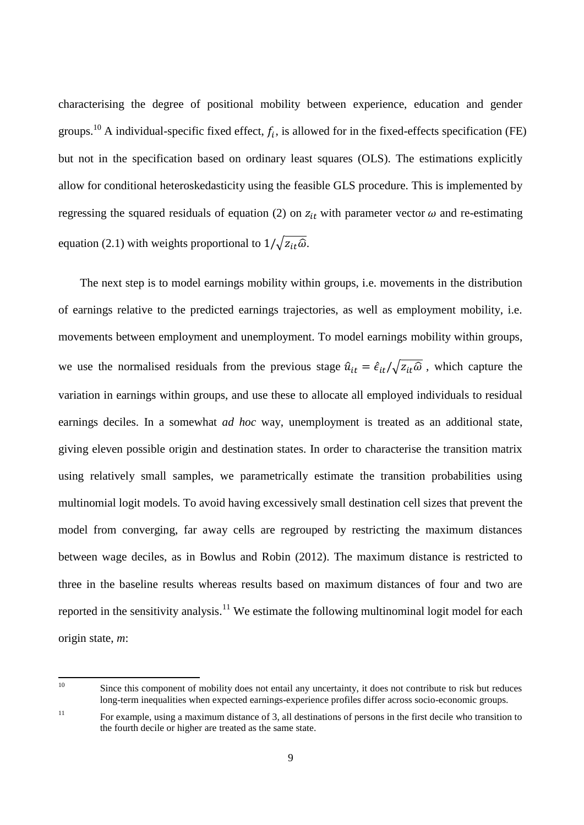characterising the degree of positional mobility between experience, education and gender groups.<sup>10</sup> A individual-specific fixed effect,  $f_i$ , is allowed for in the fixed-effects specification (FE) but not in the specification based on ordinary least squares (OLS). The estimations explicitly allow for conditional heteroskedasticity using the feasible GLS procedure. This is implemented by regressing the squared residuals of equation (2) on  $z_{it}$  with parameter vector  $\omega$  and re-estimating equation (2.1) with weights proportional to  $1/\sqrt{z_{it}\hat{\omega}}$ .

The next step is to model earnings mobility within groups, i.e. movements in the distribution of earnings relative to the predicted earnings trajectories, as well as employment mobility, i.e. movements between employment and unemployment. To model earnings mobility within groups, we use the normalised residuals from the previous stage  $\hat{u}_{it} = \hat{\epsilon}_{it}/\sqrt{z_{it}\hat{\omega}}$ , which capture the variation in earnings within groups, and use these to allocate all employed individuals to residual earnings deciles. In a somewhat *ad hoc* way, unemployment is treated as an additional state, giving eleven possible origin and destination states. In order to characterise the transition matrix using relatively small samples, we parametrically estimate the transition probabilities using multinomial logit models. To avoid having excessively small destination cell sizes that prevent the model from converging, far away cells are regrouped by restricting the maximum distances between wage deciles, as in Bowlus and Robin (2012). The maximum distance is restricted to three in the baseline results whereas results based on maximum distances of four and two are reported in the sensitivity analysis.<sup>11</sup> We estimate the following multinominal logit model for each origin state, *m*:

 $10<sup>10</sup>$ Since this component of mobility does not entail any uncertainty, it does not contribute to risk but reduces long-term inequalities when expected earnings-experience profiles differ across socio-economic groups.

<sup>&</sup>lt;sup>11</sup> For example, using a maximum distance of 3, all destinations of persons in the first decile who transition to the fourth decile or higher are treated as the same state.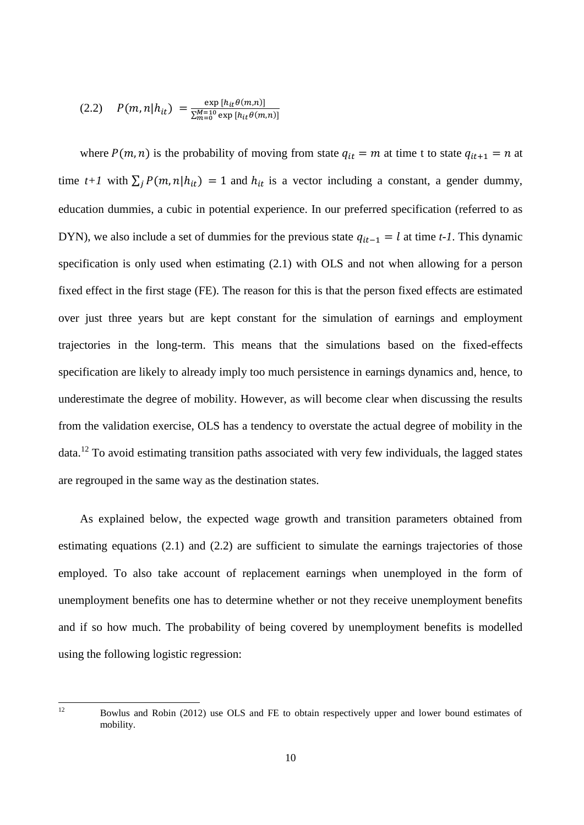$$
(2.2) \quad P(m,n|h_{it}) = \frac{\exp\left[h_{it}\theta(m,n)\right]}{\sum_{m=0}^{M=10} \exp\left[h_{it}\theta(m,n)\right]}
$$

where  $P(m, n)$  is the probability of moving from state  $q_{it} = m$  at time t to state  $q_{it+1} = n$  at time  $t+1$  with  $\sum_j P(m,n|h_{it}) = 1$  and  $h_{it}$  is a vector including a constant, a gender dummy, education dummies, a cubic in potential experience. In our preferred specification (referred to as DYN), we also include a set of dummies for the previous state  $q_{it-1} = l$  at time *t-1*. This dynamic specification is only used when estimating (2.1) with OLS and not when allowing for a person fixed effect in the first stage (FE). The reason for this is that the person fixed effects are estimated over just three years but are kept constant for the simulation of earnings and employment trajectories in the long-term. This means that the simulations based on the fixed-effects specification are likely to already imply too much persistence in earnings dynamics and, hence, to underestimate the degree of mobility. However, as will become clear when discussing the results from the validation exercise, OLS has a tendency to overstate the actual degree of mobility in the data.<sup>12</sup> To avoid estimating transition paths associated with very few individuals, the lagged states are regrouped in the same way as the destination states.

As explained below, the expected wage growth and transition parameters obtained from estimating equations (2.1) and (2.2) are sufficient to simulate the earnings trajectories of those employed. To also take account of replacement earnings when unemployed in the form of unemployment benefits one has to determine whether or not they receive unemployment benefits and if so how much. The probability of being covered by unemployment benefits is modelled using the following logistic regression:

 $12$ <sup>12</sup> Bowlus and Robin (2012) use OLS and FE to obtain respectively upper and lower bound estimates of mobility.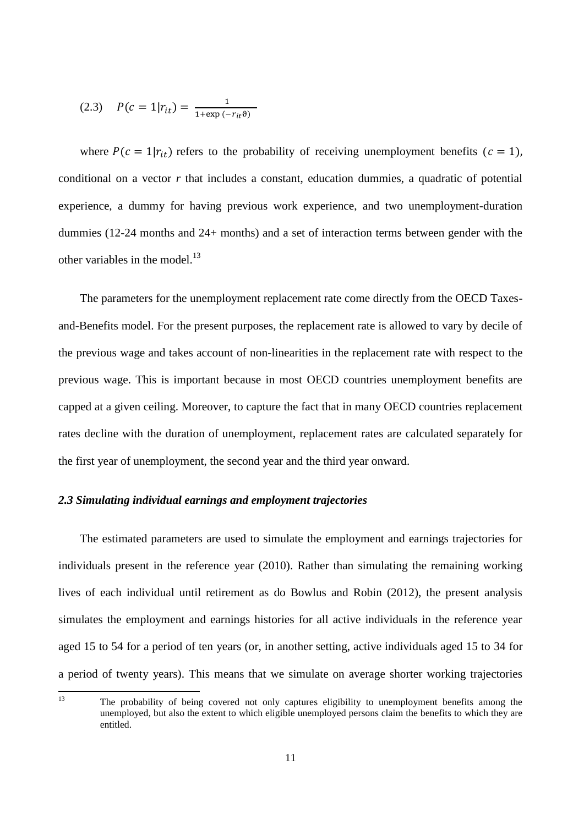(2.3) 
$$
P(c = 1|r_{it}) = \frac{1}{1 + \exp(-r_{it}\theta)}
$$

where  $P(c = 1|r_{it})$  refers to the probability of receiving unemployment benefits ( $c = 1$ ), conditional on a vector  $r$  that includes a constant, education dummies, a quadratic of potential experience, a dummy for having previous work experience, and two unemployment-duration dummies (12-24 months and 24+ months) and a set of interaction terms between gender with the other variables in the model.<sup>13</sup>

The parameters for the unemployment replacement rate come directly from the OECD Taxesand-Benefits model. For the present purposes, the replacement rate is allowed to vary by decile of the previous wage and takes account of non-linearities in the replacement rate with respect to the previous wage. This is important because in most OECD countries unemployment benefits are capped at a given ceiling. Moreover, to capture the fact that in many OECD countries replacement rates decline with the duration of unemployment, replacement rates are calculated separately for the first year of unemployment, the second year and the third year onward.

#### *2.3 Simulating individual earnings and employment trajectories*

The estimated parameters are used to simulate the employment and earnings trajectories for individuals present in the reference year (2010). Rather than simulating the remaining working lives of each individual until retirement as do Bowlus and Robin (2012), the present analysis simulates the employment and earnings histories for all active individuals in the reference year aged 15 to 54 for a period of ten years (or, in another setting, active individuals aged 15 to 34 for a period of twenty years). This means that we simulate on average shorter working trajectories

The probability of being covered not only captures eligibility to unemployment benefits among the unemployed, but also the extent to which eligible unemployed persons claim the benefits to which they are entitled.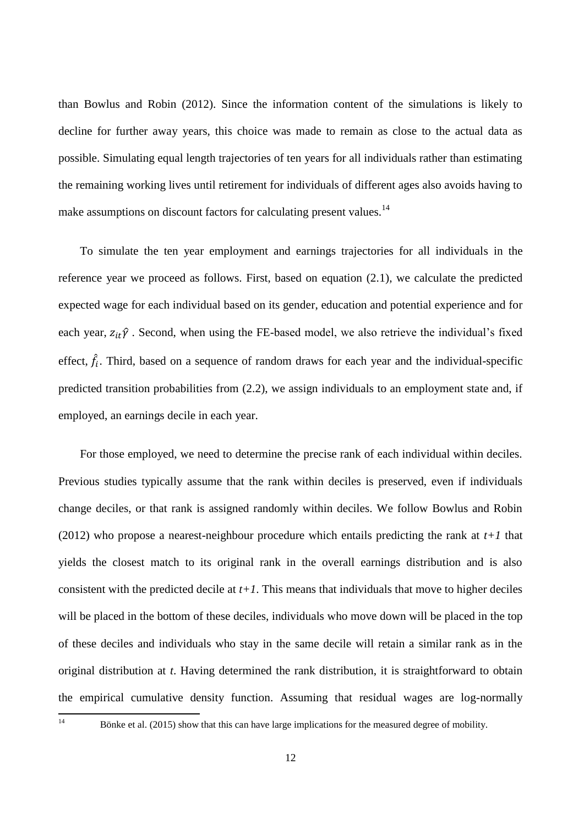than Bowlus and Robin (2012). Since the information content of the simulations is likely to decline for further away years, this choice was made to remain as close to the actual data as possible. Simulating equal length trajectories of ten years for all individuals rather than estimating the remaining working lives until retirement for individuals of different ages also avoids having to make assumptions on discount factors for calculating present values.<sup>14</sup>

To simulate the ten year employment and earnings trajectories for all individuals in the reference year we proceed as follows. First, based on equation (2.1), we calculate the predicted expected wage for each individual based on its gender, education and potential experience and for each year,  $z_{it}\hat{y}$ . Second, when using the FE-based model, we also retrieve the individual's fixed effect,  $\hat{f}_i$ . Third, based on a sequence of random draws for each year and the individual-specific predicted transition probabilities from (2.2), we assign individuals to an employment state and, if employed, an earnings decile in each year.

For those employed, we need to determine the precise rank of each individual within deciles. Previous studies typically assume that the rank within deciles is preserved, even if individuals change deciles, or that rank is assigned randomly within deciles. We follow Bowlus and Robin (2012) who propose a nearest-neighbour procedure which entails predicting the rank at *t+1* that yields the closest match to its original rank in the overall earnings distribution and is also consistent with the predicted decile at  $t+1$ . This means that individuals that move to higher deciles will be placed in the bottom of these deciles, individuals who move down will be placed in the top of these deciles and individuals who stay in the same decile will retain a similar rank as in the original distribution at *t*. Having determined the rank distribution, it is straightforward to obtain the empirical cumulative density function. Assuming that residual wages are log-normally

Bönke et al. (2015) show that this can have large implications for the measured degree of mobility.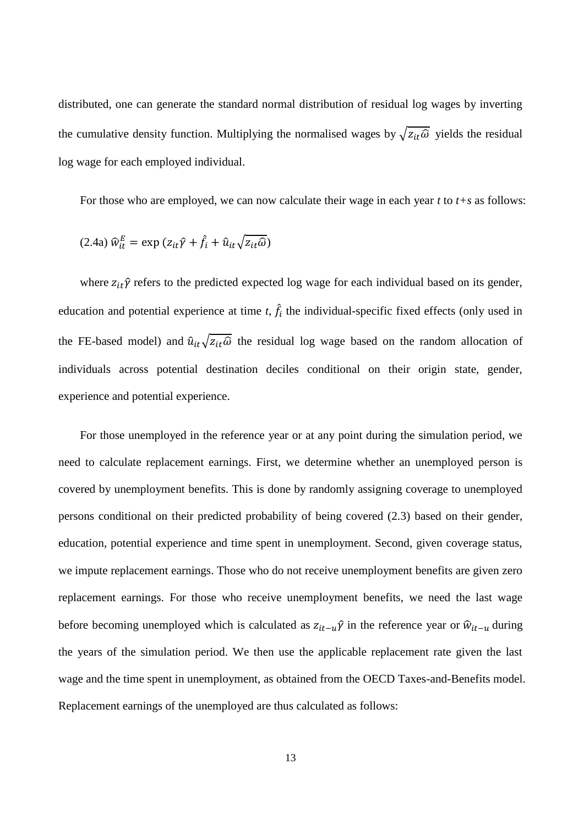distributed, one can generate the standard normal distribution of residual log wages by inverting the cumulative density function. Multiplying the normalised wages by  $\sqrt{z_{it}\hat{\omega}}$  yields the residual log wage for each employed individual.

For those who are employed, we can now calculate their wage in each year *t* to *t+s* as follows:

$$
(2.4a) \,\hat{w}_{it}^E = \exp(z_{it}\hat{y} + \hat{f}_i + \hat{u}_{it}\sqrt{z_{it}\hat{\omega}})
$$

where  $z_{it}\hat{\gamma}$  refers to the predicted expected log wage for each individual based on its gender, education and potential experience at time  $t$ ,  $\hat{f}_i$  the individual-specific fixed effects (only used in the FE-based model) and  $\hat{u}_{it}\sqrt{z_{it}\hat{\omega}}$  the residual log wage based on the random allocation of individuals across potential destination deciles conditional on their origin state, gender, experience and potential experience.

For those unemployed in the reference year or at any point during the simulation period, we need to calculate replacement earnings. First, we determine whether an unemployed person is covered by unemployment benefits. This is done by randomly assigning coverage to unemployed persons conditional on their predicted probability of being covered (2.3) based on their gender, education, potential experience and time spent in unemployment. Second, given coverage status, we impute replacement earnings. Those who do not receive unemployment benefits are given zero replacement earnings. For those who receive unemployment benefits, we need the last wage before becoming unemployed which is calculated as  $z_{it-u} \hat{y}$  in the reference year or  $\hat{w}_{it-u}$  during the years of the simulation period. We then use the applicable replacement rate given the last wage and the time spent in unemployment, as obtained from the OECD Taxes-and-Benefits model. Replacement earnings of the unemployed are thus calculated as follows: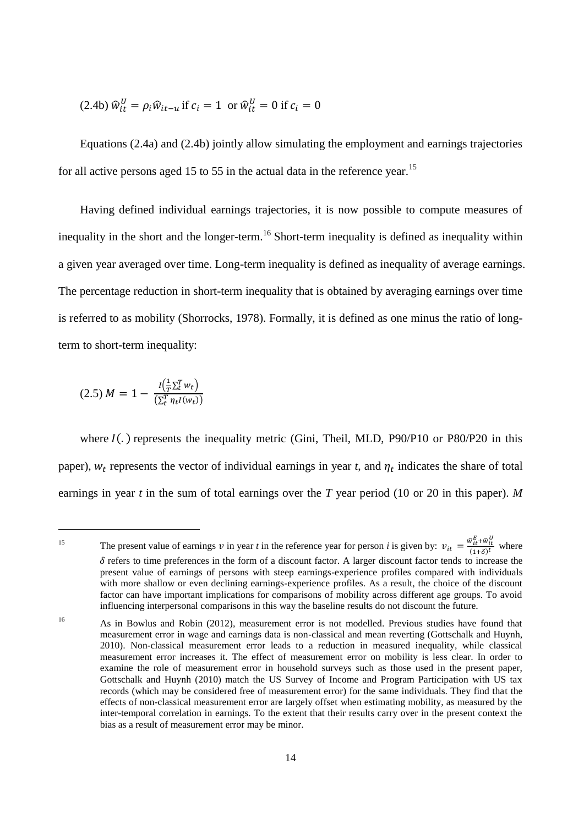(2.4b) 
$$
\hat{w}_{it}^U = \rho_i \hat{w}_{it-u}
$$
 if  $c_i = 1$  or  $\hat{w}_{it}^U = 0$  if  $c_i = 0$ 

Equations (2.4a) and (2.4b) jointly allow simulating the employment and earnings trajectories for all active persons aged 15 to 55 in the actual data in the reference year.<sup>15</sup>

Having defined individual earnings trajectories, it is now possible to compute measures of inequality in the short and the longer-term.<sup>16</sup> Short-term inequality is defined as inequality within a given year averaged over time. Long-term inequality is defined as inequality of average earnings. The percentage reduction in short-term inequality that is obtained by averaging earnings over time is referred to as mobility (Shorrocks, 1978). Formally, it is defined as one minus the ratio of longterm to short-term inequality:

$$
(2.5) M = 1 - \frac{I(\frac{1}{T}\Sigma_t^T w_t)}{(\Sigma_t^T \eta_t I(w_t))}
$$

where  $I(.)$  represents the inequality metric (Gini, Theil, MLD, P90/P10 or P80/P20 in this paper),  $w_t$  represents the vector of individual earnings in year  $t$ , and  $\eta_t$  indicates the share of total earnings in year *t* in the sum of total earnings over the *T* year period (10 or 20 in this paper). *M*

<sup>&</sup>lt;sup>15</sup> The present value of earnings v in year t in the reference year for person *i* is given by:  $v_{it} = \frac{\hat{w}_{it}^E + \hat{w}_{it}^U}{\hat{w}_{it}^E + \hat{w}_{it}^U}$  $\frac{w_{it}+w_{it}}{(1+\delta)^t}$  where  $\delta$  refers to time preferences in the form of a discount factor. A larger discount factor tends to increase the present value of earnings of persons with steep earnings-experience profiles compared with individuals with more shallow or even declining earnings-experience profiles. As a result, the choice of the discount factor can have important implications for comparisons of mobility across different age groups. To avoid influencing interpersonal comparisons in this way the baseline results do not discount the future.

<sup>&</sup>lt;sup>16</sup> As in Bowlus and Robin (2012), measurement error is not modelled. Previous studies have found that measurement error in wage and earnings data is non-classical and mean reverting (Gottschalk and Huynh, 2010). Non-classical measurement error leads to a reduction in measured inequality, while classical measurement error increases it. The effect of measurement error on mobility is less clear. In order to examine the role of measurement error in household surveys such as those used in the present paper, Gottschalk and Huynh (2010) match the US Survey of Income and Program Participation with US tax records (which may be considered free of measurement error) for the same individuals. They find that the effects of non-classical measurement error are largely offset when estimating mobility, as measured by the inter-temporal correlation in earnings. To the extent that their results carry over in the present context the bias as a result of measurement error may be minor.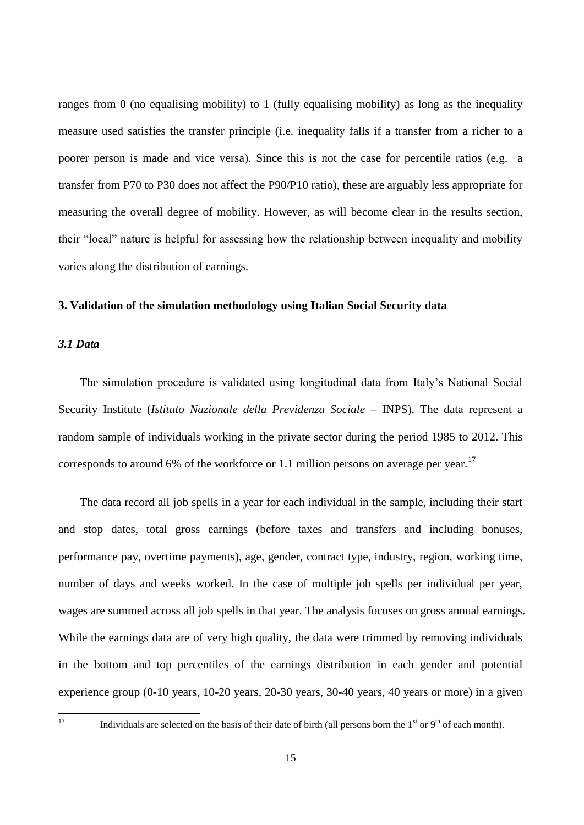ranges from 0 (no equalising mobility) to 1 (fully equalising mobility) as long as the inequality measure used satisfies the transfer principle (i.e. inequality falls if a transfer from a richer to a poorer person is made and vice versa). Since this is not the case for percentile ratios (e.g. a transfer from P70 to P30 does not affect the P90/P10 ratio), these are arguably less appropriate for measuring the overall degree of mobility. However, as will become clear in the results section, their "local" nature is helpful for assessing how the relationship between inequality and mobility varies along the distribution of earnings.

#### **3. Validation of the simulation methodology using Italian Social Security data**

#### *3.1 Data*

The simulation procedure is validated using longitudinal data from Italy's National Social Security Institute (*Istituto Nazionale della Previdenza Sociale* – INPS). The data represent a random sample of individuals working in the private sector during the period 1985 to 2012. This corresponds to around 6% of the workforce or 1.1 million persons on average per year.<sup>17</sup>

The data record all job spells in a year for each individual in the sample, including their start and stop dates, total gross earnings (before taxes and transfers and including bonuses, performance pay, overtime payments), age, gender, contract type, industry, region, working time, number of days and weeks worked. In the case of multiple job spells per individual per year, wages are summed across all job spells in that year. The analysis focuses on gross annual earnings. While the earnings data are of very high quality, the data were trimmed by removing individuals in the bottom and top percentiles of the earnings distribution in each gender and potential experience group (0-10 years, 10-20 years, 20-30 years, 30-40 years, 40 years or more) in a given

Individuals are selected on the basis of their date of birth (all persons born the  $1<sup>st</sup>$  or  $9<sup>th</sup>$  of each month).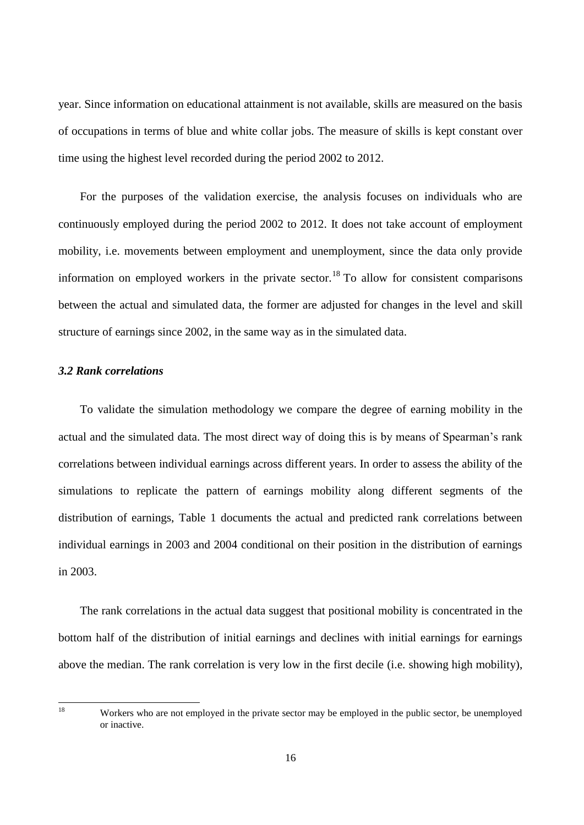year. Since information on educational attainment is not available, skills are measured on the basis of occupations in terms of blue and white collar jobs. The measure of skills is kept constant over time using the highest level recorded during the period 2002 to 2012.

For the purposes of the validation exercise, the analysis focuses on individuals who are continuously employed during the period 2002 to 2012. It does not take account of employment mobility, i.e. movements between employment and unemployment, since the data only provide information on employed workers in the private sector.<sup>18</sup> To allow for consistent comparisons between the actual and simulated data, the former are adjusted for changes in the level and skill structure of earnings since 2002, in the same way as in the simulated data.

#### *3.2 Rank correlations*

To validate the simulation methodology we compare the degree of earning mobility in the actual and the simulated data. The most direct way of doing this is by means of Spearman's rank correlations between individual earnings across different years. In order to assess the ability of the simulations to replicate the pattern of earnings mobility along different segments of the distribution of earnings, Table 1 documents the actual and predicted rank correlations between individual earnings in 2003 and 2004 conditional on their position in the distribution of earnings in 2003.

The rank correlations in the actual data suggest that positional mobility is concentrated in the bottom half of the distribution of initial earnings and declines with initial earnings for earnings above the median. The rank correlation is very low in the first decile (i.e. showing high mobility),

<sup>18</sup> Workers who are not employed in the private sector may be employed in the public sector, be unemployed or inactive.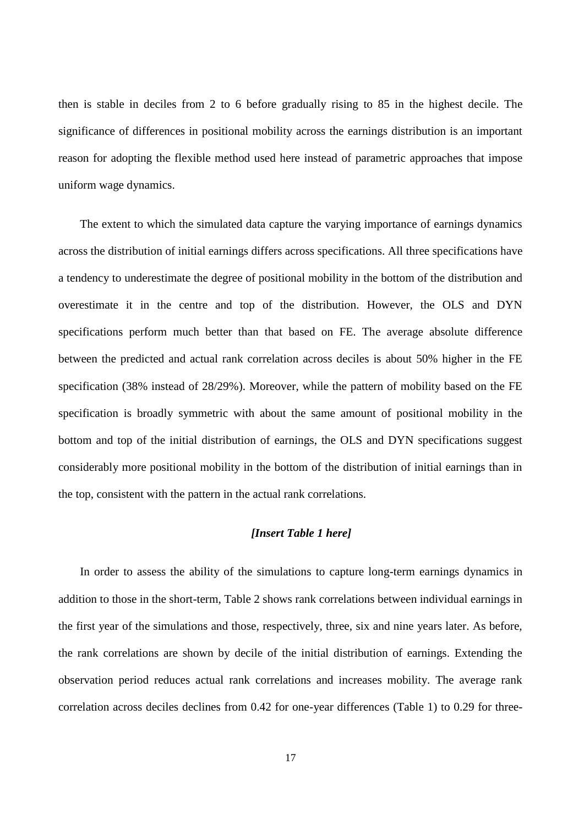then is stable in deciles from 2 to 6 before gradually rising to 85 in the highest decile. The significance of differences in positional mobility across the earnings distribution is an important reason for adopting the flexible method used here instead of parametric approaches that impose uniform wage dynamics.

The extent to which the simulated data capture the varying importance of earnings dynamics across the distribution of initial earnings differs across specifications. All three specifications have a tendency to underestimate the degree of positional mobility in the bottom of the distribution and overestimate it in the centre and top of the distribution. However, the OLS and DYN specifications perform much better than that based on FE. The average absolute difference between the predicted and actual rank correlation across deciles is about 50% higher in the FE specification (38% instead of 28/29%). Moreover, while the pattern of mobility based on the FE specification is broadly symmetric with about the same amount of positional mobility in the bottom and top of the initial distribution of earnings, the OLS and DYN specifications suggest considerably more positional mobility in the bottom of the distribution of initial earnings than in the top, consistent with the pattern in the actual rank correlations.

#### *[Insert Table 1 here]*

In order to assess the ability of the simulations to capture long-term earnings dynamics in addition to those in the short-term, Table 2 shows rank correlations between individual earnings in the first year of the simulations and those, respectively, three, six and nine years later. As before, the rank correlations are shown by decile of the initial distribution of earnings. Extending the observation period reduces actual rank correlations and increases mobility. The average rank correlation across deciles declines from 0.42 for one-year differences (Table 1) to 0.29 for three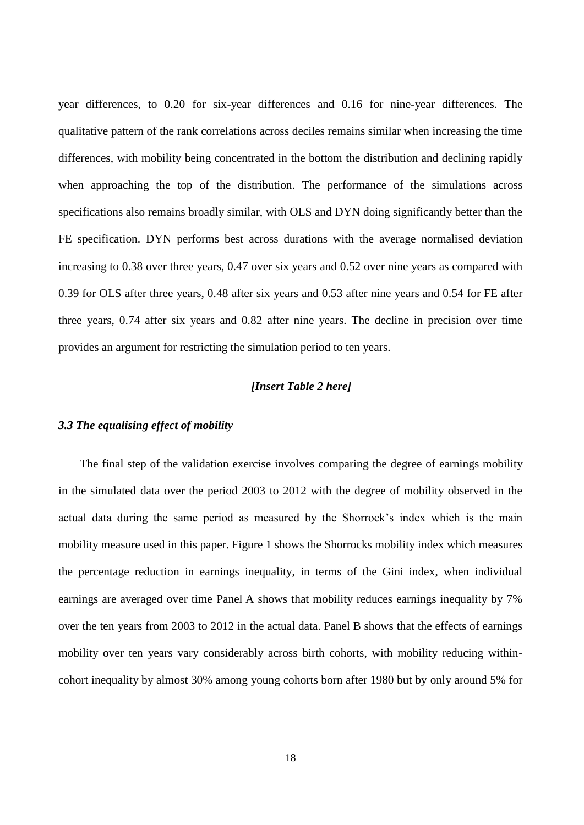year differences, to 0.20 for six-year differences and 0.16 for nine-year differences. The qualitative pattern of the rank correlations across deciles remains similar when increasing the time differences, with mobility being concentrated in the bottom the distribution and declining rapidly when approaching the top of the distribution. The performance of the simulations across specifications also remains broadly similar, with OLS and DYN doing significantly better than the FE specification. DYN performs best across durations with the average normalised deviation increasing to 0.38 over three years, 0.47 over six years and 0.52 over nine years as compared with 0.39 for OLS after three years, 0.48 after six years and 0.53 after nine years and 0.54 for FE after three years, 0.74 after six years and 0.82 after nine years. The decline in precision over time provides an argument for restricting the simulation period to ten years.

#### *[Insert Table 2 here]*

#### *3.3 The equalising effect of mobility*

The final step of the validation exercise involves comparing the degree of earnings mobility in the simulated data over the period 2003 to 2012 with the degree of mobility observed in the actual data during the same period as measured by the Shorrock's index which is the main mobility measure used in this paper. Figure 1 shows the Shorrocks mobility index which measures the percentage reduction in earnings inequality, in terms of the Gini index, when individual earnings are averaged over time Panel A shows that mobility reduces earnings inequality by 7% over the ten years from 2003 to 2012 in the actual data. Panel B shows that the effects of earnings mobility over ten years vary considerably across birth cohorts, with mobility reducing withincohort inequality by almost 30% among young cohorts born after 1980 but by only around 5% for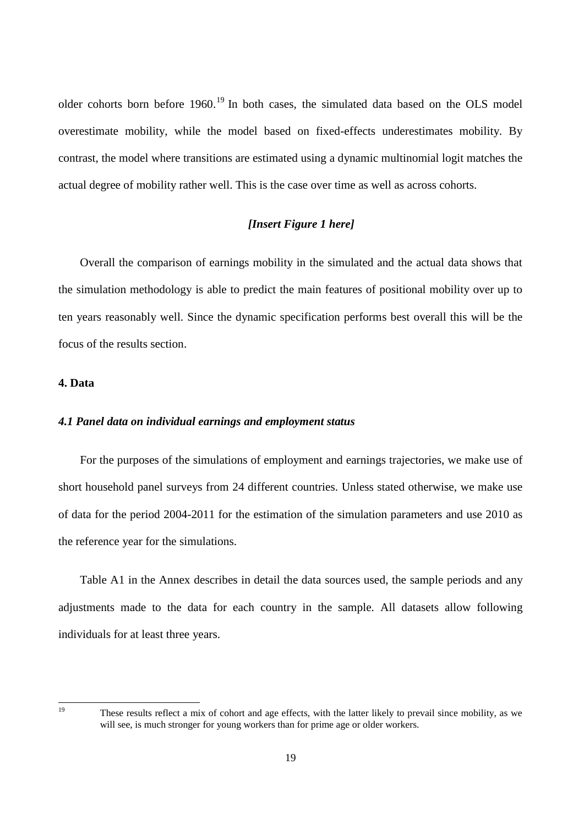older cohorts born before 1960.<sup>19</sup> In both cases, the simulated data based on the OLS model overestimate mobility, while the model based on fixed-effects underestimates mobility. By contrast, the model where transitions are estimated using a dynamic multinomial logit matches the actual degree of mobility rather well. This is the case over time as well as across cohorts.

#### *[Insert Figure 1 here]*

Overall the comparison of earnings mobility in the simulated and the actual data shows that the simulation methodology is able to predict the main features of positional mobility over up to ten years reasonably well. Since the dynamic specification performs best overall this will be the focus of the results section.

#### **4. Data**

#### *4.1 Panel data on individual earnings and employment status*

For the purposes of the simulations of employment and earnings trajectories, we make use of short household panel surveys from 24 different countries. Unless stated otherwise, we make use of data for the period 2004-2011 for the estimation of the simulation parameters and use 2010 as the reference year for the simulations.

Table A1 in the Annex describes in detail the data sources used, the sample periods and any adjustments made to the data for each country in the sample. All datasets allow following individuals for at least three years.

These results reflect a mix of cohort and age effects, with the latter likely to prevail since mobility, as we will see, is much stronger for young workers than for prime age or older workers.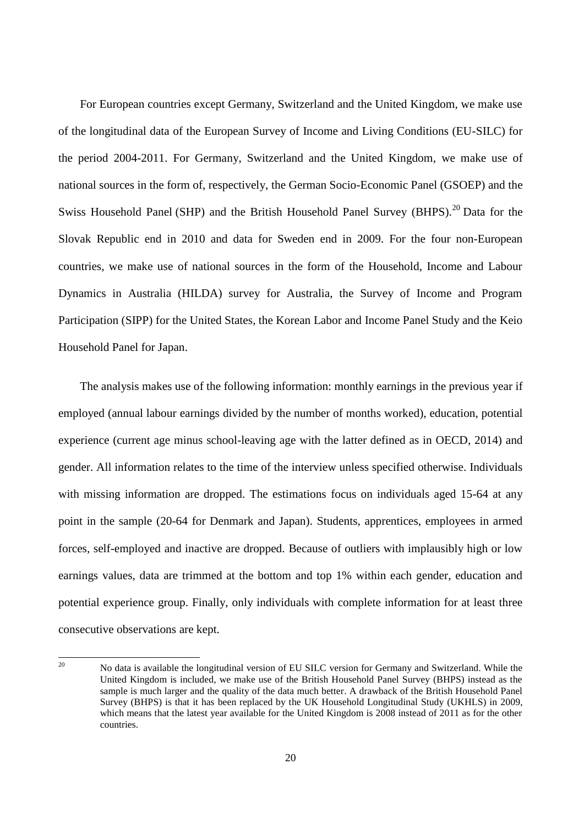For European countries except Germany, Switzerland and the United Kingdom, we make use of the longitudinal data of the European Survey of Income and Living Conditions (EU-SILC) for the period 2004-2011. For Germany, Switzerland and the United Kingdom, we make use of national sources in the form of, respectively, the German Socio-Economic Panel (GSOEP) and the Swiss Household Panel (SHP) and the British Household Panel Survey (BHPS).<sup>20</sup> Data for the Slovak Republic end in 2010 and data for Sweden end in 2009. For the four non-European countries, we make use of national sources in the form of the Household, Income and Labour Dynamics in Australia (HILDA) survey for Australia, the Survey of Income and Program Participation (SIPP) for the United States, the Korean Labor and Income Panel Study and the Keio Household Panel for Japan.

The analysis makes use of the following information: monthly earnings in the previous year if employed (annual labour earnings divided by the number of months worked), education, potential experience (current age minus school-leaving age with the latter defined as in OECD, 2014) and gender. All information relates to the time of the interview unless specified otherwise. Individuals with missing information are dropped. The estimations focus on individuals aged 15-64 at any point in the sample (20-64 for Denmark and Japan). Students, apprentices, employees in armed forces, self-employed and inactive are dropped. Because of outliers with implausibly high or low earnings values, data are trimmed at the bottom and top 1% within each gender, education and potential experience group. Finally, only individuals with complete information for at least three consecutive observations are kept.

 $20^{\circ}$ <sup>20</sup> No data is available the longitudinal version of EU SILC version for Germany and Switzerland. While the United Kingdom is included, we make use of the British Household Panel Survey (BHPS) instead as the sample is much larger and the quality of the data much better. A drawback of the British Household Panel Survey (BHPS) is that it has been replaced by the UK Household Longitudinal Study (UKHLS) in 2009, which means that the latest year available for the United Kingdom is 2008 instead of 2011 as for the other countries.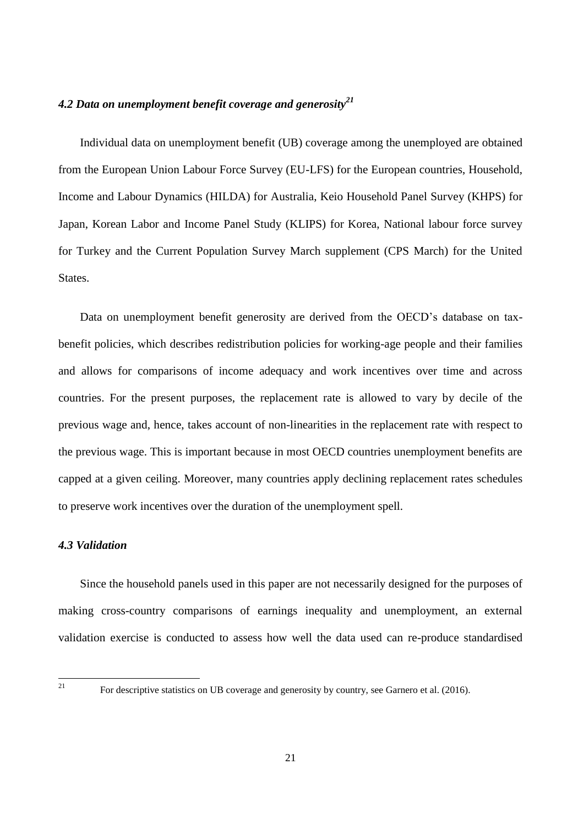#### *4.2 Data on unemployment benefit coverage and generosity<sup>21</sup>*

Individual data on unemployment benefit (UB) coverage among the unemployed are obtained from the European Union Labour Force Survey (EU-LFS) for the European countries, Household, Income and Labour Dynamics (HILDA) for Australia, Keio Household Panel Survey (KHPS) for Japan, Korean Labor and Income Panel Study (KLIPS) for Korea, National labour force survey for Turkey and the Current Population Survey March supplement (CPS March) for the United States.

Data on unemployment benefit generosity are derived from the OECD's database on taxbenefit policies, which describes redistribution policies for working-age people and their families and allows for comparisons of income adequacy and work incentives over time and across countries. For the present purposes, the replacement rate is allowed to vary by decile of the previous wage and, hence, takes account of non-linearities in the replacement rate with respect to the previous wage. This is important because in most OECD countries unemployment benefits are capped at a given ceiling. Moreover, many countries apply declining replacement rates schedules to preserve work incentives over the duration of the unemployment spell.

#### *4.3 Validation*

Since the household panels used in this paper are not necessarily designed for the purposes of making cross-country comparisons of earnings inequality and unemployment, an external validation exercise is conducted to assess how well the data used can re-produce standardised

<sup>21</sup> For descriptive statistics on UB coverage and generosity by country, see Garnero et al. (2016).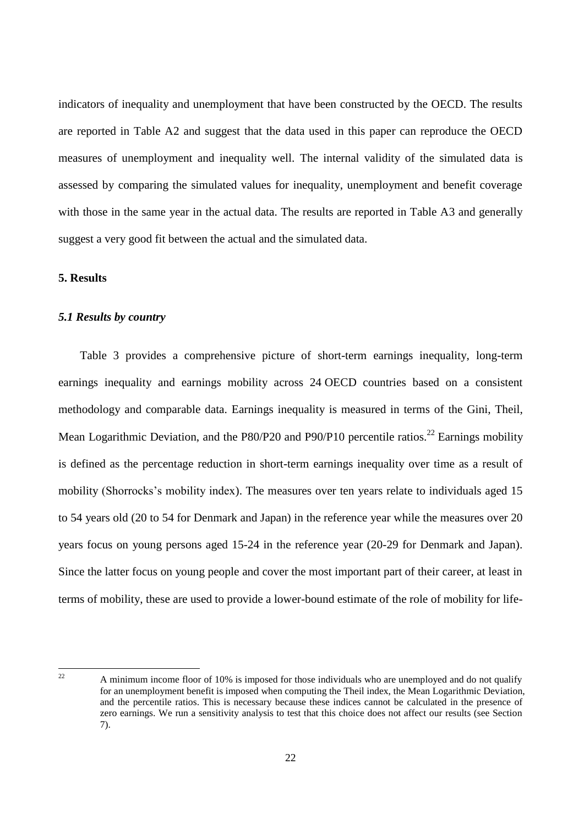indicators of inequality and unemployment that have been constructed by the OECD. The results are reported in Table A2 and suggest that the data used in this paper can reproduce the OECD measures of unemployment and inequality well. The internal validity of the simulated data is assessed by comparing the simulated values for inequality, unemployment and benefit coverage with those in the same year in the actual data. The results are reported in Table A3 and generally suggest a very good fit between the actual and the simulated data.

#### **5. Results**

#### *5.1 Results by country*

Table 3 provides a comprehensive picture of short-term earnings inequality, long-term earnings inequality and earnings mobility across 24 OECD countries based on a consistent methodology and comparable data. Earnings inequality is measured in terms of the Gini, Theil, Mean Logarithmic Deviation, and the P80/P20 and P90/P10 percentile ratios.<sup>22</sup> Earnings mobility is defined as the percentage reduction in short-term earnings inequality over time as a result of mobility (Shorrocks's mobility index). The measures over ten years relate to individuals aged 15 to 54 years old (20 to 54 for Denmark and Japan) in the reference year while the measures over 20 years focus on young persons aged 15-24 in the reference year (20-29 for Denmark and Japan). Since the latter focus on young people and cover the most important part of their career, at least in terms of mobility, these are used to provide a lower-bound estimate of the role of mobility for life-

 $\overline{1}$ 

<sup>22</sup> A minimum income floor of 10% is imposed for those individuals who are unemployed and do not qualify for an unemployment benefit is imposed when computing the Theil index, the Mean Logarithmic Deviation, and the percentile ratios. This is necessary because these indices cannot be calculated in the presence of zero earnings. We run a sensitivity analysis to test that this choice does not affect our results (see Section 7).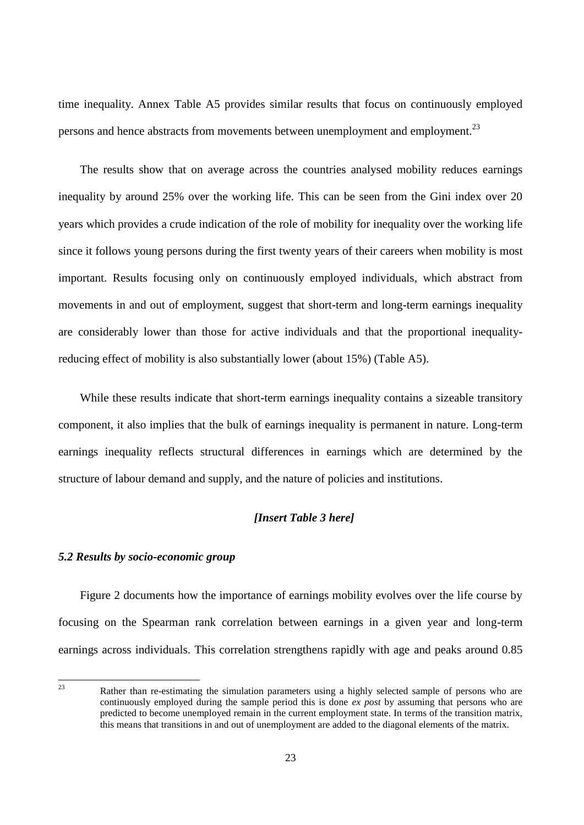time inequality. Annex Table A5 provides similar results that focus on continuously employed persons and hence abstracts from movements between unemployment and employment.<sup>23</sup>

The results show that on average across the countries analysed mobility reduces earnings inequality by around 25% over the working life. This can be seen from the Gini index over 20 years which provides a crude indication of the role of mobility for inequality over the working life since it follows young persons during the first twenty years of their careers when mobility is most important. Results focusing only on continuously employed individuals, which abstract from movements in and out of employment, suggest that short-term and long-term earnings inequality are considerably lower than those for active individuals and that the proportional inequalityreducing effect of mobility is also substantially lower (about 15%) (Table A5).

While these results indicate that short-term earnings inequality contains a sizeable transitory component, it also implies that the bulk of earnings inequality is permanent in nature. Long-term earnings inequality reflects structural differences in earnings which are determined by the structure of labour demand and supply, and the nature of policies and institutions.

#### *[Insert Table 3 here]*

#### *5.2 Results by socio-economic group*

Figure 2 documents how the importance of earnings mobility evolves over the life course by focusing on the Spearman rank correlation between earnings in a given year and long-term earnings across individuals. This correlation strengthens rapidly with age and peaks around 0.85

 $23$ Rather than re-estimating the simulation parameters using a highly selected sample of persons who are continuously employed during the sample period this is done *ex post* by assuming that persons who are predicted to become unemployed remain in the current employment state. In terms of the transition matrix, this means that transitions in and out of unemployment are added to the diagonal elements of the matrix.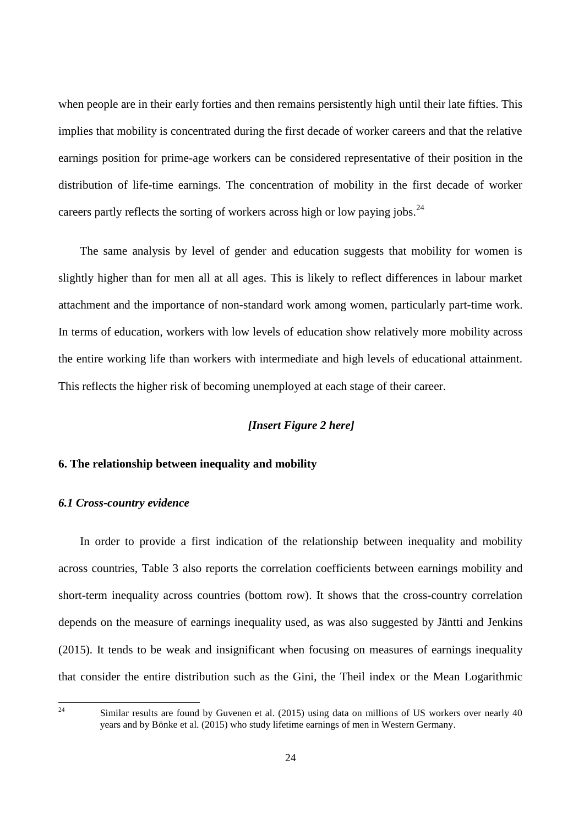when people are in their early forties and then remains persistently high until their late fifties. This implies that mobility is concentrated during the first decade of worker careers and that the relative earnings position for prime-age workers can be considered representative of their position in the distribution of life-time earnings. The concentration of mobility in the first decade of worker careers partly reflects the sorting of workers across high or low paying jobs.<sup>24</sup>

The same analysis by level of gender and education suggests that mobility for women is slightly higher than for men all at all ages. This is likely to reflect differences in labour market attachment and the importance of non-standard work among women, particularly part-time work. In terms of education, workers with low levels of education show relatively more mobility across the entire working life than workers with intermediate and high levels of educational attainment. This reflects the higher risk of becoming unemployed at each stage of their career.

### *[Insert Figure 2 here]*

#### **6. The relationship between inequality and mobility**

#### *6.1 Cross-country evidence*

In order to provide a first indication of the relationship between inequality and mobility across countries, Table 3 also reports the correlation coefficients between earnings mobility and short-term inequality across countries (bottom row). It shows that the cross-country correlation depends on the measure of earnings inequality used, as was also suggested by Jäntti and Jenkins (2015). It tends to be weak and insignificant when focusing on measures of earnings inequality that consider the entire distribution such as the Gini, the Theil index or the Mean Logarithmic

Similar results are found by Guvenen et al. (2015) using data on millions of US workers over nearly 40 years and by Bönke et al. (2015) who study lifetime earnings of men in Western Germany.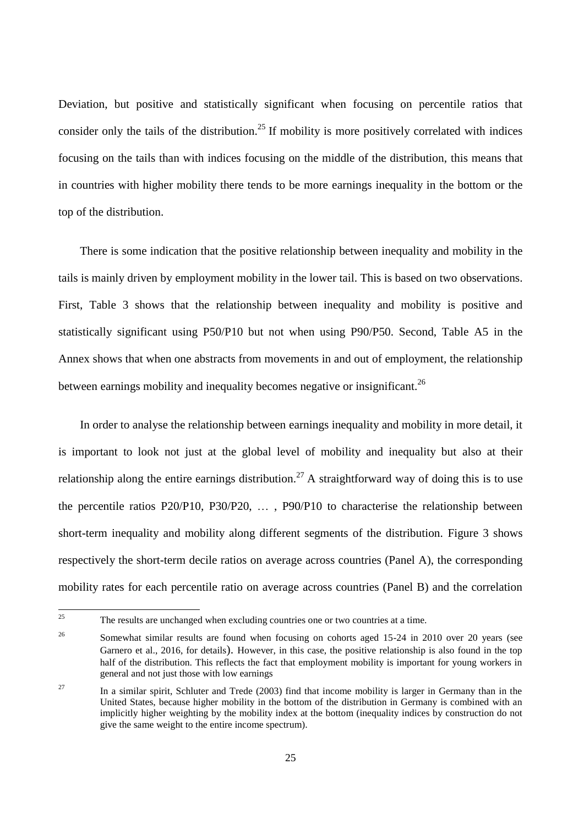Deviation, but positive and statistically significant when focusing on percentile ratios that consider only the tails of the distribution.<sup>25</sup> If mobility is more positively correlated with indices focusing on the tails than with indices focusing on the middle of the distribution, this means that in countries with higher mobility there tends to be more earnings inequality in the bottom or the top of the distribution.

There is some indication that the positive relationship between inequality and mobility in the tails is mainly driven by employment mobility in the lower tail. This is based on two observations. First, Table 3 shows that the relationship between inequality and mobility is positive and statistically significant using P50/P10 but not when using P90/P50. Second, Table A5 in the Annex shows that when one abstracts from movements in and out of employment, the relationship between earnings mobility and inequality becomes negative or insignificant.<sup>26</sup>

In order to analyse the relationship between earnings inequality and mobility in more detail, it is important to look not just at the global level of mobility and inequality but also at their relationship along the entire earnings distribution.<sup>27</sup> A straightforward way of doing this is to use the percentile ratios P20/P10, P30/P20, … , P90/P10 to characterise the relationship between short-term inequality and mobility along different segments of the distribution. Figure 3 shows respectively the short-term decile ratios on average across countries (Panel A), the corresponding mobility rates for each percentile ratio on average across countries (Panel B) and the correlation

 $25$ The results are unchanged when excluding countries one or two countries at a time.

<sup>&</sup>lt;sup>26</sup> Somewhat similar results are found when focusing on cohorts aged 15-24 in 2010 over 20 years (see Garnero et al., 2016, for details). However, in this case, the positive relationship is also found in the top half of the distribution. This reflects the fact that employment mobility is important for young workers in general and not just those with low earnings

<sup>&</sup>lt;sup>27</sup> In a similar spirit, Schluter and Trede (2003) find that income mobility is larger in Germany than in the United States, because higher mobility in the bottom of the distribution in Germany is combined with an implicitly higher weighting by the mobility index at the bottom (inequality indices by construction do not give the same weight to the entire income spectrum).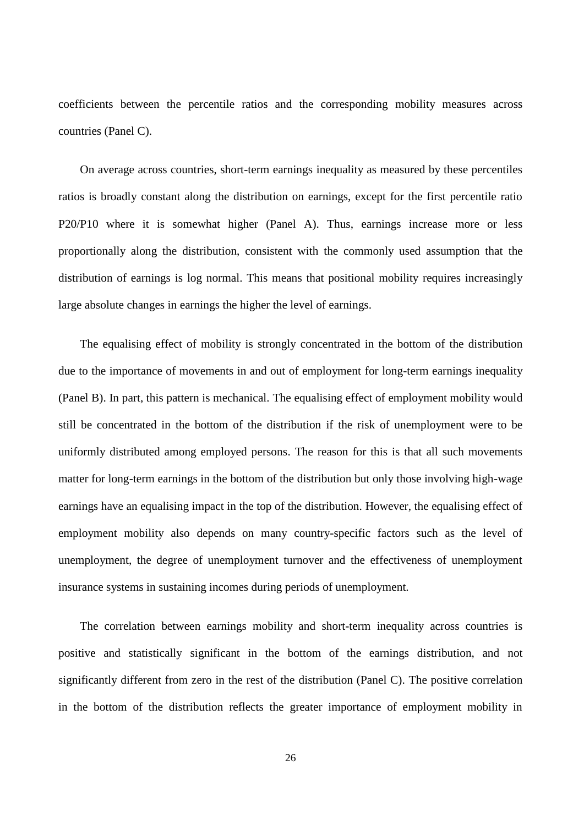coefficients between the percentile ratios and the corresponding mobility measures across countries (Panel C).

On average across countries, short-term earnings inequality as measured by these percentiles ratios is broadly constant along the distribution on earnings, except for the first percentile ratio P20/P10 where it is somewhat higher (Panel A). Thus, earnings increase more or less proportionally along the distribution, consistent with the commonly used assumption that the distribution of earnings is log normal. This means that positional mobility requires increasingly large absolute changes in earnings the higher the level of earnings.

The equalising effect of mobility is strongly concentrated in the bottom of the distribution due to the importance of movements in and out of employment for long-term earnings inequality (Panel B). In part, this pattern is mechanical. The equalising effect of employment mobility would still be concentrated in the bottom of the distribution if the risk of unemployment were to be uniformly distributed among employed persons. The reason for this is that all such movements matter for long-term earnings in the bottom of the distribution but only those involving high-wage earnings have an equalising impact in the top of the distribution. However, the equalising effect of employment mobility also depends on many country-specific factors such as the level of unemployment, the degree of unemployment turnover and the effectiveness of unemployment insurance systems in sustaining incomes during periods of unemployment.

The correlation between earnings mobility and short-term inequality across countries is positive and statistically significant in the bottom of the earnings distribution, and not significantly different from zero in the rest of the distribution (Panel C). The positive correlation in the bottom of the distribution reflects the greater importance of employment mobility in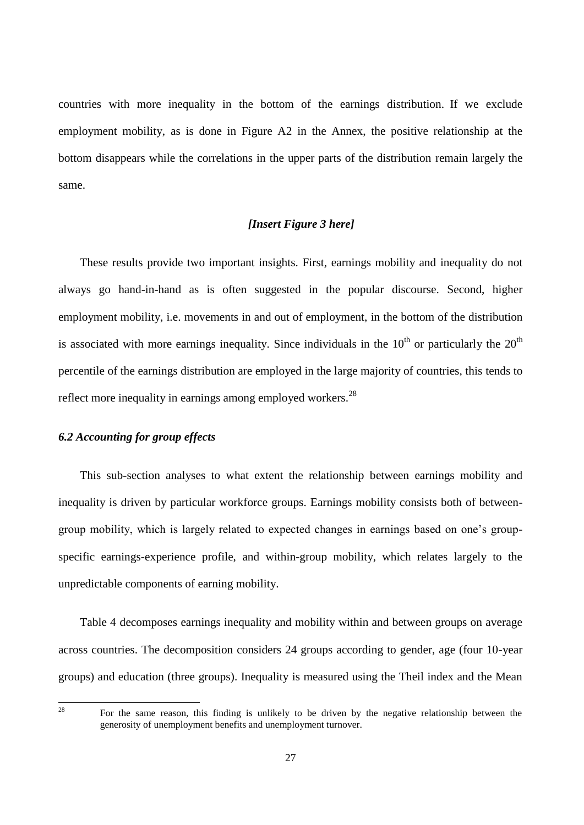countries with more inequality in the bottom of the earnings distribution. If we exclude employment mobility, as is done in Figure A2 in the Annex, the positive relationship at the bottom disappears while the correlations in the upper parts of the distribution remain largely the same.

#### *[Insert Figure 3 here]*

These results provide two important insights. First, earnings mobility and inequality do not always go hand-in-hand as is often suggested in the popular discourse. Second, higher employment mobility, i.e. movements in and out of employment, in the bottom of the distribution is associated with more earnings inequality. Since individuals in the  $10^{th}$  or particularly the  $20^{th}$ percentile of the earnings distribution are employed in the large majority of countries, this tends to reflect more inequality in earnings among employed workers.<sup>28</sup>

## *6.2 Accounting for group effects*

This sub-section analyses to what extent the relationship between earnings mobility and inequality is driven by particular workforce groups. Earnings mobility consists both of betweengroup mobility, which is largely related to expected changes in earnings based on one's groupspecific earnings-experience profile, and within-group mobility, which relates largely to the unpredictable components of earning mobility.

Table 4 decomposes earnings inequality and mobility within and between groups on average across countries. The decomposition considers 24 groups according to gender, age (four 10-year groups) and education (three groups). Inequality is measured using the Theil index and the Mean

<sup>28</sup> For the same reason, this finding is unlikely to be driven by the negative relationship between the generosity of unemployment benefits and unemployment turnover.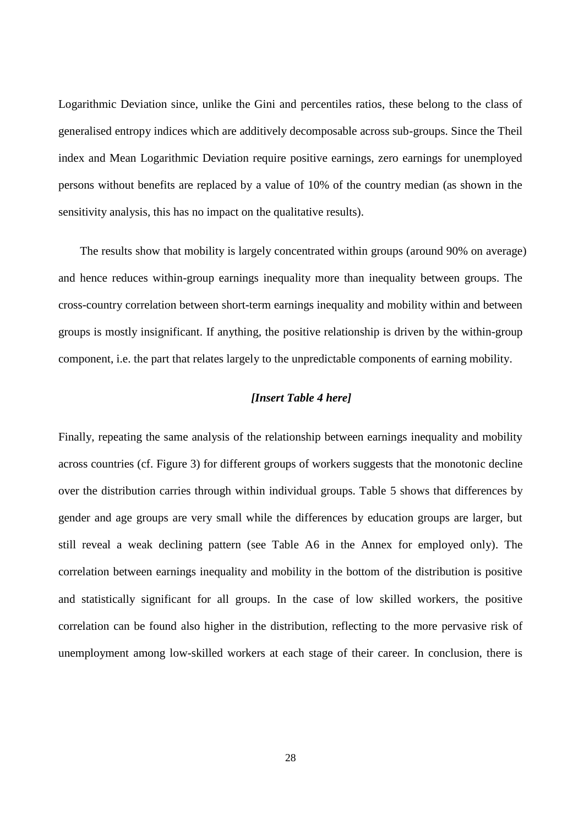Logarithmic Deviation since, unlike the Gini and percentiles ratios, these belong to the class of generalised entropy indices which are additively decomposable across sub-groups. Since the Theil index and Mean Logarithmic Deviation require positive earnings, zero earnings for unemployed persons without benefits are replaced by a value of 10% of the country median (as shown in the sensitivity analysis, this has no impact on the qualitative results).

The results show that mobility is largely concentrated within groups (around 90% on average) and hence reduces within-group earnings inequality more than inequality between groups. The cross-country correlation between short-term earnings inequality and mobility within and between groups is mostly insignificant. If anything, the positive relationship is driven by the within-group component, i.e. the part that relates largely to the unpredictable components of earning mobility.

#### *[Insert Table 4 here]*

Finally, repeating the same analysis of the relationship between earnings inequality and mobility across countries (cf. Figure 3) for different groups of workers suggests that the monotonic decline over the distribution carries through within individual groups. Table 5 shows that differences by gender and age groups are very small while the differences by education groups are larger, but still reveal a weak declining pattern (see Table A6 in the Annex for employed only). The correlation between earnings inequality and mobility in the bottom of the distribution is positive and statistically significant for all groups. In the case of low skilled workers, the positive correlation can be found also higher in the distribution, reflecting to the more pervasive risk of unemployment among low-skilled workers at each stage of their career. In conclusion, there is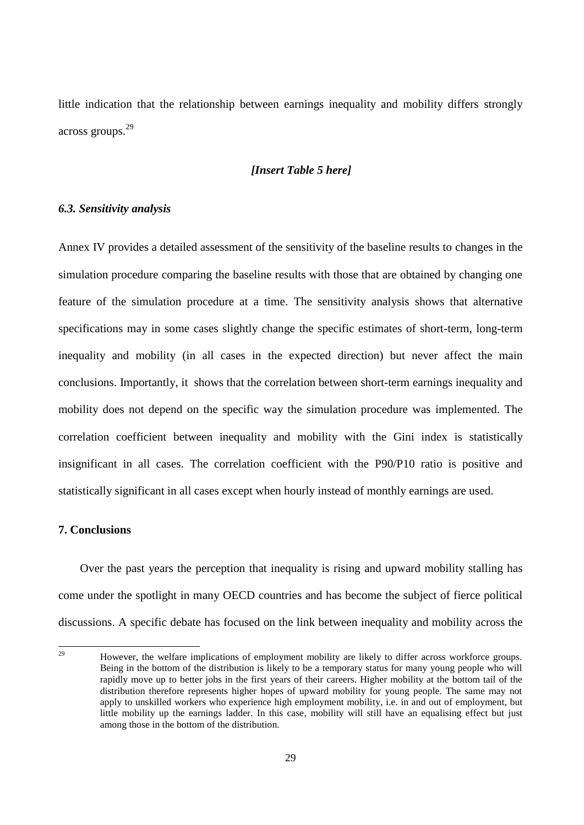little indication that the relationship between earnings inequality and mobility differs strongly across groups.<sup>29</sup>

#### *[Insert Table 5 here]*

#### *6.3. Sensitivity analysis*

Annex IV provides a detailed assessment of the sensitivity of the baseline results to changes in the simulation procedure comparing the baseline results with those that are obtained by changing one feature of the simulation procedure at a time. The sensitivity analysis shows that alternative specifications may in some cases slightly change the specific estimates of short-term, long-term inequality and mobility (in all cases in the expected direction) but never affect the main conclusions. Importantly, it shows that the correlation between short-term earnings inequality and mobility does not depend on the specific way the simulation procedure was implemented. The correlation coefficient between inequality and mobility with the Gini index is statistically insignificant in all cases. The correlation coefficient with the P90/P10 ratio is positive and statistically significant in all cases except when hourly instead of monthly earnings are used.

#### **7. Conclusions**

Over the past years the perception that inequality is rising and upward mobility stalling has come under the spotlight in many OECD countries and has become the subject of fierce political discussions. A specific debate has focused on the link between inequality and mobility across the

 $29$ <sup>29</sup> However, the welfare implications of employment mobility are likely to differ across workforce groups. Being in the bottom of the distribution is likely to be a temporary status for many young people who will rapidly move up to better jobs in the first years of their careers. Higher mobility at the bottom tail of the distribution therefore represents higher hopes of upward mobility for young people. The same may not apply to unskilled workers who experience high employment mobility, i.e. in and out of employment, but little mobility up the earnings ladder. In this case, mobility will still have an equalising effect but just among those in the bottom of the distribution.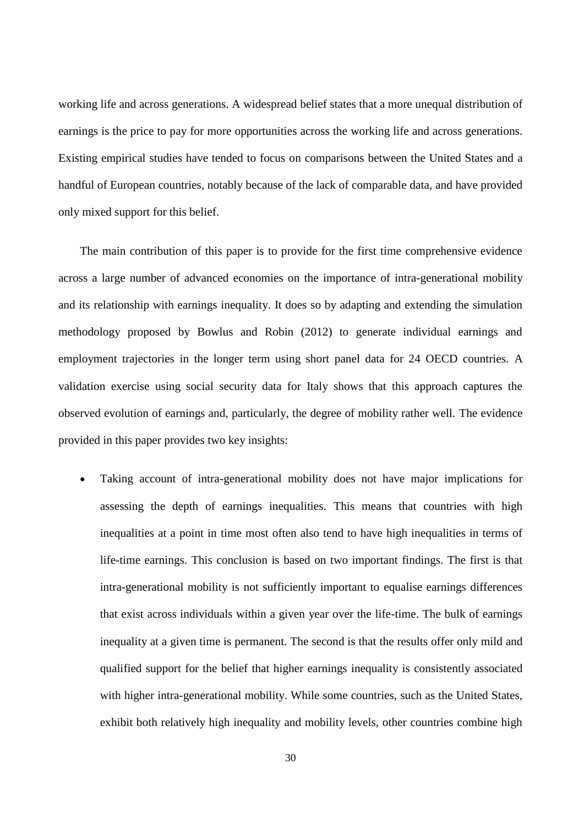working life and across generations. A widespread belief states that a more unequal distribution of earnings is the price to pay for more opportunities across the working life and across generations. Existing empirical studies have tended to focus on comparisons between the United States and a handful of European countries, notably because of the lack of comparable data, and have provided only mixed support for this belief.

The main contribution of this paper is to provide for the first time comprehensive evidence across a large number of advanced economies on the importance of intra-generational mobility and its relationship with earnings inequality. It does so by adapting and extending the simulation methodology proposed by Bowlus and Robin (2012) to generate individual earnings and employment trajectories in the longer term using short panel data for 24 OECD countries. A validation exercise using social security data for Italy shows that this approach captures the observed evolution of earnings and, particularly, the degree of mobility rather well. The evidence provided in this paper provides two key insights:

 Taking account of intra-generational mobility does not have major implications for assessing the depth of earnings inequalities. This means that countries with high inequalities at a point in time most often also tend to have high inequalities in terms of life-time earnings. This conclusion is based on two important findings. The first is that intra-generational mobility is not sufficiently important to equalise earnings differences that exist across individuals within a given year over the life-time. The bulk of earnings inequality at a given time is permanent. The second is that the results offer only mild and qualified support for the belief that higher earnings inequality is consistently associated with higher intra-generational mobility. While some countries, such as the United States, exhibit both relatively high inequality and mobility levels, other countries combine high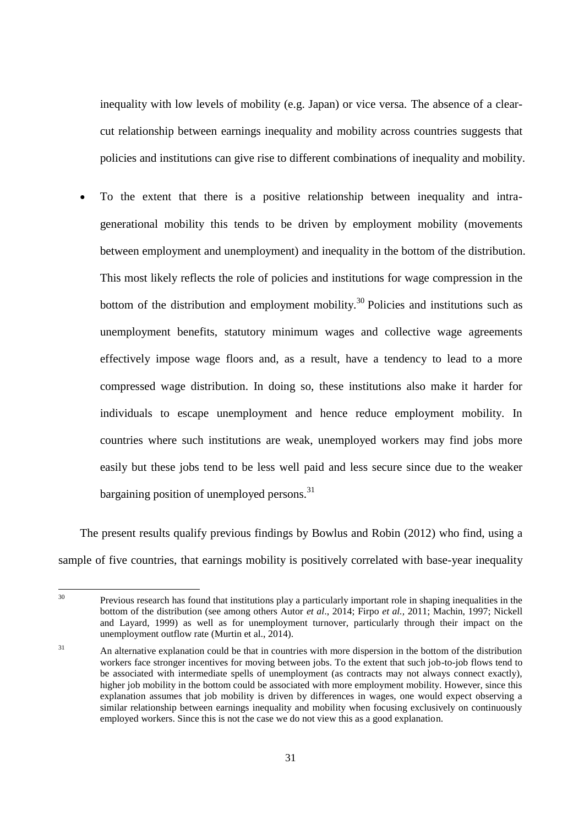inequality with low levels of mobility (e.g. Japan) or vice versa. The absence of a clearcut relationship between earnings inequality and mobility across countries suggests that policies and institutions can give rise to different combinations of inequality and mobility.

 To the extent that there is a positive relationship between inequality and intragenerational mobility this tends to be driven by employment mobility (movements between employment and unemployment) and inequality in the bottom of the distribution. This most likely reflects the role of policies and institutions for wage compression in the bottom of the distribution and employment mobility.<sup>30</sup> Policies and institutions such as unemployment benefits, statutory minimum wages and collective wage agreements effectively impose wage floors and, as a result, have a tendency to lead to a more compressed wage distribution. In doing so, these institutions also make it harder for individuals to escape unemployment and hence reduce employment mobility. In countries where such institutions are weak, unemployed workers may find jobs more easily but these jobs tend to be less well paid and less secure since due to the weaker bargaining position of unemployed persons.<sup>31</sup>

The present results qualify previous findings by Bowlus and Robin (2012) who find, using a sample of five countries, that earnings mobility is positively correlated with base-year inequality

 $30^{\circ}$ <sup>30</sup> Previous research has found that institutions play a particularly important role in shaping inequalities in the bottom of the distribution (see among others Autor *et al*., 2014; Firpo *et al.,* 2011; Machin, 1997; Nickell and Layard, 1999) as well as for unemployment turnover, particularly through their impact on the unemployment outflow rate (Murtin et al., 2014).

<sup>&</sup>lt;sup>31</sup> An alternative explanation could be that in countries with more dispersion in the bottom of the distribution workers face stronger incentives for moving between jobs. To the extent that such job-to-job flows tend to be associated with intermediate spells of unemployment (as contracts may not always connect exactly), higher job mobility in the bottom could be associated with more employment mobility. However, since this explanation assumes that job mobility is driven by differences in wages, one would expect observing a similar relationship between earnings inequality and mobility when focusing exclusively on continuously employed workers. Since this is not the case we do not view this as a good explanation.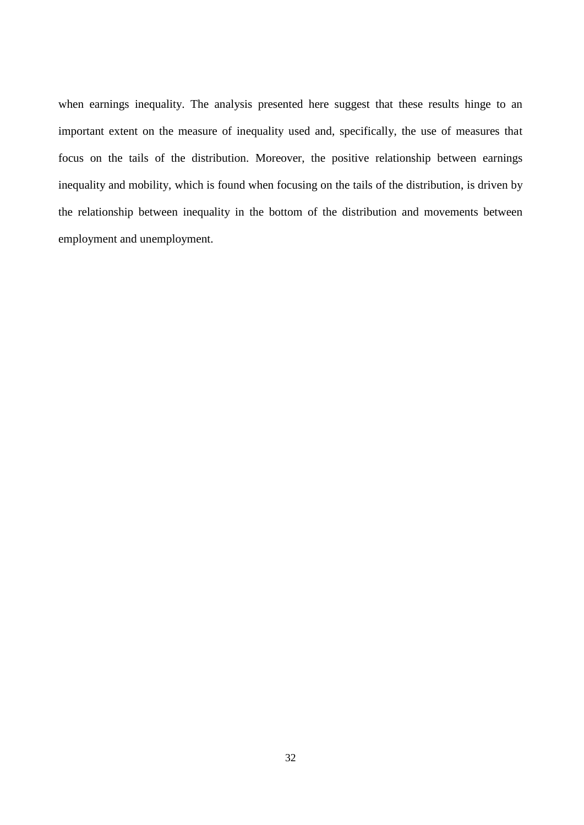when earnings inequality. The analysis presented here suggest that these results hinge to an important extent on the measure of inequality used and, specifically, the use of measures that focus on the tails of the distribution. Moreover, the positive relationship between earnings inequality and mobility, which is found when focusing on the tails of the distribution, is driven by the relationship between inequality in the bottom of the distribution and movements between employment and unemployment.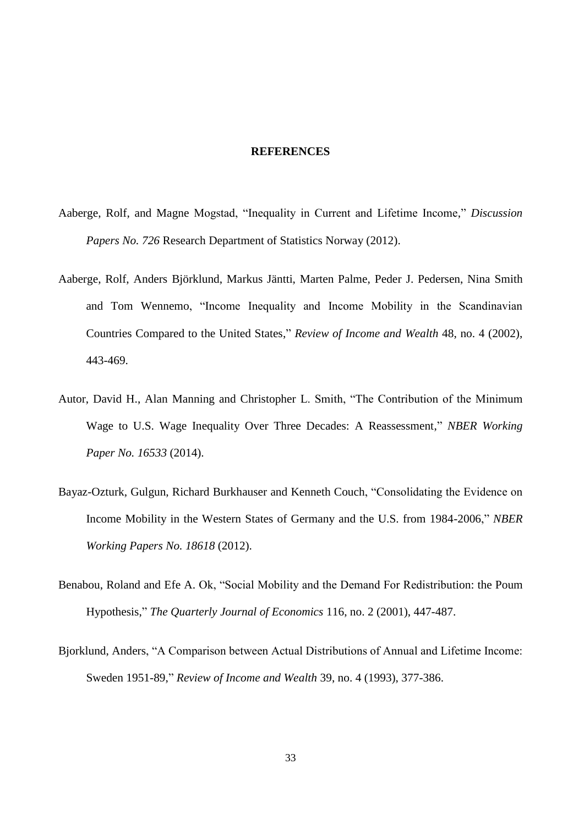#### **REFERENCES**

- Aaberge, Rolf, and Magne Mogstad, "Inequality in Current and Lifetime Income," *Discussion Papers No. 726* Research Department of Statistics Norway (2012).
- Aaberge, Rolf, Anders Björklund, Markus Jäntti, Marten Palme, Peder J. Pedersen, Nina Smith and Tom Wennemo, "Income Inequality and Income Mobility in the Scandinavian Countries Compared to the United States," *Review of Income and Wealth* 48, no. 4 (2002), 443-469.
- Autor, David H., Alan Manning and Christopher L. Smith, "The Contribution of the Minimum Wage to U.S. Wage Inequality Over Three Decades: A Reassessment," *NBER Working Paper No. 16533* (2014).
- Bayaz-Ozturk, Gulgun, Richard Burkhauser and Kenneth Couch, "Consolidating the Evidence on Income Mobility in the Western States of Germany and the U.S. from 1984-2006," *NBER Working Papers No. 18618* (2012).
- Benabou, Roland and Efe A. Ok, "Social Mobility and the Demand For Redistribution: the Poum Hypothesis," *The Quarterly Journal of Economics* 116, no. 2 (2001), 447-487.
- Bjorklund, Anders, "A Comparison between Actual Distributions of Annual and Lifetime Income: Sweden 1951-89," *Review of Income and Wealth* 39, no. 4 (1993), 377-386.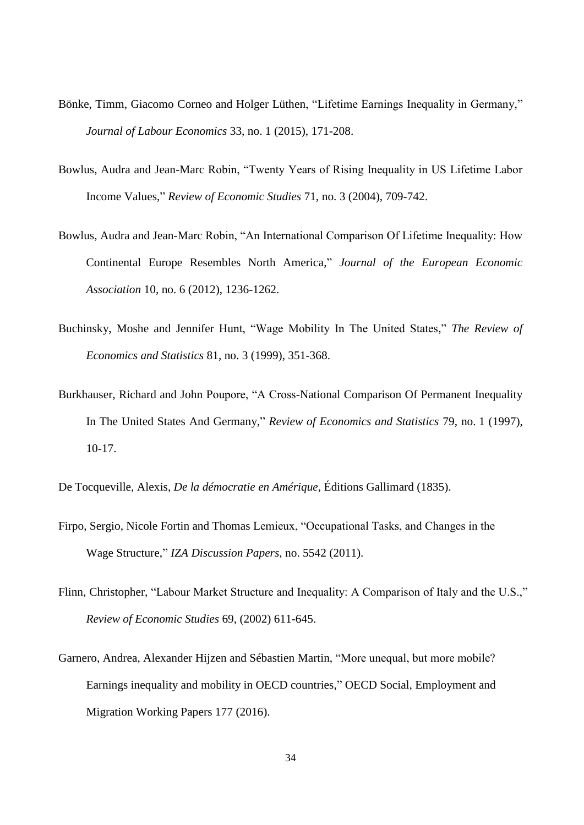- Bönke, Timm, Giacomo Corneo and Holger Lüthen, "Lifetime Earnings Inequality in Germany," *Journal of Labour Economics* 33, no. 1 (2015), 171-208.
- Bowlus, Audra and Jean-Marc Robin, "Twenty Years of Rising Inequality in US Lifetime Labor Income Values," *Review of Economic Studies* 71, no. 3 (2004), 709-742.
- Bowlus, Audra and Jean-Marc Robin, "An International Comparison Of Lifetime Inequality: How Continental Europe Resembles North America," *Journal of the European Economic Association* 10, no. 6 (2012), 1236-1262.
- Buchinsky, Moshe and Jennifer Hunt, "Wage Mobility In The United States," *The Review of Economics and Statistics* 81, no. 3 (1999), 351-368.
- Burkhauser, Richard and John Poupore, "A Cross-National Comparison Of Permanent Inequality In The United States And Germany," *Review of Economics and Statistics* 79, no. 1 (1997), 10-17.
- De Tocqueville, Alexis, *De la démocratie en Amérique,* Éditions Gallimard (1835).
- Firpo, Sergio, Nicole Fortin and Thomas Lemieux, "Occupational Tasks, and Changes in the Wage Structure," *IZA Discussion Papers*, no. 5542 (2011).
- Flinn, Christopher, "Labour Market Structure and Inequality: A Comparison of Italy and the U.S.," *Review of Economic Studies* 69, (2002) 611-645.
- Garnero, Andrea, Alexander Hijzen and Sébastien Martin, "More unequal, but more mobile? Earnings inequality and mobility in OECD countries," OECD Social, Employment and Migration Working Papers 177 (2016).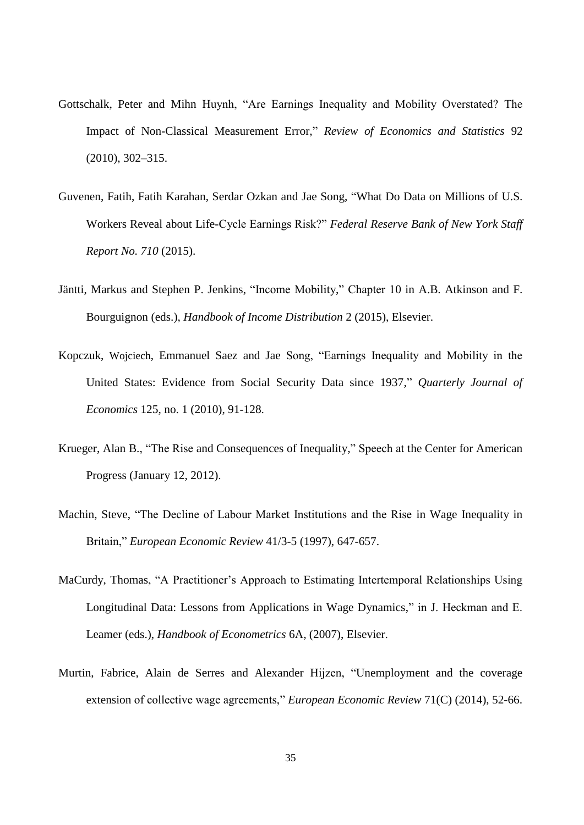- Gottschalk, Peter and Mihn Huynh, "Are Earnings Inequality and Mobility Overstated? The Impact of Non-Classical Measurement Error," *Review of Economics and Statistics* 92 (2010), 302–315.
- Guvenen, Fatih, Fatih Karahan, Serdar Ozkan and Jae Song, "What Do Data on Millions of U.S. Workers Reveal about Life-Cycle Earnings Risk?" *Federal Reserve Bank of New York Staff Report No. 710* (2015).
- Jäntti, Markus and Stephen P. Jenkins, "Income Mobility," Chapter 10 in A.B. Atkinson and F. Bourguignon (eds.), *Handbook of Income Distribution* 2 (2015), Elsevier.
- Kopczuk, Wojciech, Emmanuel Saez and Jae Song, "Earnings Inequality and Mobility in the United States: Evidence from Social Security Data since 1937," *Quarterly Journal of Economics* 125, no. 1 (2010), 91-128.
- Krueger, Alan B., "The Rise and Consequences of Inequality," Speech at the Center for American Progress (January 12, 2012).
- Machin, Steve, "The Decline of Labour Market Institutions and the Rise in Wage Inequality in Britain," *European Economic Review* 41/3-5 (1997), 647-657.
- MaCurdy, Thomas, "A Practitioner's Approach to Estimating Intertemporal Relationships Using Longitudinal Data: Lessons from Applications in Wage Dynamics," in J. Heckman and E. Leamer (eds.), *Handbook of Econometrics* 6A, (2007), Elsevier.
- Murtin, Fabrice, Alain de Serres and Alexander Hijzen, "Unemployment and the coverage extension of collective wage agreements," *European Economic Review* 71(C) (2014), 52-66.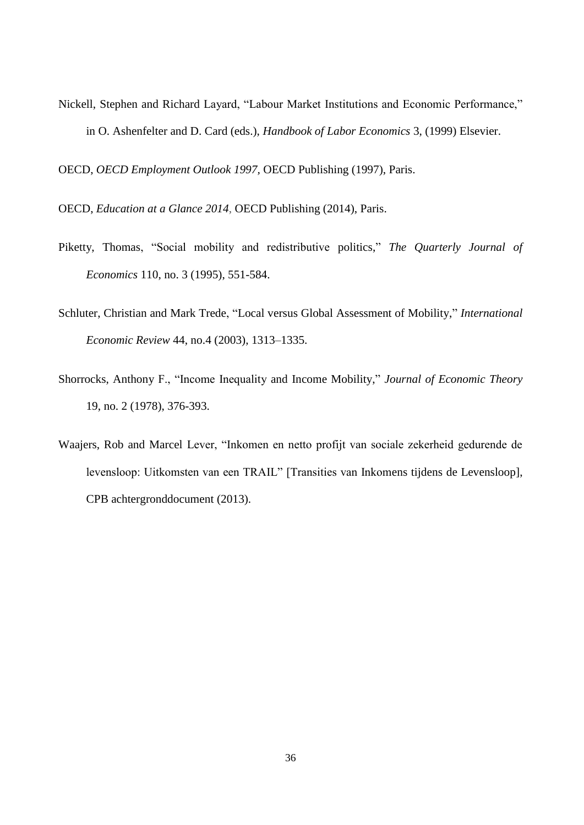Nickell, Stephen and Richard Layard, "Labour Market Institutions and Economic Performance," in O. Ashenfelter and D. Card (eds.), *Handbook of Labor Economics* 3, (1999) Elsevier.

OECD, *OECD Employment Outlook 1997,* OECD Publishing (1997), Paris.

OECD, *Education at a Glance 2014*, OECD Publishing (2014), Paris.

- Piketty, Thomas, "Social mobility and redistributive politics," *The Quarterly Journal of Economics* 110, no. 3 (1995), 551-584.
- Schluter, Christian and Mark Trede, "Local versus Global Assessment of Mobility," *International Economic Review* 44, no.4 (2003), 1313–1335.
- Shorrocks, Anthony F., "Income Inequality and Income Mobility," *Journal of Economic Theory* 19, no. 2 (1978), 376-393.
- Waajers, Rob and Marcel Lever, "Inkomen en netto profijt van sociale zekerheid gedurende de levensloop: Uitkomsten van een TRAIL" [Transities van Inkomens tijdens de Levensloop], CPB achtergronddocument (2013).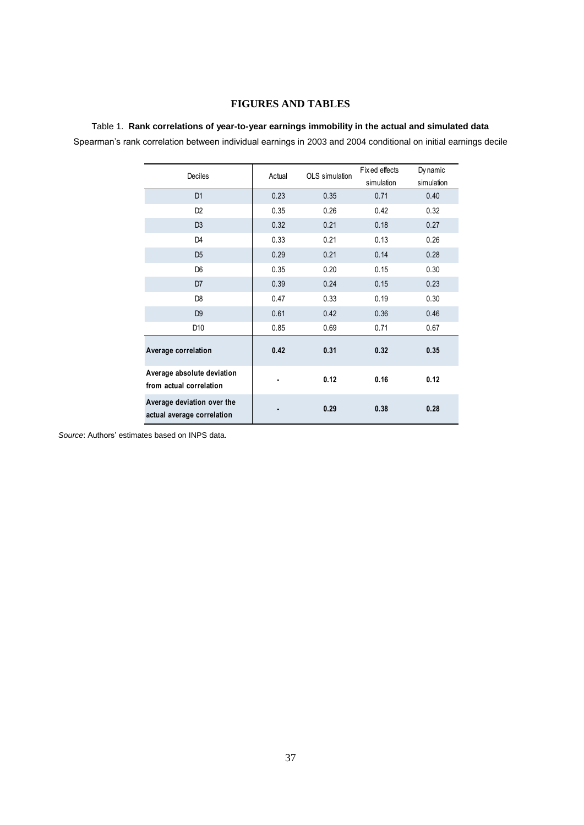#### **FIGURES AND TABLES**

#### Table 1. **Rank correlations of year-to-year earnings immobility in the actual and simulated data**

| Deciles                                                  | Actual | OLS simulation | Fix ed effects     | Dy namic           |
|----------------------------------------------------------|--------|----------------|--------------------|--------------------|
| D <sub>1</sub>                                           | 0.23   | 0.35           | simulation<br>0.71 | simulation<br>0.40 |
| D <sub>2</sub>                                           | 0.35   | 0.26           | 0.42               | 0.32               |
| D <sub>3</sub>                                           | 0.32   | 0.21           | 0.18               | 0.27               |
| D <sub>4</sub>                                           | 0.33   | 0.21           | 0.13               | 0.26               |
| D <sub>5</sub>                                           | 0.29   | 0.21           | 0.14               | 0.28               |
| D <sub>6</sub>                                           | 0.35   | 0.20           | 0.15               | 0.30               |
| D <sub>7</sub>                                           | 0.39   | 0.24           | 0.15               | 0.23               |
| D8                                                       | 0.47   | 0.33           | 0.19               | 0.30               |
| D <sub>9</sub>                                           | 0.61   | 0.42           | 0.36               | 0.46               |
| D10                                                      | 0.85   | 0.69           | 0.71               | 0.67               |
| Average correlation                                      | 0.42   | 0.31           | 0.32               | 0.35               |
| Average absolute deviation<br>from actual correlation    |        | 0.12           | 0.16               | 0.12               |
| Average deviation over the<br>actual average correlation |        | 0.29           | 0.38               | 0.28               |

*Source*: Authors' estimates based on INPS data.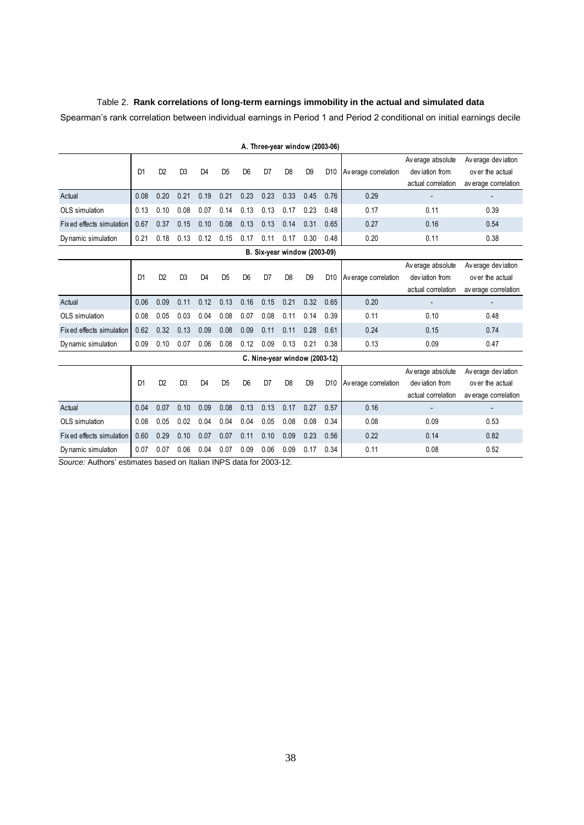#### Table 2. **Rank correlations of long-term earnings immobility in the actual and simulated data**

Spearman's rank correlation between individual earnings in Period 1 and Period 2 conditional on initial earnings decile

| Opeannan o rank conciduon between individual caningo in i chod i and i chod z conditional on initial caningo decile |                |                |                |                |                |                |                                |                |                |                 |                      |                                                           |                                                                |
|---------------------------------------------------------------------------------------------------------------------|----------------|----------------|----------------|----------------|----------------|----------------|--------------------------------|----------------|----------------|-----------------|----------------------|-----------------------------------------------------------|----------------------------------------------------------------|
|                                                                                                                     |                |                |                |                |                |                | A. Three-year window (2003-06) |                |                |                 |                      |                                                           |                                                                |
|                                                                                                                     | D <sub>1</sub> | D <sub>2</sub> | D <sub>3</sub> | D <sub>4</sub> | D <sub>5</sub> | D <sub>6</sub> | D7                             | D <sub>8</sub> | D <sub>9</sub> | D <sub>10</sub> | Av erage correlation | Av erage absolute<br>deviation from<br>actual correlation | Average deviation<br>over the actual<br>av erage correlation   |
| Actual                                                                                                              | 0.08           | 0.20           | 0.21           | 0.19           | 0.21           | 0.23           | 0.23                           | 0.33           | 0.45           | 0.76            | 0.29                 |                                                           |                                                                |
| OLS simulation                                                                                                      | 0.13           | 0.10           | 0.08           | 0.07           | 0.14           | 0.13           | 0.13                           | 0.17           | 0.23           | 0.48            | 0.17                 | 0.11                                                      | 0.39                                                           |
| Fix ed effects simulation                                                                                           | 0.67           | 0.37           | 0.15           | 0.10           | 0.08           | 0.13           | 0.13                           | 0.14           | 0.31           | 0.65            | 0.27                 | 0.16                                                      | 0.54                                                           |
| Dy namic simulation                                                                                                 | 0.21           | 0.18           | 0.13           | 0.12           | 0.15           | 0.17           | 0.11                           | 0.17           | 0.30           | 0.48            | 0.20                 | 0.11                                                      | 0.38                                                           |
|                                                                                                                     |                |                |                |                |                |                | B. Six-year window (2003-09)   |                |                |                 |                      |                                                           |                                                                |
|                                                                                                                     | D <sub>1</sub> | D <sub>2</sub> | D <sub>3</sub> | D <sub>4</sub> | D <sub>5</sub> | D <sub>6</sub> | D7                             | D <sub>8</sub> | D <sub>9</sub> | D <sub>10</sub> | Av erage correlation | Av erage absolute<br>deviation from<br>actual correlation | Av erage dev iation<br>over the actual<br>av erage correlation |
| Actual                                                                                                              | 0.06           | 0.09           | 0.11           | 0.12           | 0.13           | 0.16           | 0.15                           | 0.21           | 0.32           | 0.65            | 0.20                 | $\overline{a}$                                            |                                                                |
| OLS simulation                                                                                                      | 0.08           | 0.05           | 0.03           | 0.04           | 0.08           | 0.07           | 0.08                           | 0.11           | 0.14           | 0.39            | 0.11                 | 0.10                                                      | 0.48                                                           |
| Fix ed effects simulation                                                                                           | 0.62           | 0.32           | 0.13           | 0.09           | 0.08           | 0.09           | 0.11                           | 0.11           | 0.28           | 0.61            | 0.24                 | 0.15                                                      | 0.74                                                           |
| Dy namic simulation                                                                                                 | 0.09           | 0.10           | 0.07           | 0.06           | 0.08           | 0.12           | 0.09                           | 0.13           | 0.21           | 0.38            | 0.13                 | 0.09                                                      | 0.47                                                           |
|                                                                                                                     |                |                |                |                |                |                | C. Nine-year window (2003-12)  |                |                |                 |                      |                                                           |                                                                |
|                                                                                                                     | D <sub>1</sub> | D <sub>2</sub> | D <sub>3</sub> | D <sub>4</sub> | D <sub>5</sub> | D <sub>6</sub> | D <sub>7</sub>                 | D <sub>8</sub> | D <sub>9</sub> | D <sub>10</sub> | Av erage correlation | Av erage absolute<br>deviation from<br>actual correlation | Av erage dev iation<br>over the actual<br>av erage correlation |
| Actual                                                                                                              | 0.04           | 0.07           | 0.10           | 0.09           | 0.08           | 0.13           | 0.13                           | 0.17           | 0.27           | 0.57            | 0.16                 | $\overline{\phantom{a}}$                                  |                                                                |
| OLS simulation                                                                                                      | 0.08           | 0.05           | 0.02           | 0.04           | 0.04           | 0.04           | 0.05                           | 0.08           | 0.08           | 0.34            | 0.08                 | 0.09                                                      | 0.53                                                           |
| Fix ed effects simulation                                                                                           | 0.60           | 0.29           | 0.10           | 0.07           | 0.07           | 0.11           | 0.10                           | 0.09           | 0.23           | 0.56            | 0.22                 | 0.14                                                      | 0.82                                                           |
| Dy namic simulation<br>Course: Authors' estimates based on Italian INDS data for 2003 12                            | 0.07           | 0.07           | 0.06           | 0.04           | 0.07           | 0.09           | 0.06                           | 0.09           | 0.17           | 0.34            | 0.11                 | 0.08                                                      | 0.52                                                           |

*Source:* Authors' estimates based on Italian INPS data for 2003-12.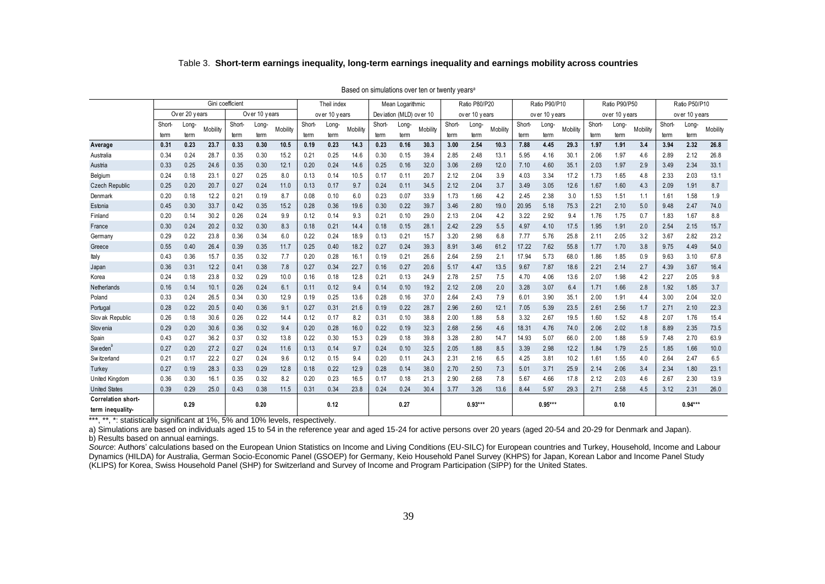|                       |        |               | Table 3. Short-term earnings inequality, long-term earnings inequality and earnings mobility across countries |                  |               |          |        |               |          |        |                         |                                                            |               |               |          |               |               |          |        |               |          |               |               |          |
|-----------------------|--------|---------------|---------------------------------------------------------------------------------------------------------------|------------------|---------------|----------|--------|---------------|----------|--------|-------------------------|------------------------------------------------------------|---------------|---------------|----------|---------------|---------------|----------|--------|---------------|----------|---------------|---------------|----------|
|                       |        |               |                                                                                                               |                  |               |          |        |               |          |        |                         | Based on simulations over ten or twenty years <sup>a</sup> |               |               |          |               |               |          |        |               |          |               |               |          |
|                       |        |               |                                                                                                               | Gini coefficient |               |          |        | Theil index   |          |        | Mean Logarithmic        |                                                            |               | Ratio P80/P20 |          |               | Ratio P90/P10 |          |        | Ratio P90/P50 |          |               | Ratio P50/P10 |          |
|                       |        | Over 20 years |                                                                                                               |                  | Over 10 years |          |        | over 10 years |          |        | Deviation (MLD) over 10 |                                                            | over 10 years |               |          | over 10 years |               |          |        | over 10 years |          | over 10 years |               |          |
|                       | Short- | Long-         |                                                                                                               | Short-           | Long-         | Mobility | Short- | Long-         |          | Short- | Long-                   |                                                            | Short-        | Long-         |          | Short-        | Long-         |          | Short- | Long-         |          | Short-        | Long-         |          |
|                       | term   | term          | Mobility                                                                                                      | term             | term          |          | term   | term          | Mobility | term   | term                    | Mobility                                                   | term          | term          | Mobility | term          | term          | Mobility | term   | term          | Mobility | term          | term          | Mobility |
| Average               | 0.31   | 0.23          | 23.7                                                                                                          | 0.33             | 0.30          | 10.5     | 0.19   | 0.23          | 14.3     | 0.23   | 0.16                    | 30.3                                                       | 3.00          | 2.54          | 10.3     | 7.88          | 4.45          | 29.3     | 1.97   | 1.91          | 3.4      | 3.94          | 2.32          | 26.8     |
| Australia             | 0.34   | 0.24          | 28.7                                                                                                          | 0.35             | 0.30          | 15.2     | 0.21   | 0.25          | 14.6     | 0.30   | 0.15                    | 39.4                                                       | 2.85          | 2.48          | 13.1     | 5.95          | 4.16          | 30.1     | 2.06   | 1.97          | 4.6      | 2.89          | 2.12          | 26.8     |
| Austria               | 0.33   | 0.25          | 24.6                                                                                                          | 0.35             | 0.30          | 12.1     | 0.20   | 0.24          | 14.6     | 0.25   | 0.16                    | 32.0                                                       | 3.06          | 2.69          | 12.0     | 7.10          | 4.60          | 35.1     | 2.03   | 1.97          | 2.9      | 3.49          | 2.34          | 33.1     |
| Belgium               | 0.24   | 0.18          | 23.7                                                                                                          | 0.27             | 0.25          | 8.0      | 0.13   | 0.14          | 10.5     | 0.17   | 0.11                    | 20.7                                                       | 2.12          | 2.04          | 3.9      | 4.03          | 3.34          | 17.2     | 1.73   | 1.65          | 4.8      | 2.33          | 2.03          | 13.1     |
| <b>Czech Republic</b> | 0.25   | 0.20          | 20.7                                                                                                          | 0.27             | 0.24          | 11.0     | 0.13   | 0.17          | 9.7      | 0.24   | 0.11                    | 34.5                                                       | 2.12          | 2.04          | 3.7      | 3.49          | 3.05          | 12.6     | 1.67   | 1.60          | 4.3      | 2.09          | 1.91          | 8.7      |
| Denmark               | 0.20   | 0.18          | 12.2                                                                                                          | 0.21             | 0.19          | 8.7      | 0.08   | 0.10          | 6.0      | 0.23   | 0.07                    | 33.9                                                       | 1.73          | 1.66          | 4.2      | 2.45          | 2.38          | 3.0      | 1.53   | 1.51          | 1.1      | 1.61          | 1.58          | 1.9      |
| Estonia               | 0.45   | 0.30          | 33.7                                                                                                          | 0.42             | 0.35          | 15.2     | 0.28   | 0.36          | 19.6     | 0.30   | 0.22                    | 39.7                                                       | 3.46          | 2.80          | 19.0     | 20.95         | 5.18          | 75.3     | 2.21   | 2.10          | 5.0      | 9.48          | 2.47          | 74.0     |
| Finland               | 0.20   | 0.14          | 30.2                                                                                                          | 0.26             | 0.24          | 9.9      | 0.12   | 0.14          | 9.3      | 0.21   | 0.10                    | 29.0                                                       | 2.13          | 2.04          | 4.2      | 3.22          | 2.92          | 9.4      | 1.76   | 1.75          | 0.7      | 1.83          | 1.67          | 8.8      |
| France                | 0.30   | 0.24          | 20.2                                                                                                          | 0.32             | 0.30          | 8.3      | 0.18   | 0.21          | 14.4     | 0.18   | 0.15                    | 28.1                                                       | 2.42          | 2.29          | 5.5      | 4.97          | 4.10          | 17.5     | 1.95   | 1.91          | 2.0      | 2.54          | 2.15          | 15.7     |
| Germany               | 0.29   | 0.22          | 23.8                                                                                                          | 0.36             | 0.34          | 6.0      | 0.22   | 0.24          | 18.9     | 0.13   | 0.21                    | 15.7                                                       | 3.20          | 2.98          | 6.8      | 7.77          | 5.76          | 25.8     | 2.11   | 2.05          | 3.2      | 3.67          | 2.82          | 23.2     |
| Greece                | 0.55   | 0.40          | 26.4                                                                                                          | 0.39             | 0.35          | 11.7     | 0.25   | 0.40          | 18.2     | 0.27   | 0.24                    | 39.3                                                       | 8.91          | 3.46          | 61.2     | 17.22         | 7.62          | 55.8     | 1.77   | 1.70          | 3.8      | 9.75          | 4.49          | 54.0     |
| Italy                 | 0.43   | 0.36          | 15.7                                                                                                          | 0.35             | 0.32          | 7.7      | 0.20   | 0.28          | 16.1     | 0.19   | 0.21                    | 26.6                                                       | 2.64          | 2.59          | 2.1      | 17.94         | 5.73          | 68.0     | 1.86   | 1.85          | 0.9      | 9.63          | 3.10          | 67.8     |
| Japan                 | 0.36   | 0.31          | 12.2                                                                                                          | 0.41             | 0.38          | 7.8      | 0.27   | 0.34          | 22.7     | 0.16   | 0.27                    | 20.6                                                       | 5.17          | 4.47          | 13.5     | 9.67          | 7.87          | 18.6     | 2.21   | 2.14          | 2.7      | 4.39          | 3.67          | 16.4     |
| Korea                 | 0.24   | 0.18          | 23.8                                                                                                          | 0.32             | 0.29          | 10.0     | 0.16   | 0.18          | 12.8     | 0.21   | 0.13                    | 24.9                                                       | 2.78          | 2.57          | 7.5      | 4.70          | 4.06          | 13.6     | 2.07   | 1.98          | 4.2      | 2.27          | 2.05          | 9.8      |
| Netherlands           | 0.16   | 0.14          | 10.1                                                                                                          | 0.26             | 0.24          | 6.1      | 0.11   | 0.12          | 9.4      | 0.14   | 0.10                    | 19.2                                                       | 2.12          | 2.08          | 2.0      | 3.28          | 3.07          | 6.4      | 1.71   | 1.66          | 2.8      | 1.92          | 1.85          | 3.7      |
| Poland                | 0.33   | 0.24          | 26.5                                                                                                          | 0.34             | 0.30          | 12.9     | 0.19   | 0.25          | 13.6     | 0.28   | 0.16                    | 37.0                                                       | 2.64          | 2.43          | 7.9      | 6.01          | 3.90          | 35.7     | 2.00   | 1.91          | 4.4      | 3.00          | 2.04          | 32.0     |
| Portugal              | 0.28   | 0.22          | 20.5                                                                                                          | 0.40             | 0.36          | 9.1      | 0.27   | 0.31          | 21.6     | 0.19   | 0.22                    | 28.7                                                       | 2.96          | 2.60          | 12.1     | 7.05          | 5.39          | 23.5     | 2.61   | 2.56          | 1.7      | 2.71          | 2.10          | 22.3     |
| Slov ak Republic      | 0.26   | 0.18          | 30.6                                                                                                          | 0.26             | 0.22          | 14.4     | 0.12   | 0.17          | 8.2      | 0.31   | 0.10                    | 38.8                                                       | 2.00          | 1.88          | 5.8      | 3.32          | 2.67          | 19.5     | 1.60   | 1.52          | 4.8      | 2.07          | 1.76          | 15.4     |
| Slov enia             | 0.29   | 0.20          | 30.6                                                                                                          | 0.36             | 0.32          | 9.4      | 0.20   | 0.28          | 16.0     | 0.22   | 0.19                    | 32.3                                                       | 2.68          | 2.56          | 4.6      | 18.31         | 4.76          | 74.0     | 2.06   | 2.02          | 1.8      | 8.89          | 2.35          | 73.5     |
| Spain                 | 0.43   | 0.27          | 36.2                                                                                                          | 0.37             | 0.32          | 13.8     | 0.22   | 0.30          | 15.3     | 0.29   | 0.18                    | 39.8                                                       | 3.28          | 2.80          | 14.7     | 14.93         | 5.07          | 66.0     | 2.00   | 1.88          | 5.9      | 7.48          | 2.70          | 63.9     |
| Sweden <sup>'</sup>   | 0.27   | 0.20          | 27.2                                                                                                          | 0.27             | 0.24          | 11.6     | 0.13   | 0.14          | 9.7      | 0.24   | 0.10                    | 32.5                                                       | 2.05          | 1.88          | 8.5      | 3.39          | 2.98          | 12.2     | 1.84   | 1.79          | 2.5      | 1.85          | 1.66          | 10.0     |
| <b>Switzerland</b>    | 0.21   | 0.17          | 22.2                                                                                                          | 0.27             | 0.24          | 9.6      | 0.12   | 0.15          | 9.4      | 0.20   | 0.11                    | 24.3                                                       | 2.31          | 2.16          | 6.5      | 4.25          | 3.81          | 10.2     | 1.61   | 1.55          | 4.0      | 2.64          | 2.47          | 6.5      |
| Turkey                | 0.27   | 0.19          | 28.3                                                                                                          | 0.33             | 0.29          | 12.8     | 0.18   | 0.22          | 12.9     | 0.28   | 0.14                    | 38.0                                                       | 2.70          | 2.50          | 7.3      | 5.01          | 3.71          | 25.9     | 2.14   | 2.06          | 3.4      | 2.34          | 1.80          | 23.1     |
| United Kingdom        | 0.36   | 0.30          | 16.7                                                                                                          | 0.35             | 0.32          | 8.2      | 0.20   | 0.23          | 16.5     | 0.17   | 0.18                    | 21.3                                                       | 2.90          | 2.68          | 7.8      | 5.67          | 4.66          | 17.8     | 2.12   | 2.03          | 4.6      | 2.67          | 2.30          | 13.9     |
| <b>United States</b>  | 0.39   | 0.29          | 25.0                                                                                                          | 0.43             | 0.38          | 11.5     | 0.31   | 0.34          | 23.8     | 0.24   | 0.24                    | 30.4                                                       | 3.77          | 3.26          | 13.6     | 8.44          | 5.97          | 29.3     | 2.71   | 2.58          | 4.5      | 3.12          | 2.31          | 26.0     |
| Correlation short-    |        | 0.29          |                                                                                                               |                  | 0.20          |          |        | 0.12          |          |        | 0.27                    |                                                            |               | $0.93***$     |          |               | $0.95***$     |          |        | 0.10          |          |               | $0.94***$     |          |
| term inequality-      |        |               |                                                                                                               |                  |               |          |        |               |          |        |                         |                                                            |               |               |          |               |               |          |        |               |          |               |               |          |

\*\*\*, \*\*, \*: statistically significant at 1%, 5% and 10% levels, respectively.

a) Simulations are based on individuals aged 15 to 54 in the reference year and aged 15-24 for active persons over 20 years (aged 20-54 and 20-29 for Denmark and Japan). b) Results based on annual earnings.

Source: Authors' calculations based on the European Union Statistics on Income and Living Conditions (EU-SILC) for European countries and Turkey, Household, Income and Labour Dynamics (HILDA) for Australia, German Socio-Economic Panel (GSOEP) for Germany, Keio Household Panel Survey (KHPS) for Japan, Korean Labor and Income Panel Study (KLIPS) for Korea, Swiss Household Panel (SHP) for Switzerland and Survey of Income and Program Participation (SIPP) for the United States.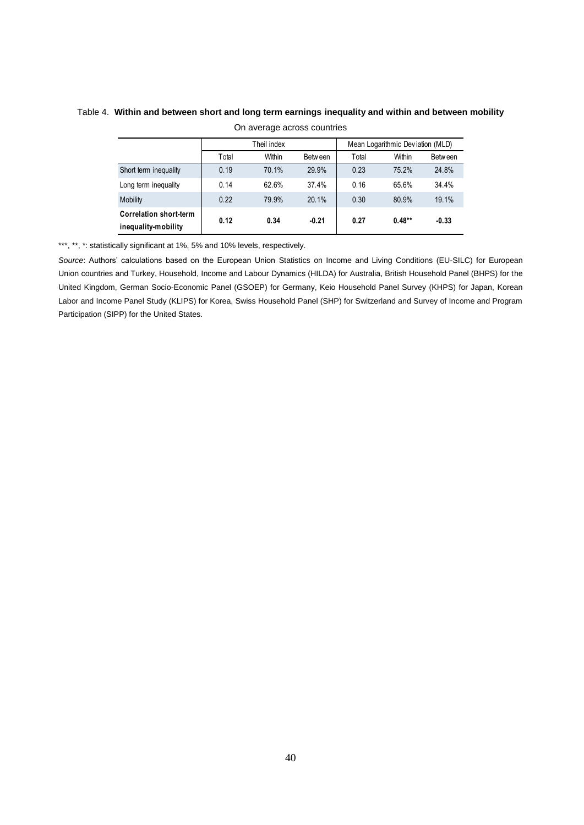| On average across countries                          |                                                 |        |         |       |          |         |  |  |  |  |  |  |  |  |
|------------------------------------------------------|-------------------------------------------------|--------|---------|-------|----------|---------|--|--|--|--|--|--|--|--|
|                                                      | Mean Logarithmic Deviation (MLD)<br>Theil index |        |         |       |          |         |  |  |  |  |  |  |  |  |
|                                                      | Total                                           | Within | Between | Total | Within   | Between |  |  |  |  |  |  |  |  |
| Short term inequality                                | 0.19                                            | 70.1%  | 29.9%   | 0.23  | 75.2%    | 24.8%   |  |  |  |  |  |  |  |  |
| Long term inequality                                 | 0.14                                            | 62.6%  | 37.4%   | 0.16  | 65.6%    | 34.4%   |  |  |  |  |  |  |  |  |
| Mobility                                             | 0.22                                            | 79.9%  | 20.1%   | 0.30  | 80.9%    | 19.1%   |  |  |  |  |  |  |  |  |
| <b>Correlation short-term</b><br>inequality-mobility | 0.12                                            | 0.34   | $-0.21$ | 0.27  | $0.48**$ | $-0.33$ |  |  |  |  |  |  |  |  |

#### Table 4. **Within and between short and long term earnings inequality and within and between mobility** On average across countries

\*\*\*, \*\*, \*: statistically significant at 1%, 5% and 10% levels, respectively.

*Source*: Authors' calculations based on the European Union Statistics on Income and Living Conditions (EU-SILC) for European Union countries and Turkey, Household, Income and Labour Dynamics (HILDA) for Australia, British Household Panel (BHPS) for the United Kingdom, German Socio-Economic Panel (GSOEP) for Germany, Keio Household Panel Survey (KHPS) for Japan, Korean Labor and Income Panel Study (KLIPS) for Korea, Swiss Household Panel (SHP) for Switzerland and Survey of Income and Program Participation (SIPP) for the United States.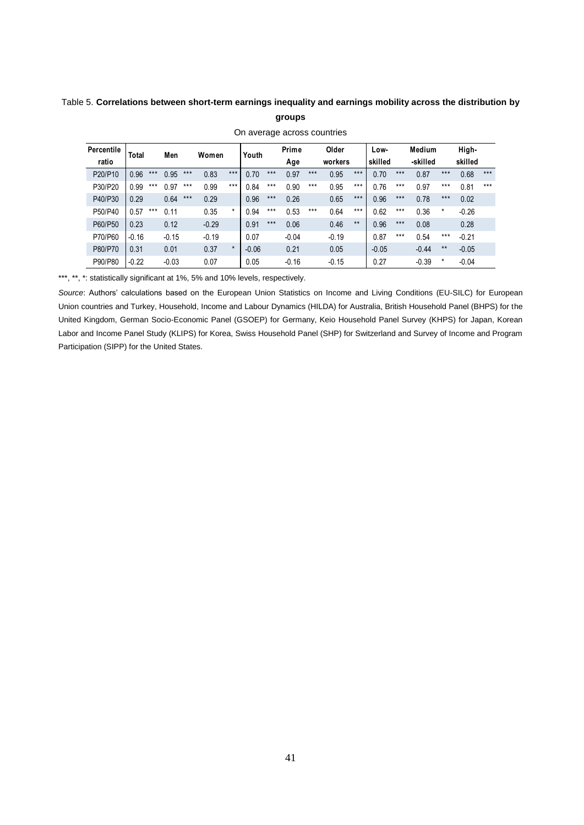#### Table 5. **Correlations between short-term earnings inequality and earnings mobility across the distribution by groups**

#### **Percentile ratio Total Men Women Youth Prime Age Older workers Lowskilled Medium -skilled Highskilled** P20/P10 0.96 \*\*\* 0.95 \*\*\* 0.83 \*\*\* 0.70 \*\*\* 0.97 \*\*\* 0.95 \*\*\* 0.70 \*\*\* 0.87 \*\*\* 0.68 \*\*\* P30/P20 0.99 \*\*\* 0.97 \*\*\* 0.99 \*\*\* 0.84 \*\*\* 0.90 \*\*\* 0.95 \*\*\* 0.76 \*\*\* 0.97 \*\*\* 0.81 \*\*\* P40/P30 0.29 0.64 \*\*\* 0.29 0.96 \*\*\* 0.26 0.65 \*\*\* 0.96 \*\*\* 0.78 \*\*\* 0.02 P50/P40 0.57 \*\*\* 0.11 0.35 \* 0.94 \*\*\* 0.53 \*\*\* 0.64 \*\*\* 0.62 \*\*\* 0.36 \* -0.26  $P40/P30$  0.29 0.64 \*\*\* 0.29 0.96 \*\*\* 0.26 0.65 \*\*\* 0.78 \*\*\* 0.02<br>  $P50/P40$  0.23 0.12 -0.29 0.91 \*\*\* 0.06 0.46 \*\* 0.08 0.28 0.46 \*\* 0.08 0.28 P70/P60 -0.16 -0.15 -0.19 0.07 -0.04 -0.19 0.87 \*\*\* 0.54 \*\*\* -0.21  $P60/P50$ <br>  $P60/P50$ <br>  $P60/P50$ <br>  $P60/P70$ <br>  $P60/P70$ <br>  $P80/P70$ <br>  $P80/P70$ <br>  $P80/P70$ <br>  $P80/P70$ <br>  $P80/P70$ <br>  $P80/P70$ <br>  $P80/P70$ <br>  $P80P70$ <br>  $P80P70$ <br>  $P80P70$ <br>  $P80P70$ <br>  $P80P70$ <br>  $P80P70$ <br>  $P80P70$ <br>  $P80P70$ <br>  $P80P70$ <br>  $P80P70$ <br> P90/P80 -0.22 -0.03 0.07 0.05 -0.16 -0.15 0.27 -0.39 \* -0.04

On average across countries

\*\*\*, \*\*, \*: statistically significant at 1%, 5% and 10% levels, respectively.

*Source*: Authors' calculations based on the European Union Statistics on Income and Living Conditions (EU-SILC) for European Union countries and Turkey, Household, Income and Labour Dynamics (HILDA) for Australia, British Household Panel (BHPS) for the United Kingdom, German Socio-Economic Panel (GSOEP) for Germany, Keio Household Panel Survey (KHPS) for Japan, Korean Labor and Income Panel Study (KLIPS) for Korea, Swiss Household Panel (SHP) for Switzerland and Survey of Income and Program Participation (SIPP) for the United States.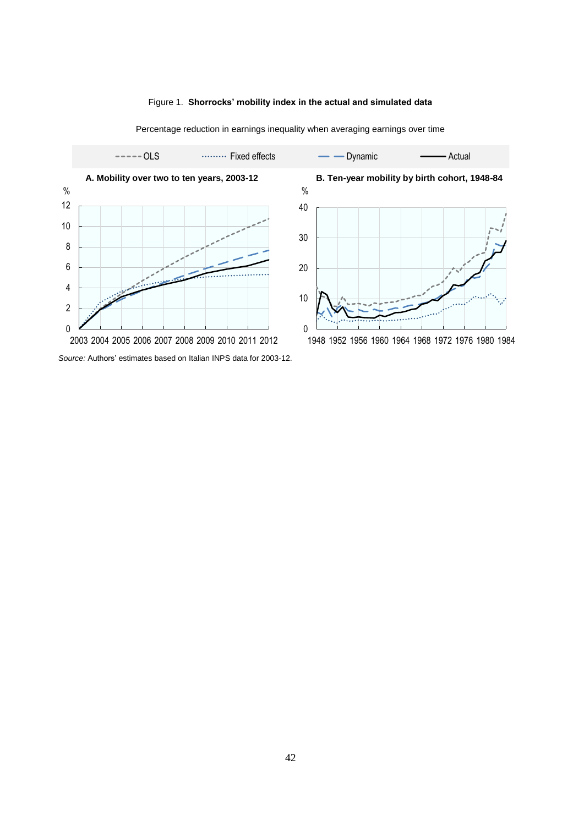#### Figure 1. **Shorrocks' mobility index in the actual and simulated data**



Percentage reduction in earnings inequality when averaging earnings over time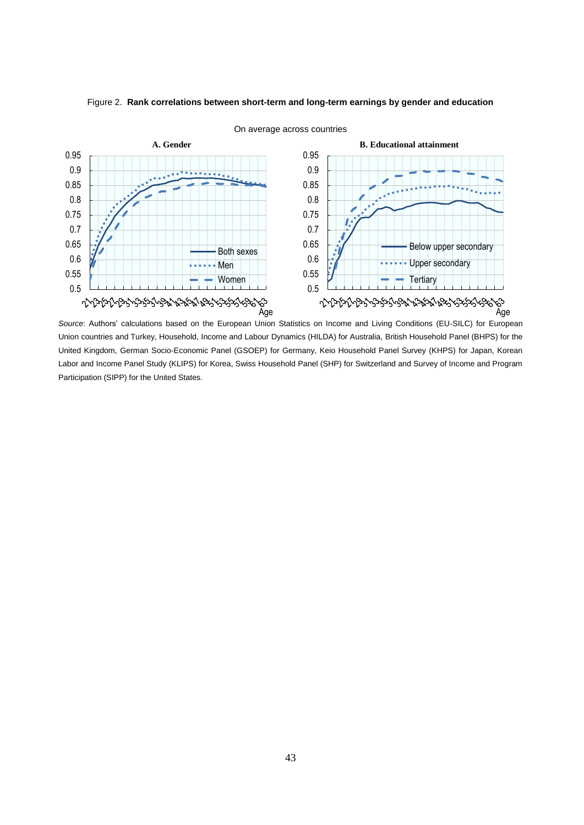

#### Figure 2. **Rank correlations between short-term and long-term earnings by gender and education**

On average across countries

*Source*: Authors' calculations based on the European Union Statistics on Income and Living Conditions (EU-SILC) for European Union countries and Turkey, Household, Income and Labour Dynamics (HILDA) for Australia, British Household Panel (BHPS) for the United Kingdom, German Socio-Economic Panel (GSOEP) for Germany, Keio Household Panel Survey (KHPS) for Japan, Korean Labor and Income Panel Study (KLIPS) for Korea, Swiss Household Panel (SHP) for Switzerland and Survey of Income and Program Participation (SIPP) for the United States.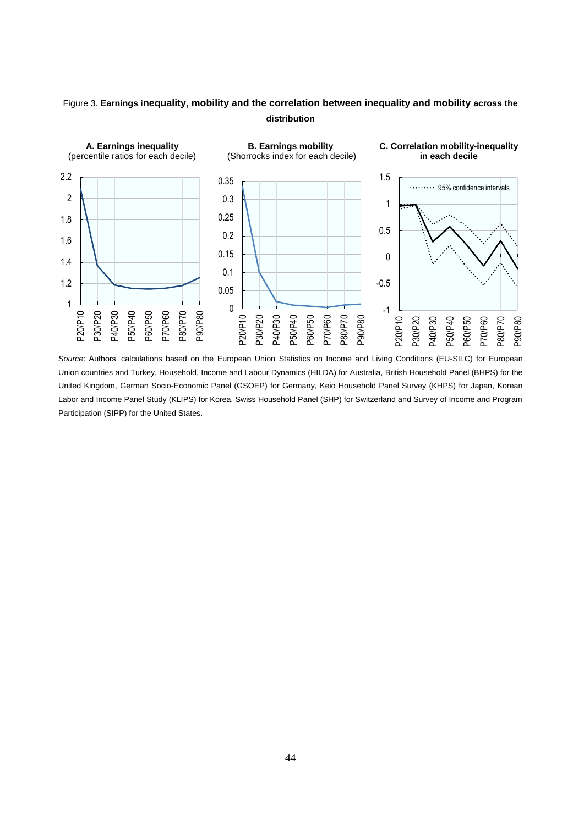### Figure 3. **Earnings inequality, mobility and the correlation between inequality and mobility across the distribution**



*Source*: Authors' calculations based on the European Union Statistics on Income and Living Conditions (EU-SILC) for European Union countries and Turkey, Household, Income and Labour Dynamics (HILDA) for Australia, British Household Panel (BHPS) for the United Kingdom, German Socio-Economic Panel (GSOEP) for Germany, Keio Household Panel Survey (KHPS) for Japan, Korean Labor and Income Panel Study (KLIPS) for Korea, Swiss Household Panel (SHP) for Switzerland and Survey of Income and Program Participation (SIPP) for the United States.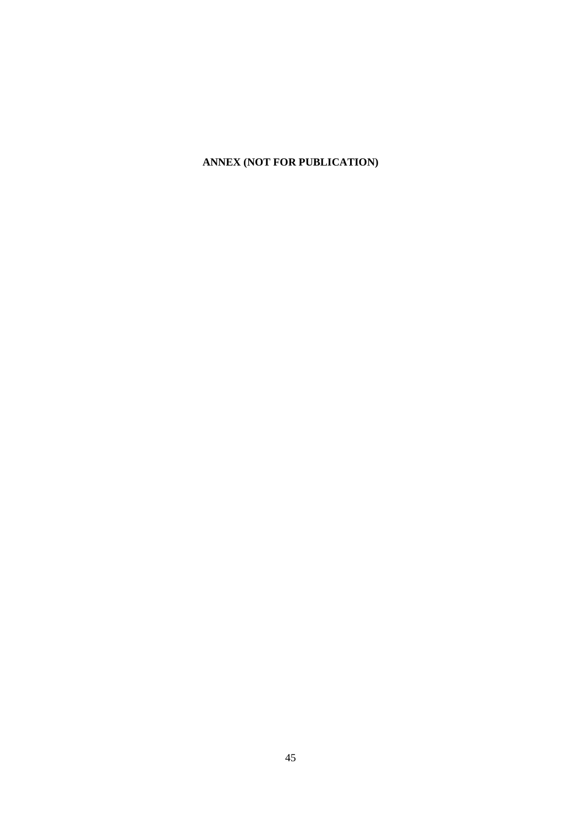## **ANNEX (NOT FOR PUBLICATION)**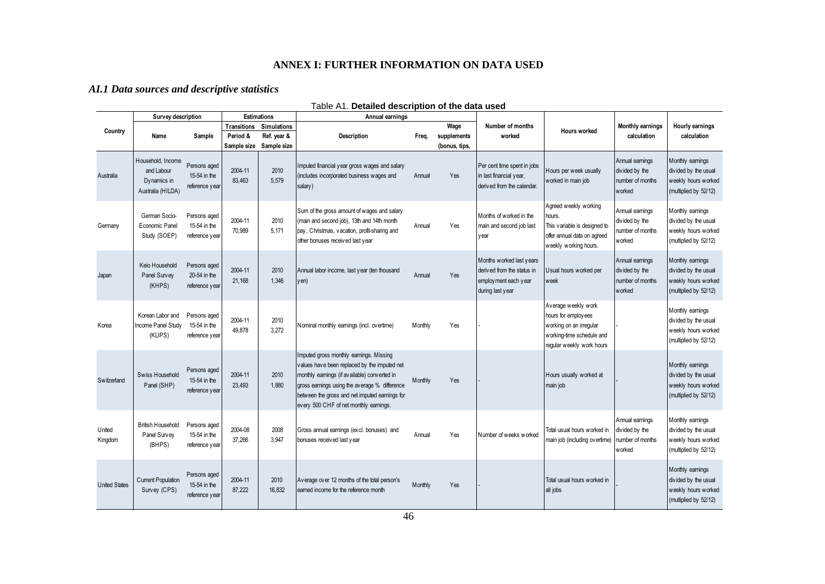#### **ANNEX I: FURTHER INFORMATION ON DATA USED**

#### *AI.1 Data sources and descriptive statistics*

|                      | Survey description                                                  |                                                |                   | <b>Estimations</b>             | Annual earnings                                                                                                                                                                                                                                                                      |         |               |                                                                                                    |                                                                                                                                 |                                                                 |                                                                                          |
|----------------------|---------------------------------------------------------------------|------------------------------------------------|-------------------|--------------------------------|--------------------------------------------------------------------------------------------------------------------------------------------------------------------------------------------------------------------------------------------------------------------------------------|---------|---------------|----------------------------------------------------------------------------------------------------|---------------------------------------------------------------------------------------------------------------------------------|-----------------------------------------------------------------|------------------------------------------------------------------------------------------|
| Country              |                                                                     |                                                |                   | <b>Transitions Simulations</b> |                                                                                                                                                                                                                                                                                      |         | Wage          | Number of months                                                                                   | <b>Hours worked</b>                                                                                                             | <b>Monthly earnings</b>                                         | Hourly earnings                                                                          |
|                      | Name                                                                | Sample                                         | Period &          | Ref. year &                    | <b>Description</b>                                                                                                                                                                                                                                                                   | Frea.   | supplements   | worked                                                                                             |                                                                                                                                 | calculation                                                     | calculation                                                                              |
|                      |                                                                     |                                                | Sample size       | Sample size                    |                                                                                                                                                                                                                                                                                      |         | (bonus, tips, |                                                                                                    |                                                                                                                                 |                                                                 |                                                                                          |
| Australia            | Household, Income<br>and Labour<br>Dynamics in<br>Australia (HILDA) | Persons aged<br>15-54 in the<br>reference year | 2004-11<br>83,463 | 2010<br>5,579                  | Imputed financial year gross wages and salary<br>(includes incorporated business wages and<br>salary)                                                                                                                                                                                | Annual  | Yes           | Per cent time spent in jobs<br>in last financial year,<br>derived from the calendar.               | Hours per week usually<br>worked in main job                                                                                    | Annual earnings<br>divided by the<br>number of months<br>worked | Monthly earnings<br>divided by the usual<br>weekly hours worked<br>(multiplied by 52/12) |
| Germany              | German Socio-<br>Economic Panel<br>Study (SOEP)                     | Persons aged<br>15-54 in the<br>reference year | 2004-11<br>70.989 | 2010<br>5.171                  | Sum of the gross amount of wages and salary<br>(main and second job), 13th and 14th month<br>pay, Christmas, vacation, profit-sharing and<br>other bonuses received last year                                                                                                        | Annual  | Yes           | Months of worked in the<br>main and second job last<br>y ear                                       | Agreed weekly working<br>hours.<br>This variable is designed to<br>offer annual data on agreed<br>weekly working hours.         | Annual earnings<br>divided by the<br>number of months<br>worked | Monthly earnings<br>divided by the usual<br>weekly hours worked<br>(multiplied by 52/12) |
| Japan                | Keio Household<br>Panel Survey<br>(KHPS)                            | Persons aged<br>20-54 in the<br>reference year | 2004-11<br>21,168 | 2010<br>1,346                  | Annual labor income, last year (ten thousand<br>yen)                                                                                                                                                                                                                                 | Annual  | Yes           | Months worked last years<br>derived from the status in<br>employment each year<br>during last year | Usual hours worked per<br>week                                                                                                  | Annual earnings<br>divided by the<br>number of months<br>worked | Monthly earnings<br>divided by the usual<br>weekly hours worked<br>(multiplied by 52/12) |
| Korea                | Korean Labor and<br>ncome Panel Study<br>(KLIPS)                    | Persons aged<br>15-54 in the<br>reference year | 2004-11<br>49,878 | 2010<br>3,272                  | Nominal monthly earnings (incl. overtime)                                                                                                                                                                                                                                            | Monthly | Yes           |                                                                                                    | Average weekly work<br>hours for employees<br>working on an irregular<br>working-time schedule and<br>regular weekly work hours |                                                                 | Monthly earnings<br>divided by the usual<br>weekly hours worked<br>(multiplied by 52/12) |
| Switzerland          | Swiss Household<br>Panel (SHP)                                      | Persons aged<br>15-54 in the<br>reference year | 2004-11<br>23.493 | 2010<br>1.880                  | Imputed gross monthly earnings. Missing<br>values have been replaced by the imputed net<br>monthly earnings (if available) converted in<br>gross earnings using the average % difference<br>between the gross and net imputed earnings for<br>every 500 CHF of net monthly earnings. | Monthly | Yes           |                                                                                                    | Hours usually worked at<br>main job                                                                                             |                                                                 | Monthly earnings<br>divided by the usual<br>weekly hours worked<br>(multiplied by 52/12) |
| United<br>Kingdom    | <b>British Household</b><br>Panel Survey<br>(BHPS)                  | Persons aged<br>15-54 in the<br>reference year | 2004-08<br>37,266 | 2008<br>3,947                  | Gross annual earnings (excl. bonuses) and<br>bonuses received last year                                                                                                                                                                                                              | Annual  | Yes           | Number of weeks worked                                                                             | Total usual hours worked in<br>main job (including overtime)                                                                    | Annual earnings<br>divided by the<br>number of months<br>worked | Monthly earnings<br>divided by the usual<br>weekly hours worked<br>(multiplied by 52/12) |
| <b>United States</b> | Current Population<br>Survey (CPS)                                  | Persons aged<br>15-54 in the<br>reference year | 2004-11<br>87.222 | 2010<br>16.832                 | Average over 12 months of the total person's<br>earned income for the reference month                                                                                                                                                                                                | Monthly | Yes           |                                                                                                    | Total usual hours worked in<br>all jobs                                                                                         |                                                                 | Monthly earnings<br>divided by the usual<br>weekly hours worked<br>(multiplied by 52/12) |

Table A1. **Detailed description of the data used**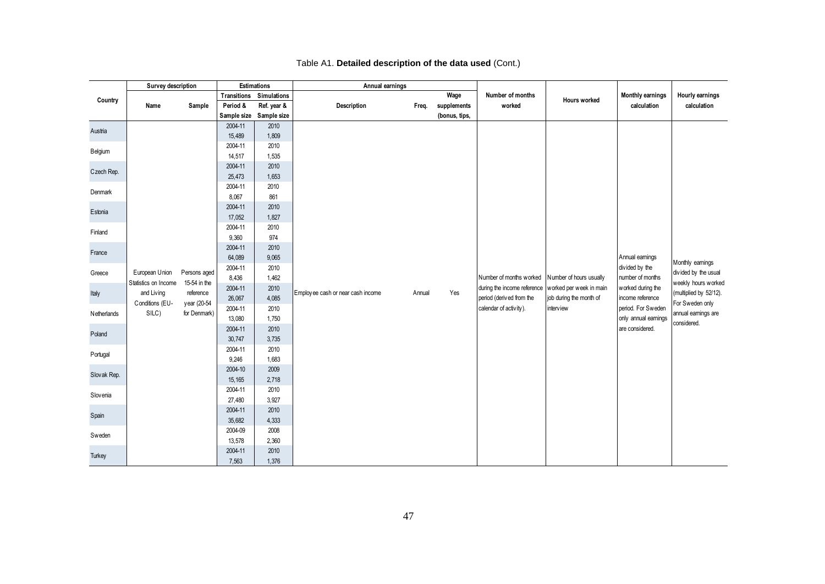|             | Survey description   |              |                   | Estimations             | Annual earnings                   |        |               |                                                        |                                                                                            |                                                           |                                                                       |
|-------------|----------------------|--------------|-------------------|-------------------------|-----------------------------------|--------|---------------|--------------------------------------------------------|--------------------------------------------------------------------------------------------|-----------------------------------------------------------|-----------------------------------------------------------------------|
| Country     |                      |              | Transitions       | Simulations             |                                   |        | Wage          | Number of months                                       | <b>Hours worked</b>                                                                        | Monthly earnings                                          | Hourly earnings                                                       |
|             | Name                 | Sample       | Period &          | Ref. year &             | Description                       | Freq.  | supplements   | worked                                                 |                                                                                            | calculation                                               | calculation                                                           |
|             |                      |              |                   | Sample size Sample size |                                   |        | (bonus, tips, |                                                        |                                                                                            |                                                           |                                                                       |
| Austria     |                      |              | 2004-11           | 2010                    |                                   |        |               |                                                        |                                                                                            |                                                           |                                                                       |
|             |                      |              | 15,489            | 1,809                   |                                   |        |               |                                                        |                                                                                            |                                                           |                                                                       |
| Belgium     |                      |              | 2004-11           | 2010                    |                                   |        |               |                                                        |                                                                                            |                                                           |                                                                       |
|             |                      |              | 14,517            | 1,535                   |                                   |        |               |                                                        |                                                                                            |                                                           |                                                                       |
| Czech Rep.  |                      |              | 2004-11<br>25,473 | 2010<br>1,653           |                                   |        |               |                                                        |                                                                                            |                                                           |                                                                       |
|             |                      |              | 2004-11           | 2010                    |                                   |        |               |                                                        |                                                                                            |                                                           |                                                                       |
| Denmark     |                      |              | 8,067             | 861                     |                                   |        |               |                                                        |                                                                                            |                                                           |                                                                       |
| Estonia     |                      |              | 2004-11           | 2010                    |                                   |        |               |                                                        |                                                                                            |                                                           |                                                                       |
|             |                      |              | 17,052            | 1,827                   |                                   |        |               |                                                        |                                                                                            |                                                           |                                                                       |
| Finland     |                      |              | 2004-11           | 2010                    |                                   |        |               |                                                        |                                                                                            |                                                           |                                                                       |
|             |                      |              | 9,360             | 974                     |                                   |        |               |                                                        |                                                                                            |                                                           |                                                                       |
| France      |                      |              | 2004-11           | 2010                    |                                   |        |               |                                                        |                                                                                            |                                                           |                                                                       |
|             |                      |              | 64,089            | 9,065                   |                                   |        |               |                                                        |                                                                                            | Annual earnings                                           | Monthly earnings                                                      |
| Greece      | European Union       | Persons aged | 2004-11           | 2010                    |                                   |        |               |                                                        |                                                                                            | divided by the                                            | divided by the usual<br>weekly hours worked<br>(multiplied by 52/12). |
|             | Statistics on Income | 15-54 in the | 8,436<br>2004-11  | 1,462<br>2010           |                                   |        |               | Number of months worked<br>during the income reference | Number of hours usually<br>worked per week in main<br>job during the month of<br>interview | number of months<br>worked during the<br>income reference |                                                                       |
| Italy       | and Living           | reference    | 26,067            | 4,085                   | Employee cash or near cash income | Annual | Yes           | period (derived from the<br>calendar of activity).     |                                                                                            |                                                           |                                                                       |
|             | Conditions (EU-      | year (20-54  | 2004-11           | 2010                    |                                   |        |               |                                                        |                                                                                            | period. For Sweden                                        | For Sweden only                                                       |
| Netherlands | SILC)                | for Denmark) | 13,080            | 1,750                   |                                   |        |               |                                                        |                                                                                            | only annual earnings                                      | annual earnings are                                                   |
|             |                      |              | 2004-11           | 2010                    |                                   |        |               |                                                        |                                                                                            | are considered.                                           | considered.                                                           |
| Poland      |                      |              | 30,747            | 3,735                   |                                   |        |               |                                                        |                                                                                            |                                                           |                                                                       |
|             |                      |              | 2004-11           | 2010                    |                                   |        |               |                                                        |                                                                                            |                                                           |                                                                       |
| Portugal    |                      |              | 9,246             | 1,683                   |                                   |        |               |                                                        |                                                                                            |                                                           |                                                                       |
|             |                      |              | 2004-10           | 2009                    |                                   |        |               |                                                        |                                                                                            |                                                           |                                                                       |
| Slovak Rep. |                      |              | 15,165            | 2,718                   |                                   |        |               |                                                        |                                                                                            |                                                           |                                                                       |
| Slovenia    |                      |              | 2004-11           | 2010                    |                                   |        |               |                                                        |                                                                                            |                                                           |                                                                       |
|             |                      |              | 27,480            | 3,927                   |                                   |        |               |                                                        |                                                                                            |                                                           |                                                                       |
| Spain       |                      |              | 2004-11           | 2010                    |                                   |        |               |                                                        |                                                                                            |                                                           |                                                                       |
|             |                      |              | 35,682            | 4,333                   |                                   |        |               |                                                        |                                                                                            |                                                           |                                                                       |
| Sweden      |                      |              | 2004-09           | 2008                    |                                   |        |               |                                                        |                                                                                            |                                                           |                                                                       |
|             |                      |              | 13,578            | 2,360                   |                                   |        |               |                                                        |                                                                                            |                                                           |                                                                       |
| Turkey      |                      |              | 2004-11           | 2010                    |                                   |        |               |                                                        |                                                                                            |                                                           |                                                                       |
|             |                      |              | 7,563             | 1,376                   |                                   |        |               |                                                        |                                                                                            |                                                           |                                                                       |

#### Table A1. **Detailed description of the data used** (Cont.)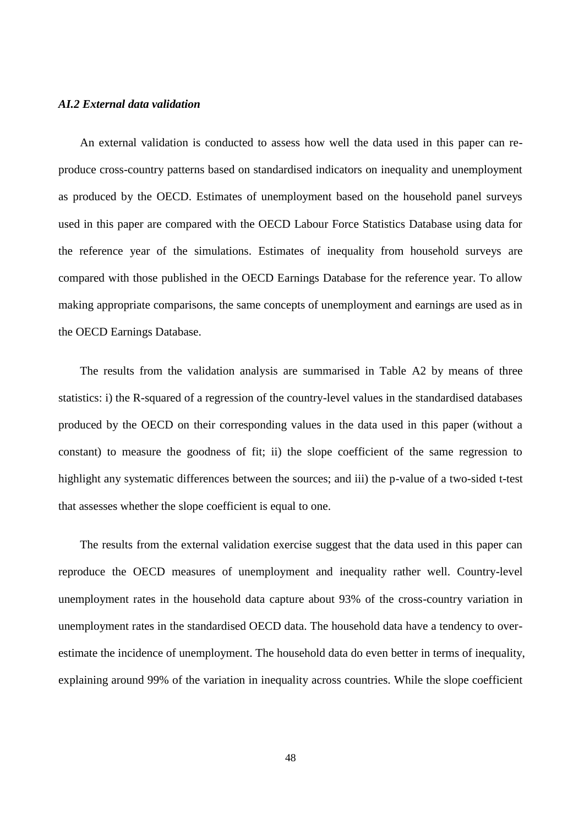#### *AI.2 External data validation*

An external validation is conducted to assess how well the data used in this paper can reproduce cross-country patterns based on standardised indicators on inequality and unemployment as produced by the OECD. Estimates of unemployment based on the household panel surveys used in this paper are compared with the OECD Labour Force Statistics Database using data for the reference year of the simulations. Estimates of inequality from household surveys are compared with those published in the OECD Earnings Database for the reference year. To allow making appropriate comparisons, the same concepts of unemployment and earnings are used as in the OECD Earnings Database.

The results from the validation analysis are summarised in Table A2 by means of three statistics: i) the R-squared of a regression of the country-level values in the standardised databases produced by the OECD on their corresponding values in the data used in this paper (without a constant) to measure the goodness of fit; ii) the slope coefficient of the same regression to highlight any systematic differences between the sources; and iii) the p-value of a two-sided t-test that assesses whether the slope coefficient is equal to one.

The results from the external validation exercise suggest that the data used in this paper can reproduce the OECD measures of unemployment and inequality rather well. Country-level unemployment rates in the household data capture about 93% of the cross-country variation in unemployment rates in the standardised OECD data. The household data have a tendency to overestimate the incidence of unemployment. The household data do even better in terms of inequality, explaining around 99% of the variation in inequality across countries. While the slope coefficient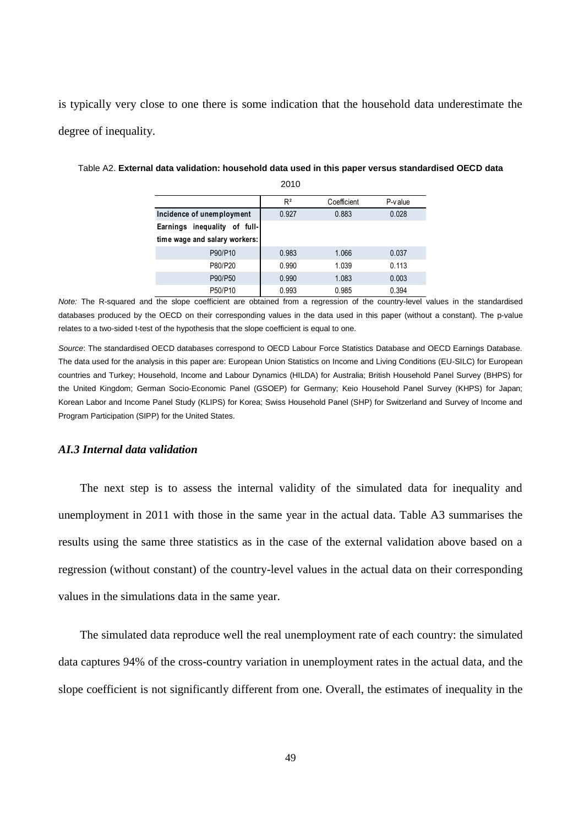is typically very close to one there is some indication that the household data underestimate the degree of inequality.

|                                 | 2010  |             |            |
|---------------------------------|-------|-------------|------------|
|                                 | $R^2$ | Coefficient | $P-v$ alue |
| Incidence of unemployment       | 0.927 | 0.883       | 0.028      |
| inequality of full-<br>Earnings |       |             |            |
| time wage and salary workers:   |       |             |            |
| P90/P10                         | 0.983 | 1.066       | 0.037      |
| P80/P20                         | 0.990 | 1.039       | 0.113      |
| P90/P50                         | 0.990 | 1.083       | 0.003      |
| P50/P10                         | 0.993 | 0.985       | 0.394      |

Table A2. **External data validation: household data used in this paper versus standardised OECD data**  2010

*Note:* The R-squared and the slope coefficient are obtained from a regression of the country-level values in the standardised databases produced by the OECD on their corresponding values in the data used in this paper (without a constant). The p-value relates to a two-sided t-test of the hypothesis that the slope coefficient is equal to one.

*Source*: The standardised OECD databases correspond to OECD Labour Force Statistics Database and OECD Earnings Database. The data used for the analysis in this paper are: European Union Statistics on Income and Living Conditions (EU-SILC) for European countries and Turkey; Household, Income and Labour Dynamics (HILDA) for Australia; British Household Panel Survey (BHPS) for the United Kingdom; German Socio-Economic Panel (GSOEP) for Germany; Keio Household Panel Survey (KHPS) for Japan; Korean Labor and Income Panel Study (KLIPS) for Korea; Swiss Household Panel (SHP) for Switzerland and Survey of Income and Program Participation (SIPP) for the United States.

#### *AI.3 Internal data validation*

The next step is to assess the internal validity of the simulated data for inequality and unemployment in 2011 with those in the same year in the actual data. Table A3 summarises the results using the same three statistics as in the case of the external validation above based on a regression (without constant) of the country-level values in the actual data on their corresponding values in the simulations data in the same year.

The simulated data reproduce well the real unemployment rate of each country: the simulated data captures 94% of the cross-country variation in unemployment rates in the actual data, and the slope coefficient is not significantly different from one. Overall, the estimates of inequality in the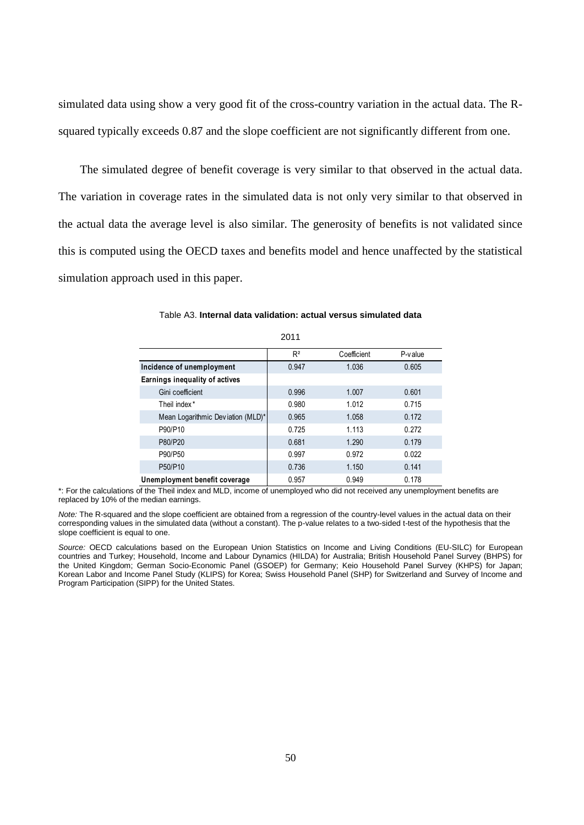simulated data using show a very good fit of the cross-country variation in the actual data. The Rsquared typically exceeds 0.87 and the slope coefficient are not significantly different from one.

The simulated degree of benefit coverage is very similar to that observed in the actual data. The variation in coverage rates in the simulated data is not only very similar to that observed in the actual data the average level is also similar. The generosity of benefits is not validated since this is computed using the OECD taxes and benefits model and hence unaffected by the statistical simulation approach used in this paper.

|                                   | 2011  |             |            |
|-----------------------------------|-------|-------------|------------|
|                                   | $R^2$ | Coefficient | $P-v$ alue |
| Incidence of unemployment         | 0.947 | 1.036       | 0.605      |
| Earnings inequality of actives    |       |             |            |
| Gini coefficient                  | 0.996 | 1.007       | 0.601      |
| Theil index <sup>*</sup>          | 0.980 | 1.012       | 0.715      |
| Mean Logarithmic Deviation (MLD)* | 0.965 | 1.058       | 0.172      |
| P90/P10                           | 0.725 | 1.113       | 0.272      |
| P80/P20                           | 0.681 | 1.290       | 0.179      |
| P90/P50                           | 0.997 | 0.972       | 0.022      |
| P50/P10                           | 0.736 | 1.150       | 0.141      |
| Unemployment benefit coverage     | 0.957 | 0.949       | 0.178      |

Table A3. **Internal data validation: actual versus simulated data**  $2011$ 

\*: For the calculations of the Theil index and MLD, income of unemployed who did not received any unemployment benefits are replaced by 10% of the median earnings.

*Note:* The R-squared and the slope coefficient are obtained from a regression of the country-level values in the actual data on their corresponding values in the simulated data (without a constant). The p-value relates to a two-sided t-test of the hypothesis that the slope coefficient is equal to one.

*Source:* OECD calculations based on the European Union Statistics on Income and Living Conditions (EU-SILC) for European countries and Turkey; Household, Income and Labour Dynamics (HILDA) for Australia; British Household Panel Survey (BHPS) for the United Kingdom; German Socio-Economic Panel (GSOEP) for Germany; Keio Household Panel Survey (KHPS) for Japan; Korean Labor and Income Panel Study (KLIPS) for Korea; Swiss Household Panel (SHP) for Switzerland and Survey of Income and Program Participation (SIPP) for the United States.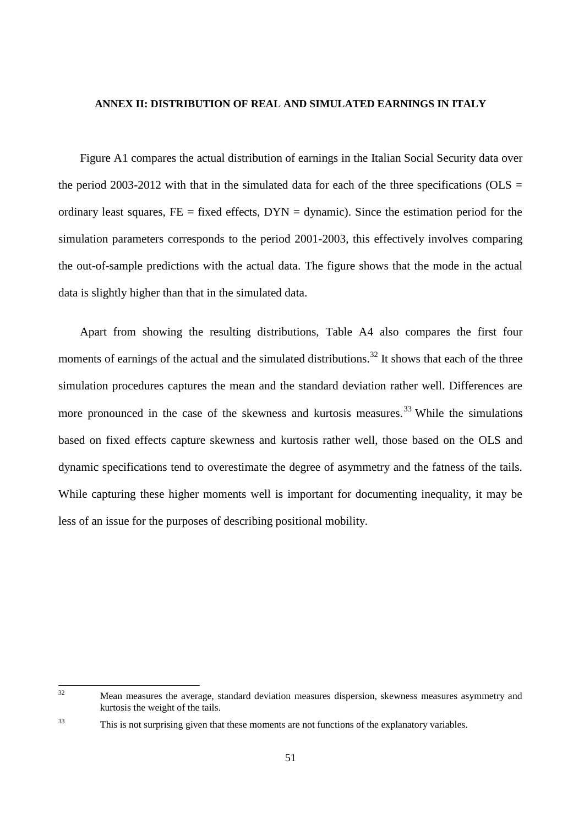#### **ANNEX II: DISTRIBUTION OF REAL AND SIMULATED EARNINGS IN ITALY**

Figure A1 compares the actual distribution of earnings in the Italian Social Security data over the period 2003-2012 with that in the simulated data for each of the three specifications (OLS  $=$ ordinary least squares,  $FE = fixed$  effects,  $DYN =$  dynamic). Since the estimation period for the simulation parameters corresponds to the period 2001-2003, this effectively involves comparing the out-of-sample predictions with the actual data. The figure shows that the mode in the actual data is slightly higher than that in the simulated data.

Apart from showing the resulting distributions, Table A4 also compares the first four moments of earnings of the actual and the simulated distributions.<sup>32</sup> It shows that each of the three simulation procedures captures the mean and the standard deviation rather well. Differences are more pronounced in the case of the skewness and kurtosis measures.<sup>33</sup> While the simulations based on fixed effects capture skewness and kurtosis rather well, those based on the OLS and dynamic specifications tend to overestimate the degree of asymmetry and the fatness of the tails. While capturing these higher moments well is important for documenting inequality, it may be less of an issue for the purposes of describing positional mobility.

 $32$ Mean measures the average, standard deviation measures dispersion, skewness measures asymmetry and kurtosis the weight of the tails.

<sup>&</sup>lt;sup>33</sup> This is not surprising given that these moments are not functions of the explanatory variables.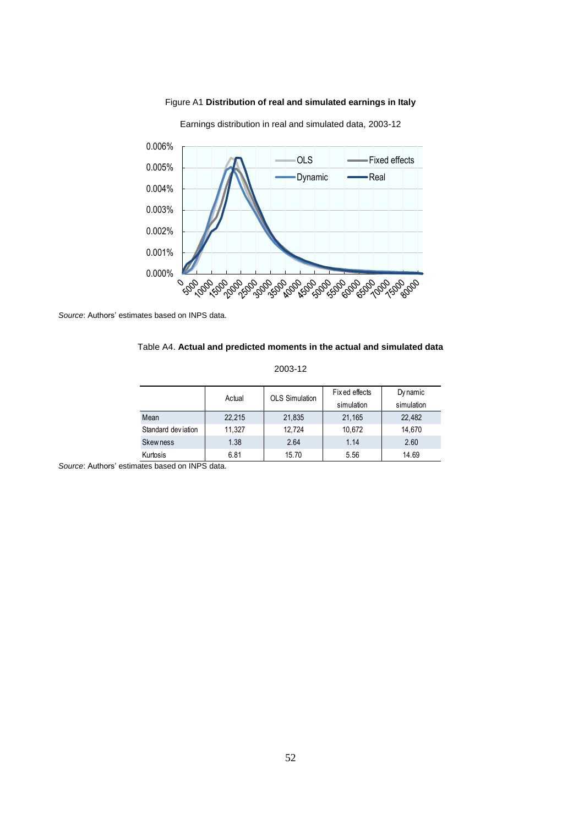

Figure A1 **Distribution of real and simulated earnings in Italy**

Earnings distribution in real and simulated data, 2003-12

*Source*: Authors' estimates based on INPS data.

#### Table A4. **Actual and predicted moments in the actual and simulated data**

| 2003-12 |  |
|---------|--|
|---------|--|

| 2003-12            |        |                       |                              |                        |  |  |  |  |  |  |  |  |
|--------------------|--------|-----------------------|------------------------------|------------------------|--|--|--|--|--|--|--|--|
|                    | Actual | <b>OLS Simulation</b> | Fix ed effects<br>simulation | Dy namic<br>simulation |  |  |  |  |  |  |  |  |
| Mean               | 22,215 | 21,835                | 21,165                       | 22,482                 |  |  |  |  |  |  |  |  |
| Standard deviation | 11,327 | 12,724                | 10,672                       | 14,670                 |  |  |  |  |  |  |  |  |
| <b>Skewness</b>    | 1.38   | 2.64                  | 1.14                         | 2.60                   |  |  |  |  |  |  |  |  |
| Kurtosis           | 6.81   | 15.70                 | 5.56                         | 14.69                  |  |  |  |  |  |  |  |  |

*Source*: Authors' estimates based on INPS data.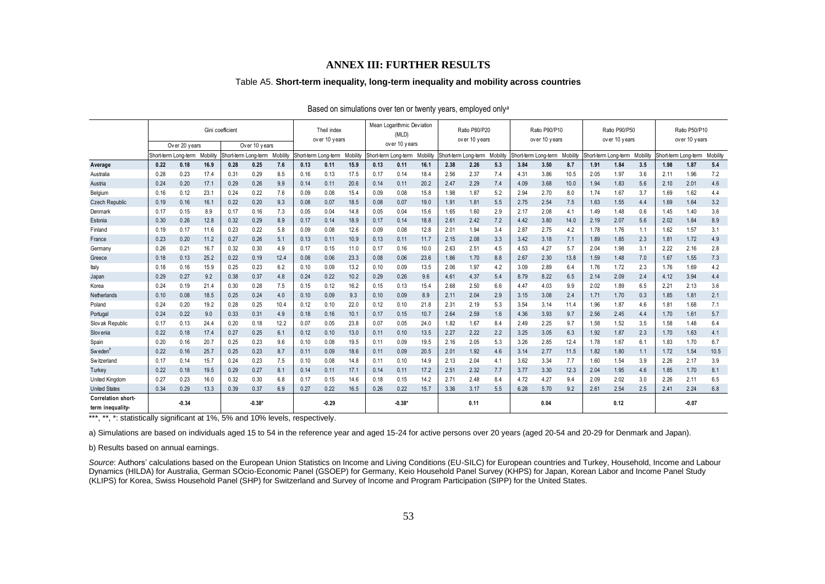#### **ANNEX III: FURTHER RESULTS**

#### Table A5. **Short-term inequality, long-term inequality and mobility across countries**

| Table A5. Short-term inequality, long-term inequality and mobility across countries |                                                                           |                              |                  |                  |                              |                |      |                              |                  |                                     |               |         |                                |                              |                                |      |                              |                 |                                |      |                 |                                |         |                 |
|-------------------------------------------------------------------------------------|---------------------------------------------------------------------------|------------------------------|------------------|------------------|------------------------------|----------------|------|------------------------------|------------------|-------------------------------------|---------------|---------|--------------------------------|------------------------------|--------------------------------|------|------------------------------|-----------------|--------------------------------|------|-----------------|--------------------------------|---------|-----------------|
|                                                                                     | Based on simulations over ten or twenty years, employed only <sup>a</sup> |                              |                  |                  |                              |                |      |                              |                  |                                     |               |         |                                |                              |                                |      |                              |                 |                                |      |                 |                                |         |                 |
|                                                                                     |                                                                           |                              |                  | Gini coefficient |                              |                |      | Theil index<br>over 10 years |                  | Mean Logarithmic Deviation<br>(MLD) |               |         | Ratio P80/P20<br>over 10 years |                              | Ratio P90/P10<br>over 10 years |      |                              |                 | Ratio P90/P50<br>over 10 years |      |                 | Ratio P50/P10<br>over 10 years |         |                 |
|                                                                                     |                                                                           | Over 20 years                |                  |                  | Over 10 years                |                |      |                              |                  |                                     | over 10 years | Mobilit |                                |                              |                                |      |                              |                 |                                |      |                 | Short-term Long-term           |         |                 |
| Average                                                                             | 0.22                                                                      | Short-term Long-term<br>0.18 | Mobility<br>16.9 | 0.28             | Short-term Long-term<br>0.25 | Mobilit<br>7.6 | 0.13 | Short-term Long-term<br>0.11 | Mobility<br>15.9 | Short-term Long-term<br>0.13        | 0.11          | 16.1    | 2.38                           | Short-term Long-term<br>2.26 | Mobility<br>5.3                | 3.84 | Short-term Long-term<br>3.50 | Mobility<br>8.7 | Short-term Long-term<br>1.91   | 1.84 | Mobility<br>3.5 | 1.98                           | 1.87    | Mobility<br>5.4 |
| Australia                                                                           | 0.28                                                                      | 0.23                         | 17.4             | 0.31             | 0.29                         | 8.5            | 0.16 | 0.13                         | 17.5             | 0.17                                | 0.14          | 18.4    | 2.56                           | 2.37                         | 7.4                            | 4.31 | 3.86                         | 10.5            | 2.05                           | 1.97 | 3.6             | 2.11                           | 1.96    | 7.2             |
| Austria                                                                             | 0.24                                                                      | 0.20                         | 17.1             | 0.29             | 0.26                         | 9.9            | 0.14 | 0.11                         | 20.6             | 0.14                                | 0.11          | 20.2    | 2.47                           | 2.29                         | 7.4                            | 4.09 | 3.68                         | 10.0            | 1.94                           | 1.83 | 5.6             | 2.10                           | 2.01    | 4.6             |
| Belgium                                                                             | 0.16                                                                      | 0.12                         | 23.1             | 0.24             | 0.22                         | 7.6            | 0.09 | 0.08                         | 15.4             | 0.09                                | 0.08          | 15.8    | 1.98                           | 1.87                         | 5.2                            | 2.94 | 2.70                         | 8.0             | 1.74                           | 1.67 | 3.7             | 1.69                           | 1.62    | 4.4             |
| <b>Czech Republic</b>                                                               | 0.19                                                                      | 0.16                         | 16.1             | 0.22             | 0.20                         | 9.3            | 0.08 | 0.07                         | 18.5             | 0.08                                | 0.07          | 19.0    | 1.91                           | 1.81                         | 5.5                            | 2.75 | 2.54                         | 7.5             | 1.63                           | 1.55 | 4.4             | 1.69                           | 1.64    | 3.2             |
| Denmark                                                                             | 0.17                                                                      | 0.15                         | 8.9              | 0.17             | 0.16                         | 7.3            | 0.05 | 0.04                         | 14.8             | 0.05                                | 0.04          | 15.6    | 1.65                           | 1.60                         | 2.9                            | 2.17 | 2.08                         | 4.1             | 1.49                           | 1.48 | 0.6             | 1.45                           | 1.40    | 3.6             |
| Estonia                                                                             | 0.30                                                                      | 0.26                         | 12.8             | 0.32             | 0.29                         | 8.9            | 0.17 | 0.14                         | 18.9             | 0.17                                | 0.14          | 18.8    | 2.61                           | 2.42                         | 7.2                            | 4.42 | 3.80                         | 14.0            | 2.19                           | 2.07 | 5.6             | 2.02                           | 1.84    | 8.9             |
| Finland                                                                             | 0.19                                                                      | 0.17                         | 11.6             | 0.23             | 0.22                         | 5.8            | 0.09 | 0.08                         | 12.6             | 0.09                                | 0.08          | 12.8    | 2.01                           | 1.94                         | 3.4                            | 2.87 | 2.75                         | 4.2             | 1.78                           | 1.76 | 1.1             | 1.62                           | 1.57    | 3.1             |
| France                                                                              | 0.23                                                                      | 0.20                         | 11.2             | 0.27             | 0.26                         | 5.1            | 0.13 | 0.11                         | 10.9             | 0.13                                | 0.11          | 11.7    | 2.15                           | 2.08                         | 3.3                            | 3.42 | 3.18                         | 7.1             | 1.89                           | 1.85 | 2.3             | 1.81                           | 1.72    | 4.9             |
| Germany                                                                             | 0.26                                                                      | 0.21                         | 16.7             | 0.32             | 0.30                         | 4.9            | 0.17 | 0.15                         | 11.0             | 0.17                                | 0.16          | 10.0    | 2.63                           | 2.51                         | 4.5                            | 4.53 | 4.27                         | 5.7             | 2.04                           | 1.98 | 3.1             | 2.22                           | 2.16    | 2.8             |
| Greece                                                                              | 0.18                                                                      | 0.13                         | 25.2             | 0.22             | 0.19                         | 12.4           | 0.08 | 0.06                         | 23.3             | 0.08                                | 0.06          | 23.6    | 1.86                           | 1.70                         | 8.8                            | 2.67 | 2.30                         | 13.8            | 1.59                           | 1.48 | 7.0             | 1.67                           | 1.55    | 7.3             |
| Italy                                                                               | 0.18                                                                      | 0.16                         | 15.9             | 0.25             | 0.23                         | 6.2            | 0.10 | 0.09                         | 13.2             | 0.10                                | 0.09          | 13.5    | 2.06                           | 1.97                         | 4.2                            | 3.09 | 2.89                         | 6.4             | 1.76                           | 1.72 | 2.3             | 1.76                           | 1.69    | 4.2             |
| Japan                                                                               | 0.29                                                                      | 0.27                         | 9.2              | 0.38             | 0.37                         | 4.8            | 0.24 | 0.22                         | 10.2             | 0.29                                | 0.26          | 9.6     | 4.61                           | 4.37                         | 5.4                            | 8.79 | 8.22                         | 6.5             | 2.14                           | 2.09 | 2.4             | 4.12                           | 3.94    | 4.4             |
| Korea                                                                               | 0.24                                                                      | 0.19                         | 21.4             | 0.30             | 0.28                         | 7.5            | 0.15 | 0.12                         | 16.2             | 0.15                                | 0.13          | 15.4    | 2.68                           | 2.50                         | 6.6                            | 4.47 | 4.03                         | 9.9             | 2.02                           | 1.89 | 6.5             | 2.21                           | 2.13    | 3.6             |
| Netherlands                                                                         | 0.10                                                                      | 0.08                         | 18.5             | 0.25             | 0.24                         | 4.0            | 0.10 | 0.09                         | 9.3              | 0.10                                | 0.09          | 8.9     | 2.11                           | 2.04                         | 2.9                            | 3.15 | 3.08                         | 2.4             | 1.71                           | 1.70 | 0.3             | 1.85                           | 1.81    | 2.1             |
| Poland                                                                              | 0.24                                                                      | 0.20                         | 19.2             | 0.28             | 0.25                         | 10.4           | 0.12 | 0.10                         | 22.0             | 0.12                                | 0.10          | 21.8    | 2.31                           | 2.19                         | 5.3                            | 3.54 | 3.14                         | 11.4            | 1.96                           | 1.87 | 4.6             | 1.81                           | 1.68    | 7.1             |
| Portugal                                                                            | 0.24                                                                      | 0.22                         | 9.0              | 0.33             | 0.31                         | 4.9            | 0.18 | 0.16                         | 10.1             | 0.17                                | 0.15          | 10.7    | 2.64                           | 2.59                         | 1.6                            | 4.36 | 3.93                         | 9.7             | 2.56                           | 2.45 | 4.4             | 1.70                           | 1.61    | 5.7             |
| Slov ak Republic                                                                    | 0.17                                                                      | 0.13                         | 24.4             | 0.20             | 0.18                         | 12.2           | 0.07 | 0.05                         | 23.8             | 0.07                                | 0.05          | 24.0    | 1.82                           | 1.67                         | 8.4                            | 2.49 | 2.25                         | 9.7             | 1.58                           | 1.52 | 3.5             | 1.58                           | 1.48    | 6.4             |
| Slov enja                                                                           | 0.22                                                                      | 0.18                         | 17.4             | 0.27             | 0.25                         | 6.1            | 0.12 | 0.10                         | 13.0             | 0.11                                | 0.10          | 13.5    | 2.27                           | 2.22                         | 2.2                            | 3.25 | 3.05                         | 6.3             | 1.92                           | 1.87 | 2.3             | 1.70                           | 1.63    | 4.1             |
| Spain                                                                               | 0.20                                                                      | 0.16                         | 20.7             | 0.25             | 0.23                         | 9.6            | 0.10 | 0.08                         | 19.5             | 0.11                                | 0.09          | 19.5    | 2.16                           | 2.05                         | 5.3                            | 3.26 | 2.85                         | 12.4            | 1.78                           | 1.67 | 6.1             | 1.83                           | 1.70    | 6.7             |
| Sweden <sup>4</sup>                                                                 | 0.22                                                                      | 0.16                         | 25.7             | 0.25             | 0.23                         | 8.7            | 0.11 | 0.09                         | 18.6             | 0.11                                | 0.09          | 20.5    | 2.01                           | 1.92                         | 4.6                            | 3.14 | 2.77                         | 11.5            | 1.82                           | 1.80 | 1.1             | 1.72                           | 1.54    | 10.5            |
| Switzerland                                                                         | 0.17                                                                      | 0.14                         | 15.7             | 0.24             | 0.23                         | 7.5            | 0.10 | 0.08                         | 14.8             | 0.11                                | 0.10          | 14.9    | 2.13                           | 2.04                         | 4.1                            | 3.62 | 3.34                         | 7.7             | 1.60                           | 1.54 | 3.9             | 2.26                           | 2.17    | 3.9             |
| Turkey                                                                              | 0.22                                                                      | 0.18                         | 19.5             | 0.29             | 0.27                         | 8.1            | 0.14 | 0.11                         | 17.1             | 0.14                                | 0.11          | 17.2    | 2.51                           | 2.32                         | 7.7                            | 3.77 | 3.30                         | 12.3            | 2.04                           | 1.95 | 4.6             | 1.85                           | 1.70    | 8.1             |
| United Kingdom                                                                      | 0.27                                                                      | 0.23                         | 16.0             | 0.32             | 0.30                         | 6.8            | 0.17 | 0.15                         | 14.6             | 0.18                                | 0.15          | 14.2    | 2.71                           | 2.48                         | 8.4                            | 4.72 | 4.27                         | 9.4             | 2.09                           | 2.02 | 3.0             | 2.26                           | 2.11    | 6.5             |
| <b>United States</b>                                                                | 0.34                                                                      | 0.29                         | 13.3             | 0.39             | 0.37                         | 6.9            | 0.27 | 0.22                         | 16.5             | 0.26                                | 0.22          | 15.7    | 3.36                           | 3.17                         | 5.5                            | 6.28 | 5.70                         | 9.2             | 2.61                           | 2.54 | 2.5             | 2.41                           | 2.24    | 6.8             |
| Correlation short-<br>term inequality-                                              |                                                                           | $-0.34$                      |                  |                  | $-0.38*$                     |                |      | $-0.29$                      |                  |                                     | $-0.38*$      |         |                                | 0.11                         |                                |      | 0.04                         |                 |                                | 0.12 |                 |                                | $-0.07$ |                 |

#### Based on simulations over ten or twenty years, employed only*<sup>a</sup>*

\*\*\*, \*\*, \*: statistically significant at 1%, 5% and 10% levels, respectively.

a) Simulations are based on individuals aged 15 to 54 in the reference year and aged 15-24 for active persons over 20 years (aged 20-54 and 20-29 for Denmark and Japan).

#### b) Results based on annual earnings.

Source: Authors' calculations based on the European Union Statistics on Income and Living Conditions (EU-SILC) for European countries and Turkey, Household, Income and Labour Dynamics (HILDA) for Australia, German SOcio-Economic Panel (GSOEP) for Germany, Keio Household Panel Survey (KHPS) for Japan, Korean Labor and Income Panel Study (KLIPS) for Korea, Swiss Household Panel (SHP) for Switzerland and Survey of Income and Program Participation (SIPP) for the United States.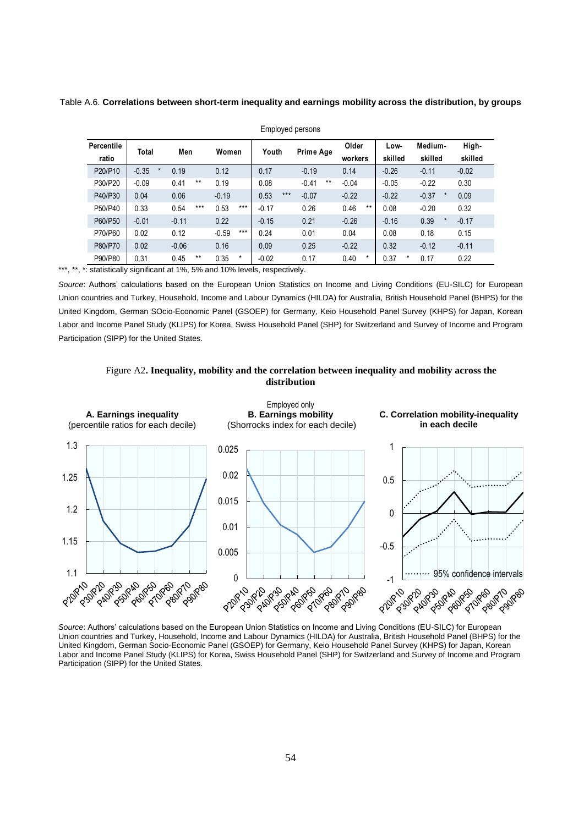Table A.6. **Correlations between short-term inequality and earnings mobility across the distribution, by groups**

|            | $ \cdots$ $\cdots$ $\cdots$ $\cdots$ |               |                                                                                 |               |                  |                 |                 |                    |         |  |  |  |  |
|------------|--------------------------------------|---------------|---------------------------------------------------------------------------------|---------------|------------------|-----------------|-----------------|--------------------|---------|--|--|--|--|
| Percentile | Men<br>Total                         |               | Women                                                                           | Youth         | Prime Age        | Older           | Low-            | Medium-            | High-   |  |  |  |  |
| ratio      |                                      |               |                                                                                 |               |                  | workers         | skilled         | skilled            | skilled |  |  |  |  |
| P20/P10    | $-0.35$<br>$\star$                   | 0.19          | 0.12                                                                            | 0.17          | $-0.19$          | 0.14            | $-0.26$         | $-0.11$            | $-0.02$ |  |  |  |  |
| P30/P20    | $-0.09$                              | $***$<br>0.41 | 0.19                                                                            | 0.08          | $***$<br>$-0.41$ | $-0.04$         | $-0.05$         | $-0.22$            | 0.30    |  |  |  |  |
| P40/P30    | 0.04                                 | 0.06          | $-0.19$                                                                         | $***$<br>0.53 | $-0.07$          | $-0.22$         | $-0.22$         | $-0.37$<br>$\star$ | 0.09    |  |  |  |  |
| P50/P40    | 0.33                                 | $***$<br>0.54 | $***$<br>0.53                                                                   | $-0.17$       | 0.26             | 0.46<br>$***$   | 0.08            | $-0.20$            | 0.32    |  |  |  |  |
| P60/P50    | $-0.01$                              | $-0.11$       | 0.22                                                                            | $-0.15$       | 0.21             | $-0.26$         | $-0.16$         | 0.39<br>$\star$    | $-0.17$ |  |  |  |  |
| P70/P60    | 0.02                                 | 0.12          | $***$<br>$-0.59$                                                                | 0.24          | 0.01             | 0.04            | 0.08            | 0.18               | 0.15    |  |  |  |  |
| P80/P70    | 0.02                                 | $-0.06$       | 0.16                                                                            | 0.09          | 0.25             | $-0.22$         | 0.32            | $-0.12$            | $-0.11$ |  |  |  |  |
| P90/P80    | 0.31                                 | 0.45<br>$***$ | 0.35<br>$^\star$                                                                | $-0.02$       | 0.17             | 0.40<br>$\star$ | 0.37<br>$\star$ | 0.17               | 0.22    |  |  |  |  |
|            |                                      |               | $\epsilon$ etatietically eignificant at 194 $E_0$ and 1004 lovels, respectively |               |                  |                 |                 |                    |         |  |  |  |  |

Employed persons

\*\*\*, \*\*, \*: statistically significant at 1%, 5% and 10% levels, respectively.

*Source*: Authors' calculations based on the European Union Statistics on Income and Living Conditions (EU-SILC) for European Union countries and Turkey, Household, Income and Labour Dynamics (HILDA) for Australia, British Household Panel (BHPS) for the United Kingdom, German SOcio-Economic Panel (GSOEP) for Germany, Keio Household Panel Survey (KHPS) for Japan, Korean Labor and Income Panel Study (KLIPS) for Korea, Swiss Household Panel (SHP) for Switzerland and Survey of Income and Program Participation (SIPP) for the United States.





*Source*: Authors' calculations based on the European Union Statistics on Income and Living Conditions (EU-SILC) for European Union countries and Turkey, Household, Income and Labour Dynamics (HILDA) for Australia, British Household Panel (BHPS) for the United Kingdom, German Socio-Economic Panel (GSOEP) for Germany, Keio Household Panel Survey (KHPS) for Japan, Korean Labor and Income Panel Study (KLIPS) for Korea, Swiss Household Panel (SHP) for Switzerland and Survey of Income and Program Participation (SIPP) for the United States.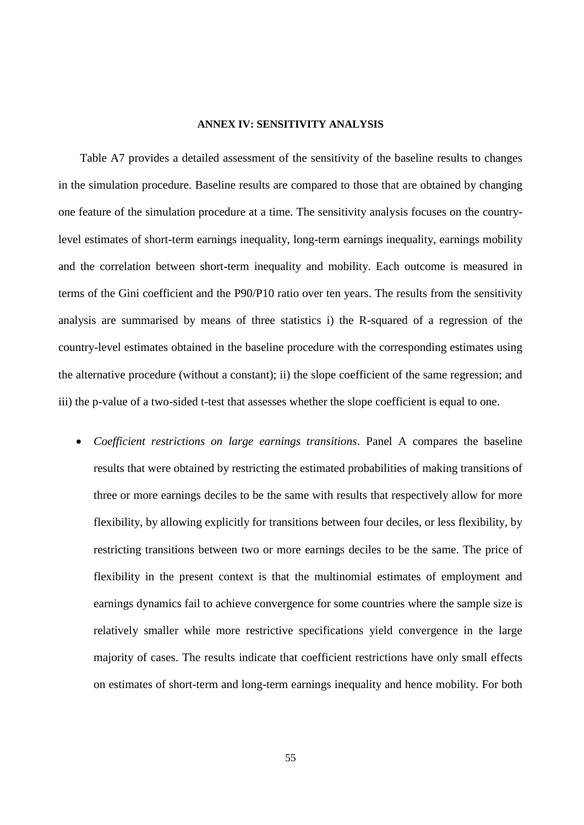#### **ANNEX IV: SENSITIVITY ANALYSIS**

Table A7 provides a detailed assessment of the sensitivity of the baseline results to changes in the simulation procedure. Baseline results are compared to those that are obtained by changing one feature of the simulation procedure at a time. The sensitivity analysis focuses on the countrylevel estimates of short-term earnings inequality, long-term earnings inequality, earnings mobility and the correlation between short-term inequality and mobility. Each outcome is measured in terms of the Gini coefficient and the P90/P10 ratio over ten years. The results from the sensitivity analysis are summarised by means of three statistics i) the R-squared of a regression of the country-level estimates obtained in the baseline procedure with the corresponding estimates using the alternative procedure (without a constant); ii) the slope coefficient of the same regression; and iii) the p-value of a two-sided t-test that assesses whether the slope coefficient is equal to one.

 *Coefficient restrictions on large earnings transitions*. Panel A compares the baseline results that were obtained by restricting the estimated probabilities of making transitions of three or more earnings deciles to be the same with results that respectively allow for more flexibility, by allowing explicitly for transitions between four deciles, or less flexibility, by restricting transitions between two or more earnings deciles to be the same. The price of flexibility in the present context is that the multinomial estimates of employment and earnings dynamics fail to achieve convergence for some countries where the sample size is relatively smaller while more restrictive specifications yield convergence in the large majority of cases. The results indicate that coefficient restrictions have only small effects on estimates of short-term and long-term earnings inequality and hence mobility. For both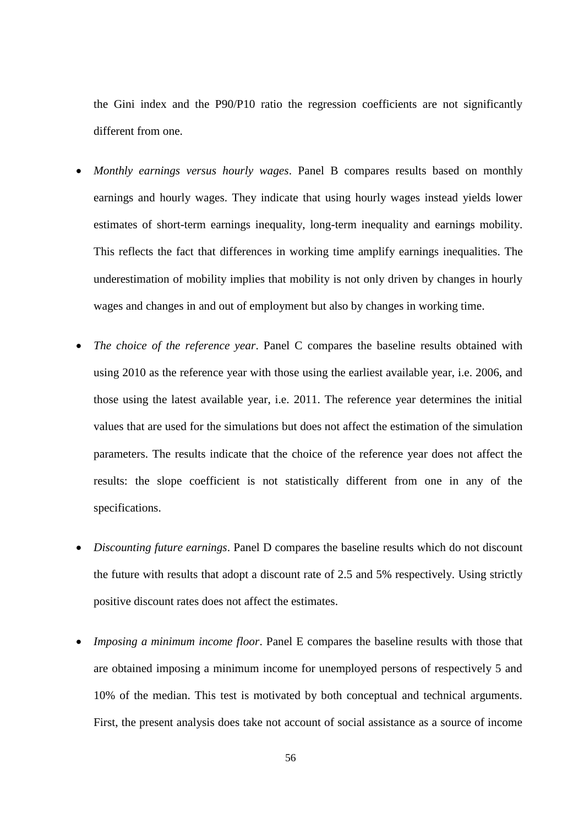the Gini index and the P90/P10 ratio the regression coefficients are not significantly different from one.

- *Monthly earnings versus hourly wages*. Panel B compares results based on monthly earnings and hourly wages. They indicate that using hourly wages instead yields lower estimates of short-term earnings inequality, long-term inequality and earnings mobility. This reflects the fact that differences in working time amplify earnings inequalities. The underestimation of mobility implies that mobility is not only driven by changes in hourly wages and changes in and out of employment but also by changes in working time.
- *The choice of the reference year*. Panel C compares the baseline results obtained with using 2010 as the reference year with those using the earliest available year, i.e. 2006, and those using the latest available year, i.e. 2011. The reference year determines the initial values that are used for the simulations but does not affect the estimation of the simulation parameters. The results indicate that the choice of the reference year does not affect the results: the slope coefficient is not statistically different from one in any of the specifications.
- *Discounting future earnings*. Panel D compares the baseline results which do not discount the future with results that adopt a discount rate of 2.5 and 5% respectively. Using strictly positive discount rates does not affect the estimates.
- *Imposing a minimum income floor*. Panel E compares the baseline results with those that are obtained imposing a minimum income for unemployed persons of respectively 5 and 10% of the median. This test is motivated by both conceptual and technical arguments. First, the present analysis does take not account of social assistance as a source of income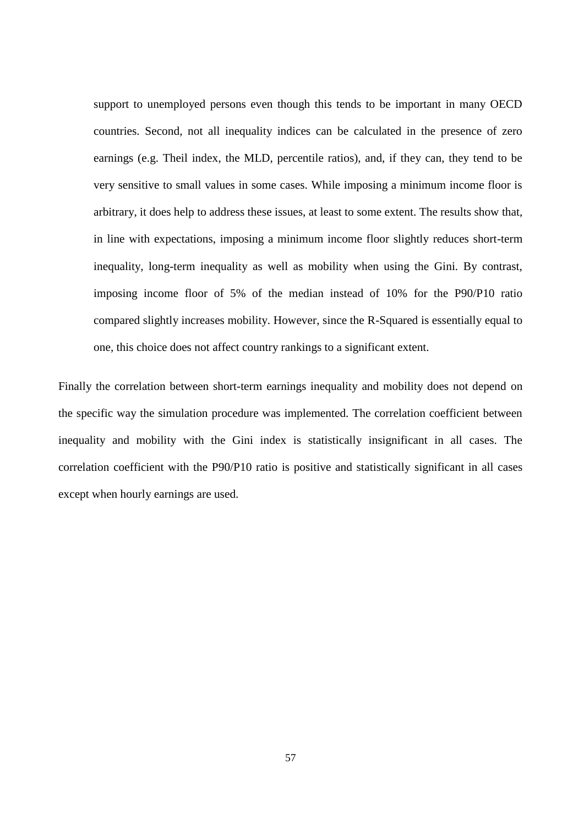support to unemployed persons even though this tends to be important in many OECD countries. Second, not all inequality indices can be calculated in the presence of zero earnings (e.g. Theil index, the MLD, percentile ratios), and, if they can, they tend to be very sensitive to small values in some cases. While imposing a minimum income floor is arbitrary, it does help to address these issues, at least to some extent. The results show that, in line with expectations, imposing a minimum income floor slightly reduces short-term inequality, long-term inequality as well as mobility when using the Gini. By contrast, imposing income floor of 5% of the median instead of 10% for the P90/P10 ratio compared slightly increases mobility. However, since the R-Squared is essentially equal to one, this choice does not affect country rankings to a significant extent.

Finally the correlation between short-term earnings inequality and mobility does not depend on the specific way the simulation procedure was implemented. The correlation coefficient between inequality and mobility with the Gini index is statistically insignificant in all cases. The correlation coefficient with the P90/P10 ratio is positive and statistically significant in all cases except when hourly earnings are used.